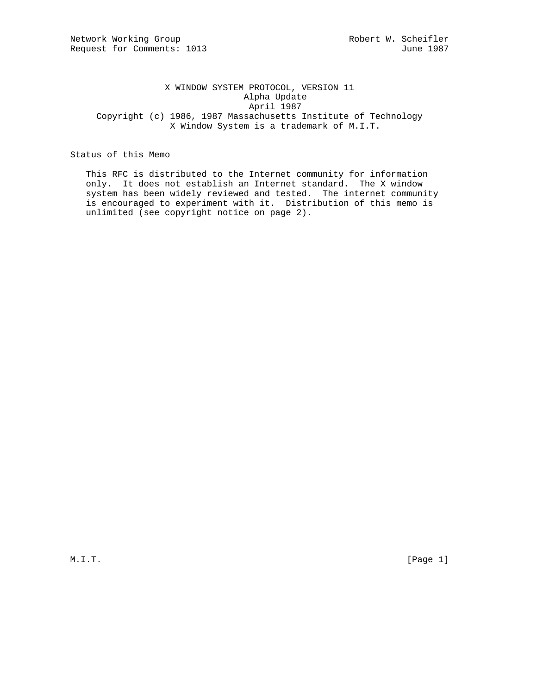# X WINDOW SYSTEM PROTOCOL, VERSION 11 Alpha Update April 1987 Copyright (c) 1986, 1987 Massachusetts Institute of Technology X Window System is a trademark of M.I.T.

Status of this Memo

 This RFC is distributed to the Internet community for information only. It does not establish an Internet standard. The X window system has been widely reviewed and tested. The internet community is encouraged to experiment with it. Distribution of this memo is unlimited (see copyright notice on page 2).

M.I.T. [Page 1]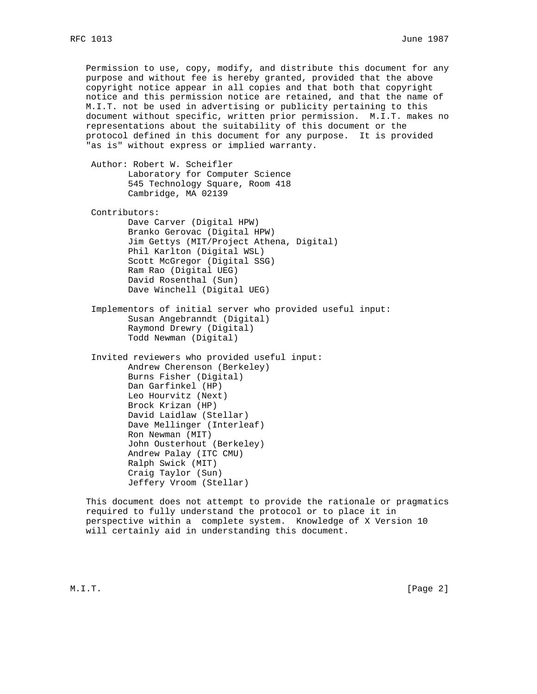Permission to use, copy, modify, and distribute this document for any purpose and without fee is hereby granted, provided that the above copyright notice appear in all copies and that both that copyright notice and this permission notice are retained, and that the name of M.I.T. not be used in advertising or publicity pertaining to this document without specific, written prior permission. M.I.T. makes no representations about the suitability of this document or the protocol defined in this document for any purpose. It is provided "as is" without express or implied warranty.

 Author: Robert W. Scheifler Laboratory for Computer Science 545 Technology Square, Room 418 Cambridge, MA 02139

Contributors:

 Dave Carver (Digital HPW) Branko Gerovac (Digital HPW) Jim Gettys (MIT/Project Athena, Digital) Phil Karlton (Digital WSL) Scott McGregor (Digital SSG) Ram Rao (Digital UEG) David Rosenthal (Sun) Dave Winchell (Digital UEG)

- Implementors of initial server who provided useful input: Susan Angebranndt (Digital) Raymond Drewry (Digital) Todd Newman (Digital)
- Invited reviewers who provided useful input: Andrew Cherenson (Berkeley) Burns Fisher (Digital) Dan Garfinkel (HP) Leo Hourvitz (Next) Brock Krizan (HP) David Laidlaw (Stellar) Dave Mellinger (Interleaf) Ron Newman (MIT) John Ousterhout (Berkeley) Andrew Palay (ITC CMU) Ralph Swick (MIT) Craig Taylor (Sun) Jeffery Vroom (Stellar)

 This document does not attempt to provide the rationale or pragmatics required to fully understand the protocol or to place it in perspective within a complete system. Knowledge of X Version 10 will certainly aid in understanding this document.

M.I.T. [Page 2]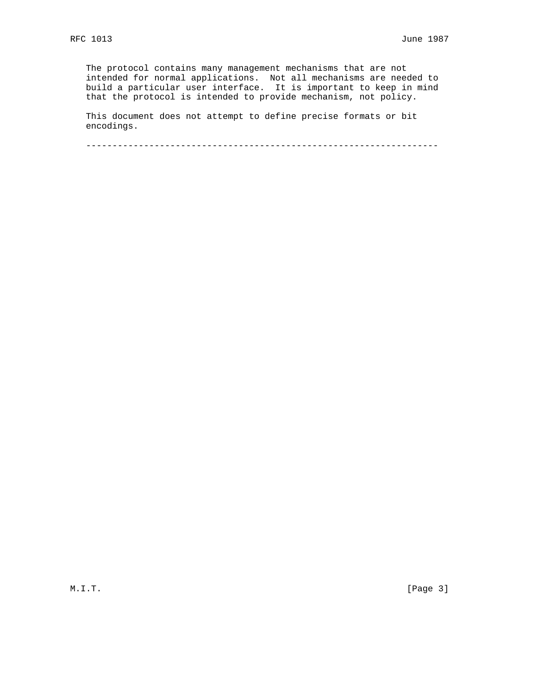The protocol contains many management mechanisms that are not intended for normal applications. Not all mechanisms are needed to build a particular user interface. It is important to keep in mind that the protocol is intended to provide mechanism, not policy.

 This document does not attempt to define precise formats or bit encodings.

-------------------------------------------------------------------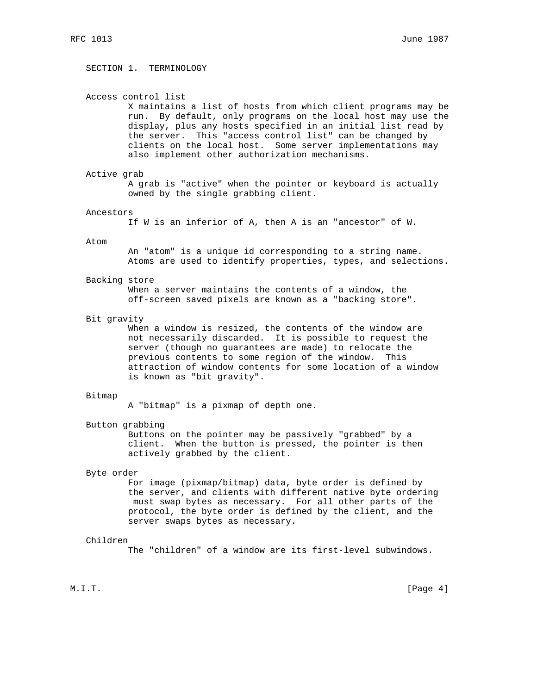SECTION 1. TERMINOLOGY

Access control list

 X maintains a list of hosts from which client programs may be run. By default, only programs on the local host may use the display, plus any hosts specified in an initial list read by the server. This "access control list" can be changed by clients on the local host. Some server implementations may also implement other authorization mechanisms.

 Active grab A grab is "active" when the pointer or keyboard is actually owned by the single grabbing client.

#### Ancestors

If W is an inferior of A, then A is an "ancestor" of W.

#### Atom

 An "atom" is a unique id corresponding to a string name. Atoms are used to identify properties, types, and selections.

### Backing store

 When a server maintains the contents of a window, the off-screen saved pixels are known as a "backing store".

Bit gravity

 When a window is resized, the contents of the window are not necessarily discarded. It is possible to request the server (though no guarantees are made) to relocate the previous contents to some region of the window. This attraction of window contents for some location of a window is known as "bit gravity".

#### Bitmap

A "bitmap" is a pixmap of depth one.

## Button grabbing

 Buttons on the pointer may be passively "grabbed" by a client. When the button is pressed, the pointer is then actively grabbed by the client.

### Byte order

 For image (pixmap/bitmap) data, byte order is defined by the server, and clients with different native byte ordering must swap bytes as necessary. For all other parts of the protocol, the byte order is defined by the client, and the server swaps bytes as necessary.

#### Children

The "children" of a window are its first-level subwindows.

M.I.T. [Page 4]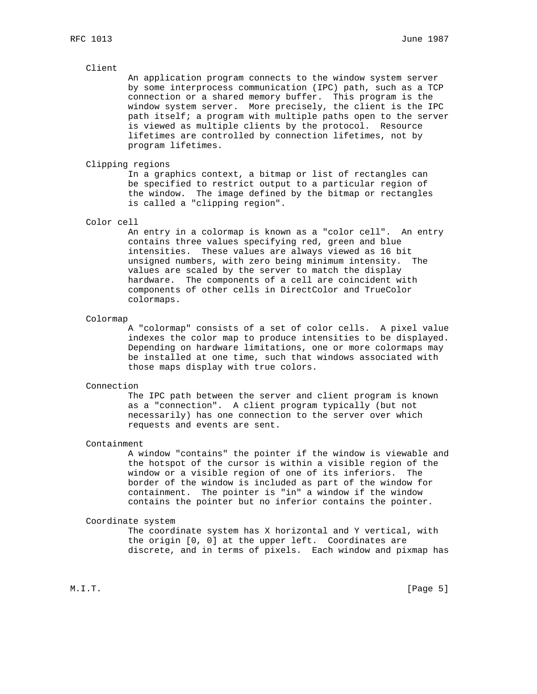# Client

 An application program connects to the window system server by some interprocess communication (IPC) path, such as a TCP connection or a shared memory buffer. This program is the window system server. More precisely, the client is the IPC path itself; a program with multiple paths open to the server is viewed as multiple clients by the protocol. Resource lifetimes are controlled by connection lifetimes, not by program lifetimes.

Clipping regions

 In a graphics context, a bitmap or list of rectangles can be specified to restrict output to a particular region of the window. The image defined by the bitmap or rectangles is called a "clipping region".

# Color cell

 An entry in a colormap is known as a "color cell". An entry contains three values specifying red, green and blue intensities. These values are always viewed as 16 bit unsigned numbers, with zero being minimum intensity. The values are scaled by the server to match the display hardware. The components of a cell are coincident with components of other cells in DirectColor and TrueColor colormaps.

#### Colormap

 A "colormap" consists of a set of color cells. A pixel value indexes the color map to produce intensities to be displayed. Depending on hardware limitations, one or more colormaps may be installed at one time, such that windows associated with those maps display with true colors.

# Connection

 The IPC path between the server and client program is known as a "connection". A client program typically (but not necessarily) has one connection to the server over which requests and events are sent.

#### Containment

 A window "contains" the pointer if the window is viewable and the hotspot of the cursor is within a visible region of the window or a visible region of one of its inferiors. The border of the window is included as part of the window for containment. The pointer is "in" a window if the window contains the pointer but no inferior contains the pointer.

# Coordinate system

 The coordinate system has X horizontal and Y vertical, with the origin [0, 0] at the upper left. Coordinates are discrete, and in terms of pixels. Each window and pixmap has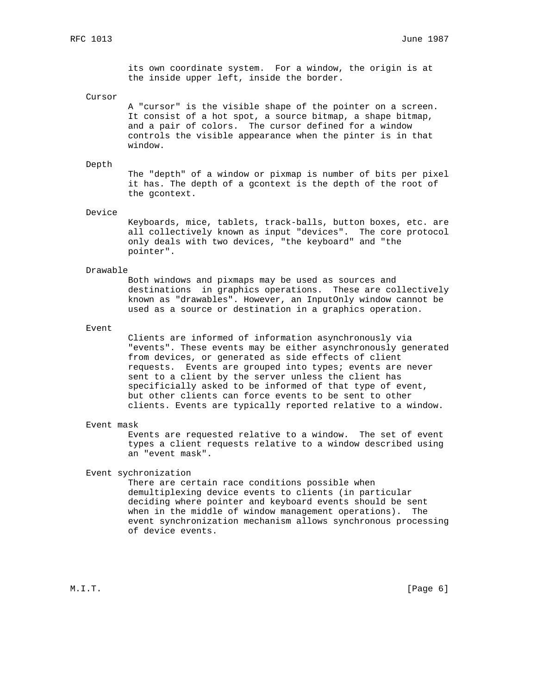its own coordinate system. For a window, the origin is at the inside upper left, inside the border.

Cursor

 A "cursor" is the visible shape of the pointer on a screen. It consist of a hot spot, a source bitmap, a shape bitmap, and a pair of colors. The cursor defined for a window controls the visible appearance when the pinter is in that window.

Depth

 The "depth" of a window or pixmap is number of bits per pixel it has. The depth of a gcontext is the depth of the root of the gcontext.

Device

 Keyboards, mice, tablets, track-balls, button boxes, etc. are all collectively known as input "devices". The core protocol only deals with two devices, "the keyboard" and "the pointer".

# Drawable

 Both windows and pixmaps may be used as sources and destinations in graphics operations. These are collectively known as "drawables". However, an InputOnly window cannot be used as a source or destination in a graphics operation.

Event

 Clients are informed of information asynchronously via "events". These events may be either asynchronously generated from devices, or generated as side effects of client requests. Events are grouped into types; events are never sent to a client by the server unless the client has specificially asked to be informed of that type of event, but other clients can force events to be sent to other clients. Events are typically reported relative to a window.

### Event mask

 Events are requested relative to a window. The set of event types a client requests relative to a window described using an "event mask".

Event sychronization

 There are certain race conditions possible when demultiplexing device events to clients (in particular deciding where pointer and keyboard events should be sent when in the middle of window management operations). The event synchronization mechanism allows synchronous processing of device events.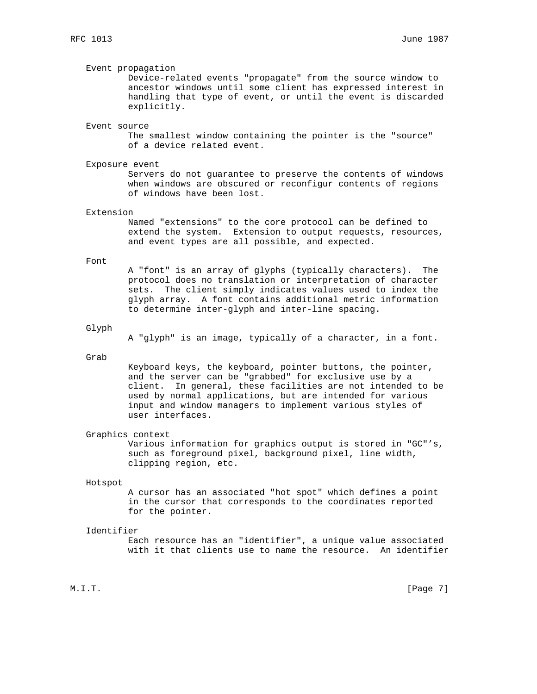## Event propagation

 Device-related events "propagate" from the source window to ancestor windows until some client has expressed interest in handling that type of event, or until the event is discarded explicitly.

### Event source

 The smallest window containing the pointer is the "source" of a device related event.

# Exposure event

 Servers do not guarantee to preserve the contents of windows when windows are obscured or reconfigur contents of regions of windows have been lost.

# Extension

 Named "extensions" to the core protocol can be defined to extend the system. Extension to output requests, resources, and event types are all possible, and expected.

#### Font

 A "font" is an array of glyphs (typically characters). The protocol does no translation or interpretation of character sets. The client simply indicates values used to index the glyph array. A font contains additional metric information to determine inter-glyph and inter-line spacing.

### Glyph

A "glyph" is an image, typically of a character, in a font.

#### Grab

 Keyboard keys, the keyboard, pointer buttons, the pointer, and the server can be "grabbed" for exclusive use by a client. In general, these facilities are not intended to be used by normal applications, but are intended for various input and window managers to implement various styles of user interfaces.

## Graphics context

 Various information for graphics output is stored in "GC"'s, such as foreground pixel, background pixel, line width, clipping region, etc.

#### Hotspot

 A cursor has an associated "hot spot" which defines a point in the cursor that corresponds to the coordinates reported for the pointer.

# Identifier

 Each resource has an "identifier", a unique value associated with it that clients use to name the resource. An identifier

M.I.T. [Page 7]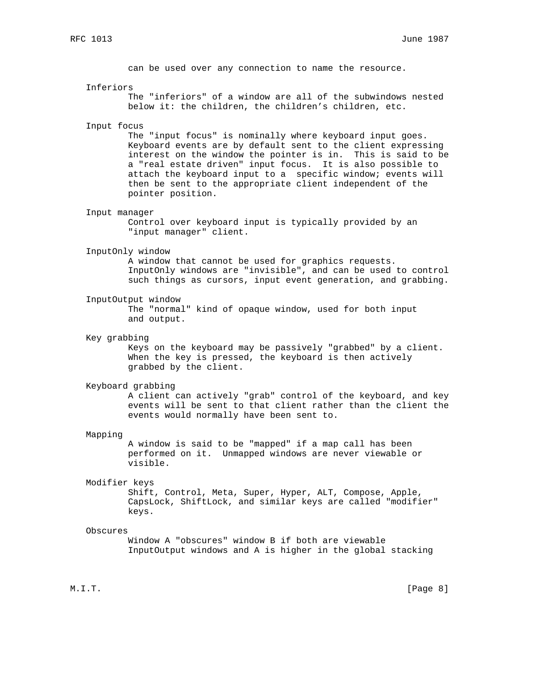can be used over any connection to name the resource.

#### Inferiors

 The "inferiors" of a window are all of the subwindows nested below it: the children, the children's children, etc.

### Input focus

 The "input focus" is nominally where keyboard input goes. Keyboard events are by default sent to the client expressing interest on the window the pointer is in. This is said to be a "real estate driven" input focus. It is also possible to attach the keyboard input to a specific window; events will then be sent to the appropriate client independent of the pointer position.

# Input manager

 Control over keyboard input is typically provided by an "input manager" client.

#### InputOnly window

 A window that cannot be used for graphics requests. InputOnly windows are "invisible", and can be used to control such things as cursors, input event generation, and grabbing.

# InputOutput window

 The "normal" kind of opaque window, used for both input and output.

# Key grabbing

 Keys on the keyboard may be passively "grabbed" by a client. When the key is pressed, the keyboard is then actively grabbed by the client.

# Keyboard grabbing

 A client can actively "grab" control of the keyboard, and key events will be sent to that client rather than the client the events would normally have been sent to.

#### Mapping

 A window is said to be "mapped" if a map call has been performed on it. Unmapped windows are never viewable or visible.

#### Modifier keys

 Shift, Control, Meta, Super, Hyper, ALT, Compose, Apple, CapsLock, ShiftLock, and similar keys are called "modifier" keys.

## Obscures

 Window A "obscures" window B if both are viewable InputOutput windows and A is higher in the global stacking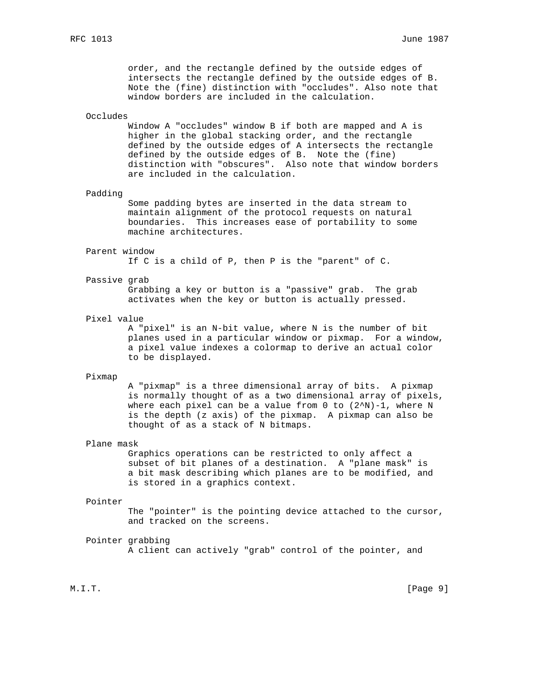order, and the rectangle defined by the outside edges of intersects the rectangle defined by the outside edges of B. Note the (fine) distinction with "occludes". Also note that window borders are included in the calculation.

### Occludes

 Window A "occludes" window B if both are mapped and A is higher in the global stacking order, and the rectangle defined by the outside edges of A intersects the rectangle defined by the outside edges of B. Note the (fine) distinction with "obscures". Also note that window borders are included in the calculation.

## Padding

 Some padding bytes are inserted in the data stream to maintain alignment of the protocol requests on natural boundaries. This increases ease of portability to some machine architectures.

#### Parent window

If C is a child of P, then P is the "parent" of C.

### Passive grab

 Grabbing a key or button is a "passive" grab. The grab activates when the key or button is actually pressed.

Pixel value

 A "pixel" is an N-bit value, where N is the number of bit planes used in a particular window or pixmap. For a window, a pixel value indexes a colormap to derive an actual color to be displayed.

#### Pixmap

 A "pixmap" is a three dimensional array of bits. A pixmap is normally thought of as a two dimensional array of pixels, where each pixel can be a value from  $0$  to  $(2^NN)-1$ , where N is the depth (z axis) of the pixmap. A pixmap can also be thought of as a stack of N bitmaps.

#### Plane mask

 Graphics operations can be restricted to only affect a subset of bit planes of a destination. A "plane mask" is a bit mask describing which planes are to be modified, and is stored in a graphics context.

## Pointer

 The "pointer" is the pointing device attached to the cursor, and tracked on the screens.

# Pointer grabbing

A client can actively "grab" control of the pointer, and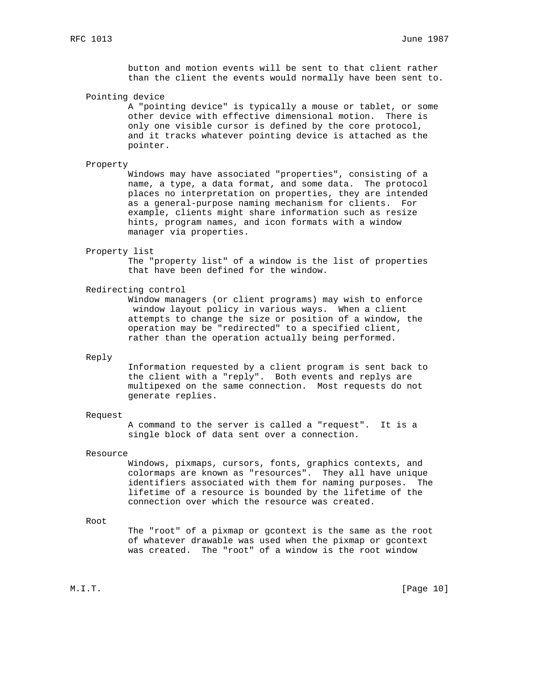button and motion events will be sent to that client rather than the client the events would normally have been sent to.

Pointing device

 A "pointing device" is typically a mouse or tablet, or some other device with effective dimensional motion. There is only one visible cursor is defined by the core protocol, and it tracks whatever pointing device is attached as the pointer.

Property

 Windows may have associated "properties", consisting of a name, a type, a data format, and some data. The protocol places no interpretation on properties, they are intended as a general-purpose naming mechanism for clients. For example, clients might share information such as resize hints, program names, and icon formats with a window manager via properties.

### Property list

 The "property list" of a window is the list of properties that have been defined for the window.

Redirecting control

 Window managers (or client programs) may wish to enforce window layout policy in various ways. When a client attempts to change the size or position of a window, the operation may be "redirected" to a specified client, rather than the operation actually being performed.

#### Reply

 Information requested by a client program is sent back to the client with a "reply". Both events and replys are multipexed on the same connection. Most requests do not generate replies.

#### Request

 A command to the server is called a "request". It is a single block of data sent over a connection.

## Resource

 Windows, pixmaps, cursors, fonts, graphics contexts, and colormaps are known as "resources". They all have unique identifiers associated with them for naming purposes. The lifetime of a resource is bounded by the lifetime of the connection over which the resource was created.

Root

 The "root" of a pixmap or gcontext is the same as the root of whatever drawable was used when the pixmap or gcontext was created. The "root" of a window is the root window

M.I.T. [Page 10]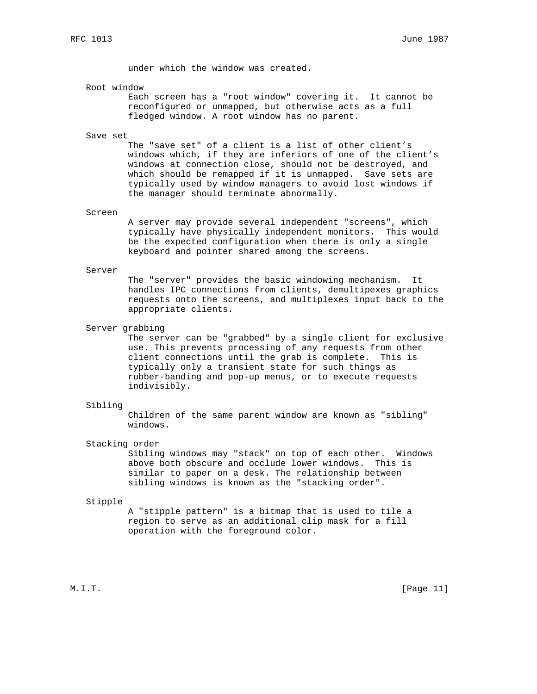under which the window was created.

Root window

 Each screen has a "root window" covering it. It cannot be reconfigured or unmapped, but otherwise acts as a full fledged window. A root window has no parent.

Save set

 The "save set" of a client is a list of other client's windows which, if they are inferiors of one of the client's windows at connection close, should not be destroyed, and which should be remapped if it is unmapped. Save sets are typically used by window managers to avoid lost windows if the manager should terminate abnormally.

### Screen

 A server may provide several independent "screens", which typically have physically independent monitors. This would be the expected configuration when there is only a single keyboard and pointer shared among the screens.

#### Server

 The "server" provides the basic windowing mechanism. It handles IPC connections from clients, demultipexes graphics requests onto the screens, and multiplexes input back to the appropriate clients.

# Server grabbing

 The server can be "grabbed" by a single client for exclusive use. This prevents processing of any requests from other client connections until the grab is complete. This is typically only a transient state for such things as rubber-banding and pop-up menus, or to execute requests indivisibly.

# Sibling

 Children of the same parent window are known as "sibling" windows.

#### Stacking order

 Sibling windows may "stack" on top of each other. Windows above both obscure and occlude lower windows. This is similar to paper on a desk. The relationship between sibling windows is known as the "stacking order".

### Stipple

 A "stipple pattern" is a bitmap that is used to tile a region to serve as an additional clip mask for a fill operation with the foreground color.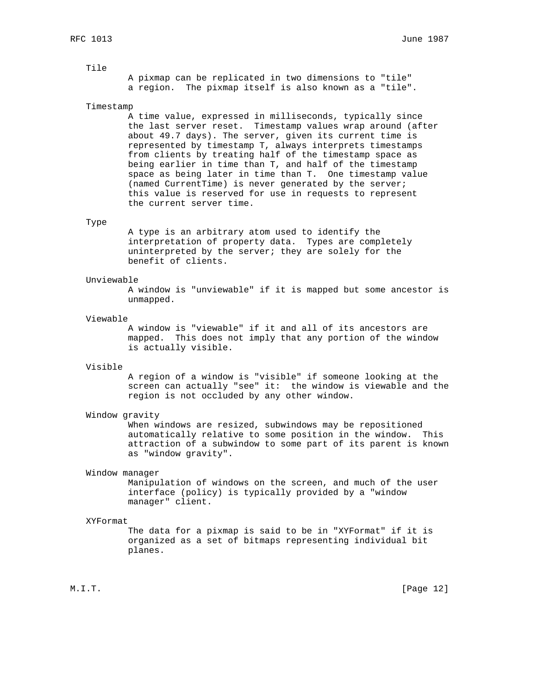# Tile

|  |  |  | A pixmap can be replicated in two dimensions to "tile" |  |
|--|--|--|--------------------------------------------------------|--|
|  |  |  | a region. The pixmap itself is also known as a "tile". |  |

### Timestamp

 A time value, expressed in milliseconds, typically since the last server reset. Timestamp values wrap around (after about 49.7 days). The server, given its current time is represented by timestamp T, always interprets timestamps from clients by treating half of the timestamp space as being earlier in time than T, and half of the timestamp space as being later in time than T. One timestamp value (named CurrentTime) is never generated by the server; this value is reserved for use in requests to represent the current server time.

# Type

 A type is an arbitrary atom used to identify the interpretation of property data. Types are completely uninterpreted by the server; they are solely for the benefit of clients.

# Unviewable

 A window is "unviewable" if it is mapped but some ancestor is unmapped.

#### Viewable

 A window is "viewable" if it and all of its ancestors are mapped. This does not imply that any portion of the window is actually visible.

## Visible

 A region of a window is "visible" if someone looking at the screen can actually "see" it: the window is viewable and the region is not occluded by any other window.

# Window gravity

 When windows are resized, subwindows may be repositioned automatically relative to some position in the window. This attraction of a subwindow to some part of its parent is known as "window gravity".

### Window manager

 Manipulation of windows on the screen, and much of the user interface (policy) is typically provided by a "window manager" client.

# XYFormat

 The data for a pixmap is said to be in "XYFormat" if it is organized as a set of bitmaps representing individual bit planes.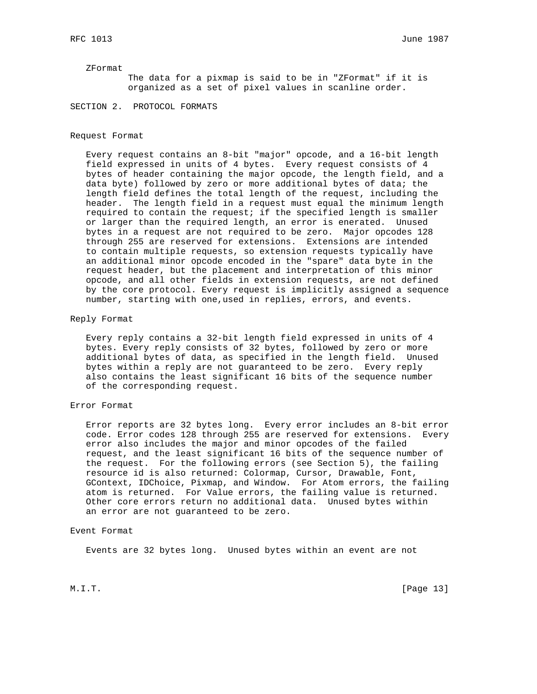ZFormat

 The data for a pixmap is said to be in "ZFormat" if it is organized as a set of pixel values in scanline order.

SECTION 2. PROTOCOL FORMATS

Request Format

 Every request contains an 8-bit "major" opcode, and a 16-bit length field expressed in units of 4 bytes. Every request consists of 4 bytes of header containing the major opcode, the length field, and a data byte) followed by zero or more additional bytes of data; the length field defines the total length of the request, including the header. The length field in a request must equal the minimum length required to contain the request; if the specified length is smaller or larger than the required length, an error is enerated. Unused bytes in a request are not required to be zero. Major opcodes 128 through 255 are reserved for extensions. Extensions are intended to contain multiple requests, so extension requests typically have an additional minor opcode encoded in the "spare" data byte in the request header, but the placement and interpretation of this minor opcode, and all other fields in extension requests, are not defined by the core protocol. Every request is implicitly assigned a sequence number, starting with one,used in replies, errors, and events.

# Reply Format

 Every reply contains a 32-bit length field expressed in units of 4 bytes. Every reply consists of 32 bytes, followed by zero or more additional bytes of data, as specified in the length field. Unused bytes within a reply are not guaranteed to be zero. Every reply also contains the least significant 16 bits of the sequence number of the corresponding request.

# Error Format

 Error reports are 32 bytes long. Every error includes an 8-bit error code. Error codes 128 through 255 are reserved for extensions. Every error also includes the major and minor opcodes of the failed request, and the least significant 16 bits of the sequence number of the request. For the following errors (see Section 5), the failing resource id is also returned: Colormap, Cursor, Drawable, Font, GContext, IDChoice, Pixmap, and Window. For Atom errors, the failing atom is returned. For Value errors, the failing value is returned. Other core errors return no additional data. Unused bytes within an error are not guaranteed to be zero.

# Event Format

Events are 32 bytes long. Unused bytes within an event are not

M.I.T. [Page 13]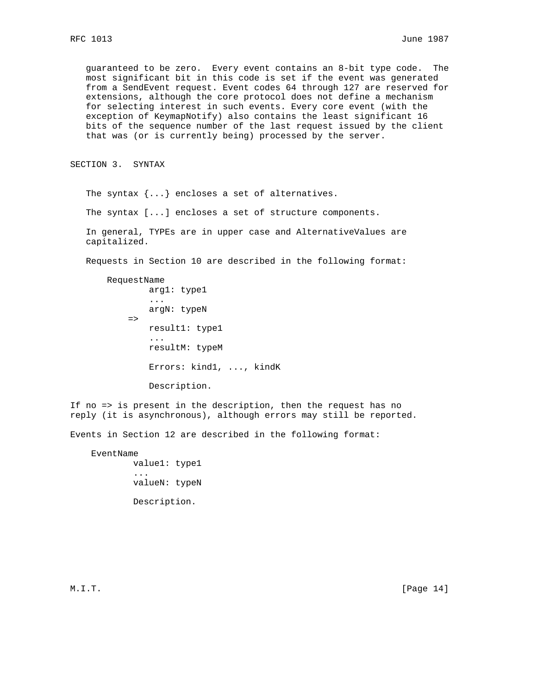guaranteed to be zero. Every event contains an 8-bit type code. The most significant bit in this code is set if the event was generated from a SendEvent request. Event codes 64 through 127 are reserved for extensions, although the core protocol does not define a mechanism for selecting interest in such events. Every core event (with the exception of KeymapNotify) also contains the least significant 16 bits of the sequence number of the last request issued by the client that was (or is currently being) processed by the server.

SECTION 3. SYNTAX

The syntax  $\{ \ldots \}$  encloses a set of alternatives.

The syntax [...] encloses a set of structure components.

 In general, TYPEs are in upper case and AlternativeValues are capitalized.

Requests in Section 10 are described in the following format:

 RequestName arg1: type1 ... argN: typeN => result1: type1 ... resultM: typeM Errors: kind1, ..., kindK Description.

If no => is present in the description, then the request has no reply (it is asynchronous), although errors may still be reported.

Events in Section 12 are described in the following format:

 EventName value1: type1 ... valueN: typeN Description.

M.I.T. [Page 14]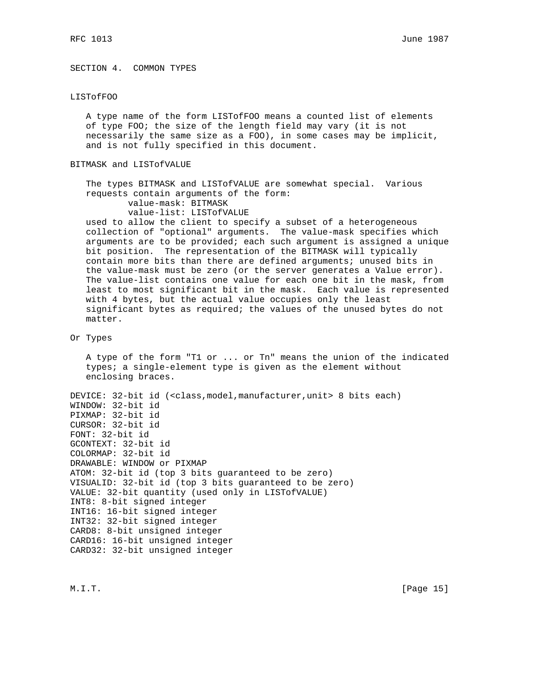SECTION 4. COMMON TYPES

# LISTofFOO

 A type name of the form LISTofFOO means a counted list of elements of type FOO; the size of the length field may vary (it is not necessarily the same size as a FOO), in some cases may be implicit, and is not fully specified in this document.

# BITMASK and LISTofVALUE

 The types BITMASK and LISTofVALUE are somewhat special. Various requests contain arguments of the form: value-mask: BITMASK value-list: LISTofVALUE used to allow the client to specify a subset of a heterogeneous

 collection of "optional" arguments. The value-mask specifies which arguments are to be provided; each such argument is assigned a unique bit position. The representation of the BITMASK will typically contain more bits than there are defined arguments; unused bits in the value-mask must be zero (or the server generates a Value error). The value-list contains one value for each one bit in the mask, from least to most significant bit in the mask. Each value is represented with 4 bytes, but the actual value occupies only the least significant bytes as required; the values of the unused bytes do not matter.

# Or Types

 A type of the form "T1 or ... or Tn" means the union of the indicated types; a single-element type is given as the element without enclosing braces.

DEVICE: 32-bit id (<class,model,manufacturer,unit> 8 bits each) WINDOW: 32-bit id PIXMAP: 32-bit id CURSOR: 32-bit id FONT: 32-bit id GCONTEXT: 32-bit id COLORMAP: 32-bit id DRAWABLE: WINDOW or PIXMAP ATOM: 32-bit id (top 3 bits guaranteed to be zero) VISUALID: 32-bit id (top 3 bits guaranteed to be zero) VALUE: 32-bit quantity (used only in LISTofVALUE) INT8: 8-bit signed integer INT16: 16-bit signed integer INT32: 32-bit signed integer CARD8: 8-bit unsigned integer CARD16: 16-bit unsigned integer CARD32: 32-bit unsigned integer

M.I.T. [Page 15]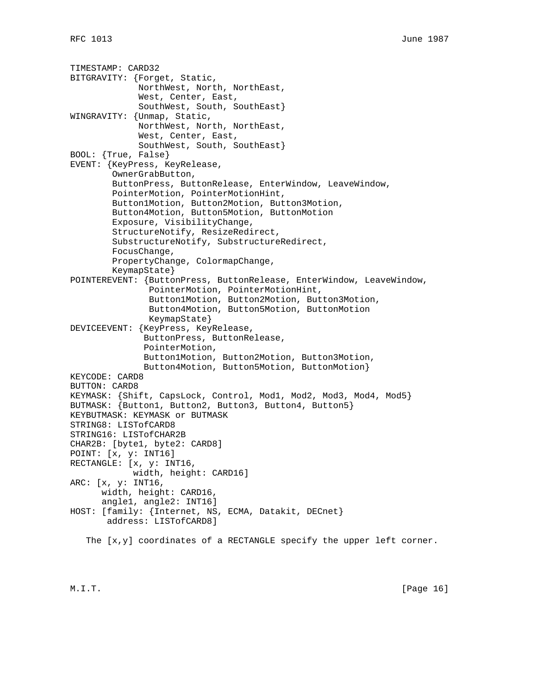TIMESTAMP: CARD32 BITGRAVITY: {Forget, Static, NorthWest, North, NorthEast, West, Center, East, SouthWest, South, SouthEast} WINGRAVITY: {Unmap, Static, NorthWest, North, NorthEast, West, Center, East, SouthWest, South, SouthEast} BOOL: {True, False} EVENT: {KeyPress, KeyRelease, OwnerGrabButton, ButtonPress, ButtonRelease, EnterWindow, LeaveWindow, PointerMotion, PointerMotionHint, Button1Motion, Button2Motion, Button3Motion, Button4Motion, Button5Motion, ButtonMotion Exposure, VisibilityChange, StructureNotify, ResizeRedirect, SubstructureNotify, SubstructureRedirect, FocusChange, PropertyChange, ColormapChange, KeymapState} POINTEREVENT: {ButtonPress, ButtonRelease, EnterWindow, LeaveWindow, PointerMotion, PointerMotionHint, Button1Motion, Button2Motion, Button3Motion, Button4Motion, Button5Motion, ButtonMotion KeymapState} DEVICEEVENT: {KeyPress, KeyRelease, ButtonPress, ButtonRelease, PointerMotion, Button1Motion, Button2Motion, Button3Motion, Button4Motion, Button5Motion, ButtonMotion} KEYCODE: CARD8 BUTTON: CARD8 KEYMASK: {Shift, CapsLock, Control, Mod1, Mod2, Mod3, Mod4, Mod5} BUTMASK: {Button1, Button2, Button3, Button4, Button5} KEYBUTMASK: KEYMASK or BUTMASK STRING8: LISTofCARD8 STRING16: LISTofCHAR2B CHAR2B: [byte1, byte2: CARD8] POINT: [x, y: INT16] RECTANGLE: [x, y: INT16, width, height: CARD16] ARC: [x, y: INT16, width, height: CARD16, angle1, angle2: INT16] HOST: [family: {Internet, NS, ECMA, Datakit, DECnet} address: LISTofCARD8] The [x,y] coordinates of a RECTANGLE specify the upper left corner.

M.I.T. [Page 16]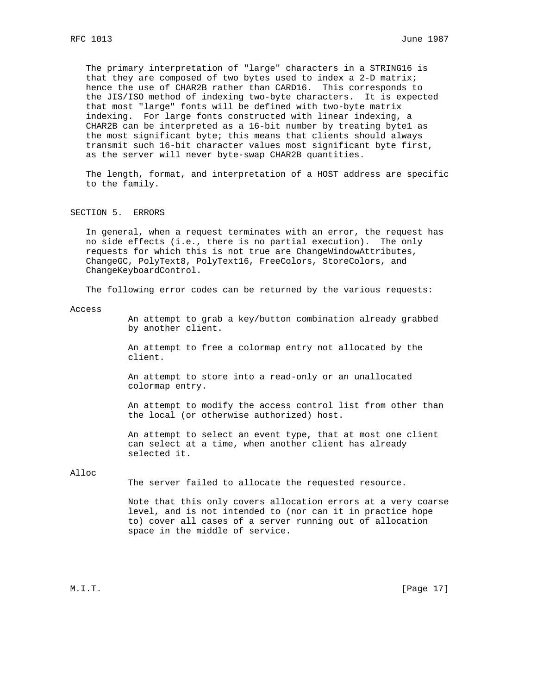The primary interpretation of "large" characters in a STRING16 is that they are composed of two bytes used to index a 2-D matrix; hence the use of CHAR2B rather than CARD16. This corresponds to the JIS/ISO method of indexing two-byte characters. It is expected that most "large" fonts will be defined with two-byte matrix indexing. For large fonts constructed with linear indexing, a CHAR2B can be interpreted as a 16-bit number by treating byte1 as the most significant byte; this means that clients should always transmit such 16-bit character values most significant byte first, as the server will never byte-swap CHAR2B quantities.

 The length, format, and interpretation of a HOST address are specific to the family.

# SECTION 5. ERRORS

 In general, when a request terminates with an error, the request has no side effects (i.e., there is no partial execution). The only requests for which this is not true are ChangeWindowAttributes, ChangeGC, PolyText8, PolyText16, FreeColors, StoreColors, and ChangeKeyboardControl.

The following error codes can be returned by the various requests:

### Access

 An attempt to grab a key/button combination already grabbed by another client.

 An attempt to free a colormap entry not allocated by the client.

 An attempt to store into a read-only or an unallocated colormap entry.

 An attempt to modify the access control list from other than the local (or otherwise authorized) host.

 An attempt to select an event type, that at most one client can select at a time, when another client has already selected it.

# Alloc

The server failed to allocate the requested resource.

 Note that this only covers allocation errors at a very coarse level, and is not intended to (nor can it in practice hope to) cover all cases of a server running out of allocation space in the middle of service.

M.I.T. [Page 17]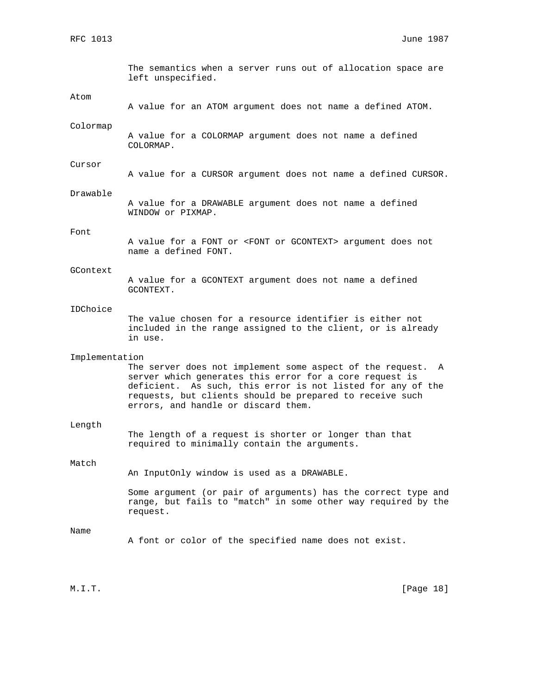|                | The semantics when a server runs out of allocation space are<br>left unspecified.                                                                                                                                                                                                           |
|----------------|---------------------------------------------------------------------------------------------------------------------------------------------------------------------------------------------------------------------------------------------------------------------------------------------|
| Atom           | A value for an ATOM argument does not name a defined ATOM.                                                                                                                                                                                                                                  |
| Colormap       | A value for a COLORMAP argument does not name a defined<br>COLORMAP.                                                                                                                                                                                                                        |
| Cursor         | A value for a CURSOR argument does not name a defined CURSOR.                                                                                                                                                                                                                               |
| Drawable       | A value for a DRAWABLE argument does not name a defined<br>WINDOW Or PIXMAP.                                                                                                                                                                                                                |
| Font           | A value for a FONT or <font gcontext="" or=""> argument does not<br/>name a defined FONT.</font>                                                                                                                                                                                            |
| GContext       | A value for a GCONTEXT argument does not name a defined<br>GCONTEXT.                                                                                                                                                                                                                        |
| IDChoice       | The value chosen for a resource identifier is either not<br>included in the range assigned to the client, or is already<br>in use.                                                                                                                                                          |
| Implementation | The server does not implement some aspect of the request.<br>A<br>server which generates this error for a core request is<br>deficient. As such, this error is not listed for any of the<br>requests, but clients should be prepared to receive such<br>errors, and handle or discard them. |
| Length         | The length of a request is shorter or longer than that<br>required to minimally contain the arguments.                                                                                                                                                                                      |
| Match          | An InputOnly window is used as a DRAWABLE.                                                                                                                                                                                                                                                  |
|                | Some argument (or pair of arguments) has the correct type and<br>range, but fails to "match" in some other way required by the<br>request.                                                                                                                                                  |
| Name           | A font or color of the specified name does not exist.                                                                                                                                                                                                                                       |

M.I.T. [Page 18]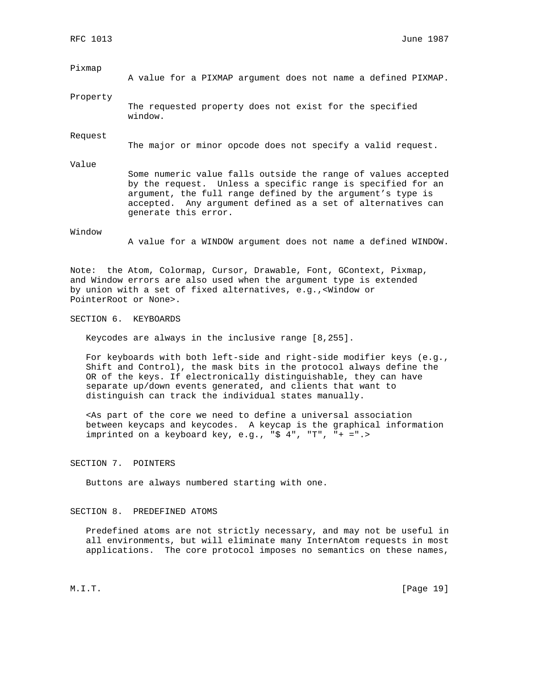#### Pixmap

A value for a PIXMAP argument does not name a defined PIXMAP.

Property

 The requested property does not exist for the specified window.

Request

The major or minor opcode does not specify a valid request.

Value

 Some numeric value falls outside the range of values accepted by the request. Unless a specific range is specified for an argument, the full range defined by the argument's type is accepted. Any argument defined as a set of alternatives can generate this error.

#### Window

A value for a WINDOW argument does not name a defined WINDOW.

Note: the Atom, Colormap, Cursor, Drawable, Font, GContext, Pixmap, and Window errors are also used when the argument type is extended by union with a set of fixed alternatives, e.g.,<Window or PointerRoot or None>.

# SECTION 6. KEYBOARDS

Keycodes are always in the inclusive range [8,255].

 For keyboards with both left-side and right-side modifier keys (e.g., Shift and Control), the mask bits in the protocol always define the OR of the keys. If electronically distinguishable, they can have separate up/down events generated, and clients that want to distinguish can track the individual states manually.

 <As part of the core we need to define a universal association between keycaps and keycodes. A keycap is the graphical information imprinted on a keyboard key, e.g., "\$ 4", "T", "+ =".>

# SECTION 7. POINTERS

Buttons are always numbered starting with one.

SECTION 8. PREDEFINED ATOMS

 Predefined atoms are not strictly necessary, and may not be useful in all environments, but will eliminate many InternAtom requests in most applications. The core protocol imposes no semantics on these names,

M.I.T. [Page 19]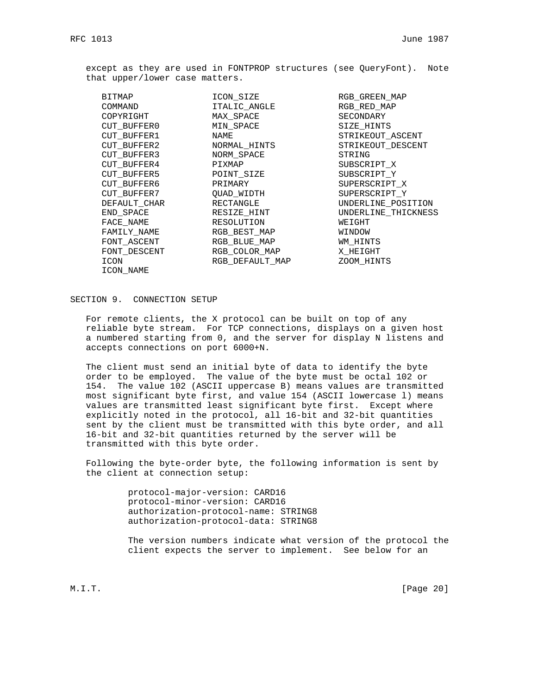except as they are used in FONTPROP structures (see QueryFont). Note that upper/lower case matters.

BITMAP ICON\_SIZE RGB\_GREEN<br>
COMMAND ITALIC\_ANGLE RGB\_RED\_M<br>
COPYRIGHT MAX\_SPACE SECONDARY ICON\_NAME

 COPYRIGHT MAX\_SPACE SECONDARY CUT\_BUFFER0 MIN\_SPACE SIZE\_HINTS CUT\_BUFFER1 NAME NAME STRIKEOUT\_ASCENT CUT\_BUFFER2 NORMAL\_HINTS STRIKEOUT\_DESCENT CUT\_BUFFER3 NORM\_SPACE STRING CUT\_BUFFER4 PIXMAP SUBSCRIPT\_X CUT\_BUFFER5 POINT\_SIZE SUBSCRIPT\_Y CUT\_BUFFER6 PRIMARY SUPERSCRIPT\_X CUT\_BUFFER7 QUAD\_WIDTH SUPERSCRIPT\_Y DEFAULT\_CHAR RECTANGLE UNDERLINE\_POSITION END\_SPACE RESIZE\_HINT UNDERLINE\_THICKNESS FACE\_NAME RESOLUTION WEIGHT FAMILY\_NAME RGB\_BEST\_MAP WINDOW FONT\_ASCENT RGB\_BLUE\_MAP WM\_HINTS FONT\_DESCENT RGB\_COLOR\_MAP X\_HEIGHT ICON RGB\_DEFAULT\_MAP ZOOM\_HINTS

BITMAP ICON\_SIZE RGB\_GREEN\_MAP

# SECTION 9. CONNECTION SETUP

 For remote clients, the X protocol can be built on top of any reliable byte stream. For TCP connections, displays on a given host a numbered starting from 0, and the server for display N listens and accepts connections on port 6000+N.

 The client must send an initial byte of data to identify the byte order to be employed. The value of the byte must be octal 102 or 154. The value 102 (ASCII uppercase B) means values are transmitted most significant byte first, and value 154 (ASCII lowercase l) means values are transmitted least significant byte first. Except where explicitly noted in the protocol, all 16-bit and 32-bit quantities sent by the client must be transmitted with this byte order, and all 16-bit and 32-bit quantities returned by the server will be transmitted with this byte order.

 Following the byte-order byte, the following information is sent by the client at connection setup:

> protocol-major-version: CARD16 protocol-minor-version: CARD16 authorization-protocol-name: STRING8 authorization-protocol-data: STRING8

 The version numbers indicate what version of the protocol the client expects the server to implement. See below for an

M.I.T. [Page 20]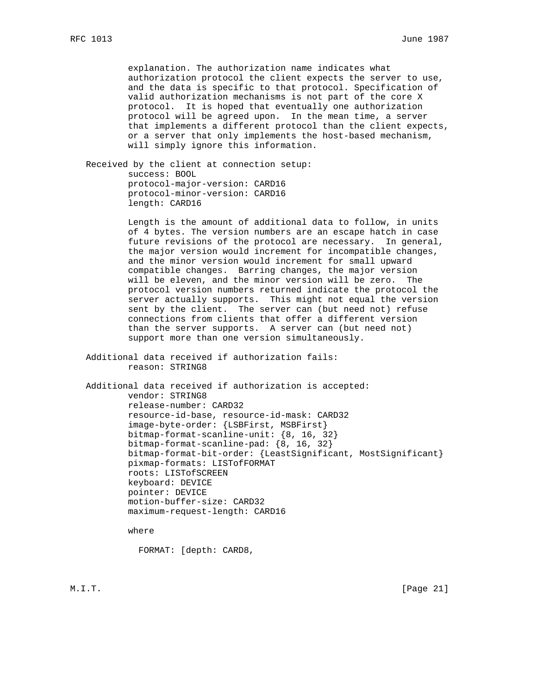explanation. The authorization name indicates what authorization protocol the client expects the server to use, and the data is specific to that protocol. Specification of valid authorization mechanisms is not part of the core X protocol. It is hoped that eventually one authorization protocol will be agreed upon. In the mean time, a server that implements a different protocol than the client expects, or a server that only implements the host-based mechanism, will simply ignore this information.

 Received by the client at connection setup: success: BOOL protocol-major-version: CARD16 protocol-minor-version: CARD16 length: CARD16

> Length is the amount of additional data to follow, in units of 4 bytes. The version numbers are an escape hatch in case future revisions of the protocol are necessary. In general, the major version would increment for incompatible changes, and the minor version would increment for small upward compatible changes. Barring changes, the major version will be eleven, and the minor version will be zero. The protocol version numbers returned indicate the protocol the server actually supports. This might not equal the version sent by the client. The server can (but need not) refuse connections from clients that offer a different version than the server supports. A server can (but need not) support more than one version simultaneously.

 Additional data received if authorization fails: reason: STRING8

 Additional data received if authorization is accepted: vendor: STRING8 release-number: CARD32 resource-id-base, resource-id-mask: CARD32 image-byte-order: {LSBFirst, MSBFirst} bitmap-format-scanline-unit: {8, 16, 32} bitmap-format-scanline-pad: {8, 16, 32} bitmap-format-bit-order: {LeastSignificant, MostSignificant} pixmap-formats: LISTofFORMAT roots: LISTofSCREEN keyboard: DEVICE pointer: DEVICE motion-buffer-size: CARD32 maximum-request-length: CARD16

where

FORMAT: [depth: CARD8,

M.I.T. [Page 21]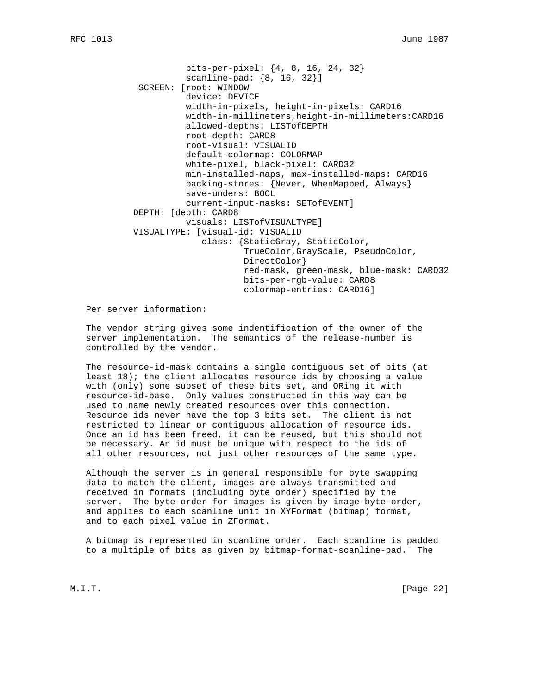```
 bits-per-pixel: {4, 8, 16, 24, 32}
           scanline-pad: {8, 16, 32}]
  SCREEN: [root: WINDOW
           device: DEVICE
           width-in-pixels, height-in-pixels: CARD16
           width-in-millimeters,height-in-millimeters:CARD16
           allowed-depths: LISTofDEPTH
           root-depth: CARD8
           root-visual: VISUALID
           default-colormap: COLORMAP
           white-pixel, black-pixel: CARD32
           min-installed-maps, max-installed-maps: CARD16
           backing-stores: {Never, WhenMapped, Always}
           save-unders: BOOL
           current-input-masks: SETofEVENT]
 DEPTH: [depth: CARD8
           visuals: LISTofVISUALTYPE]
 VISUALTYPE: [visual-id: VISUALID
              class: {StaticGray, StaticColor,
                       TrueColor,GrayScale, PseudoColor,
                       DirectColor}
                       red-mask, green-mask, blue-mask: CARD32
                       bits-per-rgb-value: CARD8
                       colormap-entries: CARD16]
```
Per server information:

 The vendor string gives some indentification of the owner of the server implementation. The semantics of the release-number is controlled by the vendor.

 The resource-id-mask contains a single contiguous set of bits (at least 18); the client allocates resource ids by choosing a value with (only) some subset of these bits set, and ORing it with resource-id-base. Only values constructed in this way can be used to name newly created resources over this connection. Resource ids never have the top 3 bits set. The client is not restricted to linear or contiguous allocation of resource ids. Once an id has been freed, it can be reused, but this should not be necessary. An id must be unique with respect to the ids of all other resources, not just other resources of the same type.

 Although the server is in general responsible for byte swapping data to match the client, images are always transmitted and received in formats (including byte order) specified by the server. The byte order for images is given by image-byte-order, and applies to each scanline unit in XYFormat (bitmap) format, and to each pixel value in ZFormat.

 A bitmap is represented in scanline order. Each scanline is padded to a multiple of bits as given by bitmap-format-scanline-pad. The

M.I.T. [Page 22]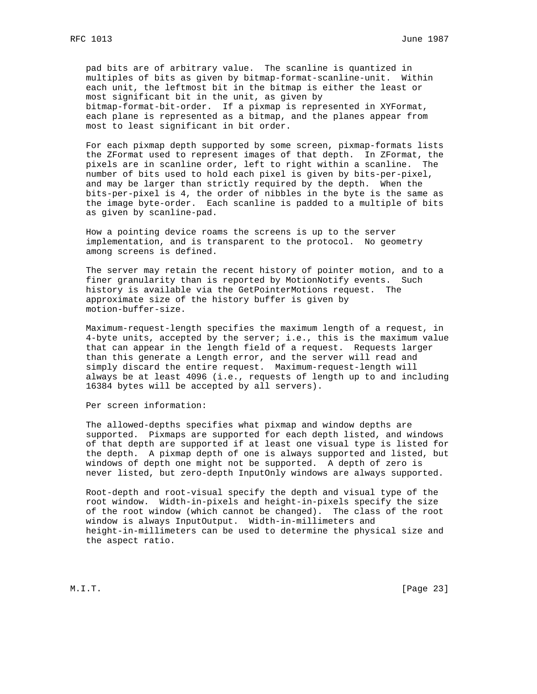pad bits are of arbitrary value. The scanline is quantized in multiples of bits as given by bitmap-format-scanline-unit. Within each unit, the leftmost bit in the bitmap is either the least or most significant bit in the unit, as given by bitmap-format-bit-order. If a pixmap is represented in XYFormat, each plane is represented as a bitmap, and the planes appear from most to least significant in bit order.

 For each pixmap depth supported by some screen, pixmap-formats lists the ZFormat used to represent images of that depth. In ZFormat, the pixels are in scanline order, left to right within a scanline. The number of bits used to hold each pixel is given by bits-per-pixel, and may be larger than strictly required by the depth. When the bits-per-pixel is 4, the order of nibbles in the byte is the same as the image byte-order. Each scanline is padded to a multiple of bits as given by scanline-pad.

 How a pointing device roams the screens is up to the server implementation, and is transparent to the protocol. No geometry among screens is defined.

 The server may retain the recent history of pointer motion, and to a finer granularity than is reported by MotionNotify events. Such history is available via the GetPointerMotions request. The approximate size of the history buffer is given by motion-buffer-size.

 Maximum-request-length specifies the maximum length of a request, in 4-byte units, accepted by the server; i.e., this is the maximum value that can appear in the length field of a request. Requests larger than this generate a Length error, and the server will read and simply discard the entire request. Maximum-request-length will always be at least 4096 (i.e., requests of length up to and including 16384 bytes will be accepted by all servers).

Per screen information:

 The allowed-depths specifies what pixmap and window depths are supported. Pixmaps are supported for each depth listed, and windows of that depth are supported if at least one visual type is listed for the depth. A pixmap depth of one is always supported and listed, but windows of depth one might not be supported. A depth of zero is never listed, but zero-depth InputOnly windows are always supported.

 Root-depth and root-visual specify the depth and visual type of the root window. Width-in-pixels and height-in-pixels specify the size of the root window (which cannot be changed). The class of the root window is always InputOutput. Width-in-millimeters and height-in-millimeters can be used to determine the physical size and the aspect ratio.

M.I.T. [Page 23]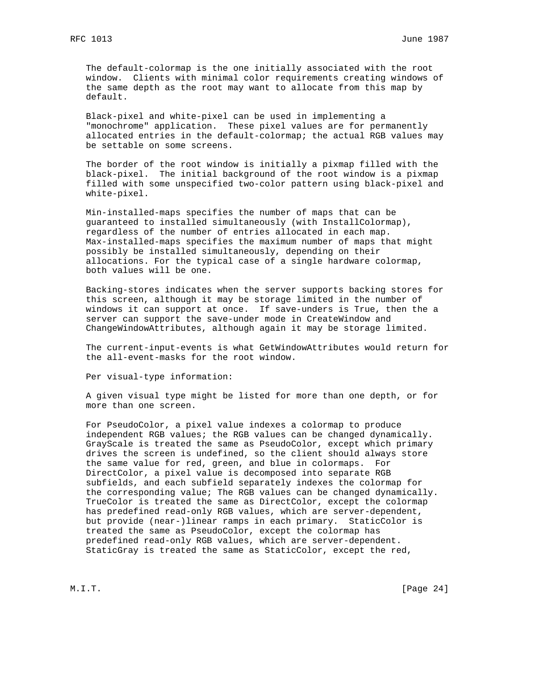The default-colormap is the one initially associated with the root window. Clients with minimal color requirements creating windows of the same depth as the root may want to allocate from this map by default.

 Black-pixel and white-pixel can be used in implementing a "monochrome" application. These pixel values are for permanently allocated entries in the default-colormap; the actual RGB values may be settable on some screens.

 The border of the root window is initially a pixmap filled with the black-pixel. The initial background of the root window is a pixmap filled with some unspecified two-color pattern using black-pixel and white-pixel.

 Min-installed-maps specifies the number of maps that can be guaranteed to installed simultaneously (with InstallColormap), regardless of the number of entries allocated in each map. Max-installed-maps specifies the maximum number of maps that might possibly be installed simultaneously, depending on their allocations. For the typical case of a single hardware colormap, both values will be one.

 Backing-stores indicates when the server supports backing stores for this screen, although it may be storage limited in the number of windows it can support at once. If save-unders is True, then the a server can support the save-under mode in CreateWindow and ChangeWindowAttributes, although again it may be storage limited.

 The current-input-events is what GetWindowAttributes would return for the all-event-masks for the root window.

Per visual-type information:

 A given visual type might be listed for more than one depth, or for more than one screen.

 For PseudoColor, a pixel value indexes a colormap to produce independent RGB values; the RGB values can be changed dynamically. GrayScale is treated the same as PseudoColor, except which primary drives the screen is undefined, so the client should always store the same value for red, green, and blue in colormaps. For DirectColor, a pixel value is decomposed into separate RGB subfields, and each subfield separately indexes the colormap for the corresponding value; The RGB values can be changed dynamically. TrueColor is treated the same as DirectColor, except the colormap has predefined read-only RGB values, which are server-dependent, but provide (near-)linear ramps in each primary. StaticColor is treated the same as PseudoColor, except the colormap has predefined read-only RGB values, which are server-dependent. StaticGray is treated the same as StaticColor, except the red,

M.I.T. [Page 24]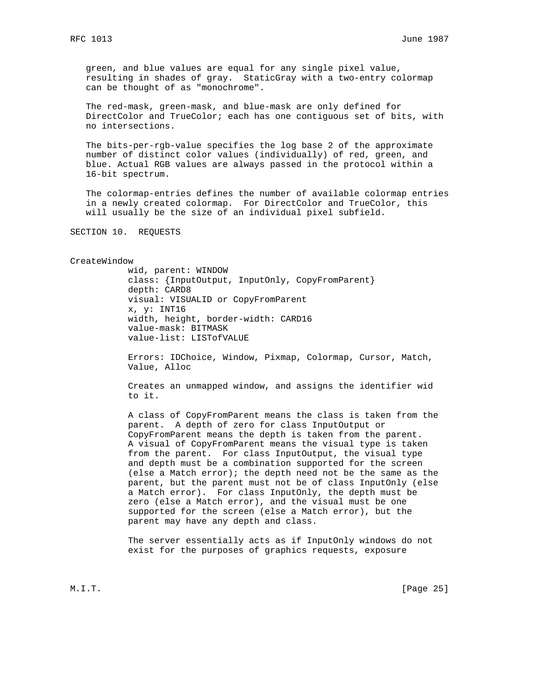green, and blue values are equal for any single pixel value, resulting in shades of gray. StaticGray with a two-entry colormap can be thought of as "monochrome".

 The red-mask, green-mask, and blue-mask are only defined for DirectColor and TrueColor; each has one contiguous set of bits, with no intersections.

 The bits-per-rgb-value specifies the log base 2 of the approximate number of distinct color values (individually) of red, green, and blue. Actual RGB values are always passed in the protocol within a 16-bit spectrum.

 The colormap-entries defines the number of available colormap entries in a newly created colormap. For DirectColor and TrueColor, this will usually be the size of an individual pixel subfield.

SECTION 10. REQUESTS

### CreateWindow

 wid, parent: WINDOW class: {InputOutput, InputOnly, CopyFromParent} depth: CARD8 visual: VISUALID or CopyFromParent x, y: INT16 width, height, border-width: CARD16 value-mask: BITMASK value-list: LISTofVALUE

 Errors: IDChoice, Window, Pixmap, Colormap, Cursor, Match, Value, Alloc

 Creates an unmapped window, and assigns the identifier wid to it.

 A class of CopyFromParent means the class is taken from the parent. A depth of zero for class InputOutput or CopyFromParent means the depth is taken from the parent. A visual of CopyFromParent means the visual type is taken from the parent. For class InputOutput, the visual type and depth must be a combination supported for the screen (else a Match error); the depth need not be the same as the parent, but the parent must not be of class InputOnly (else a Match error). For class InputOnly, the depth must be zero (else a Match error), and the visual must be one supported for the screen (else a Match error), but the parent may have any depth and class.

 The server essentially acts as if InputOnly windows do not exist for the purposes of graphics requests, exposure

M.I.T. [Page 25]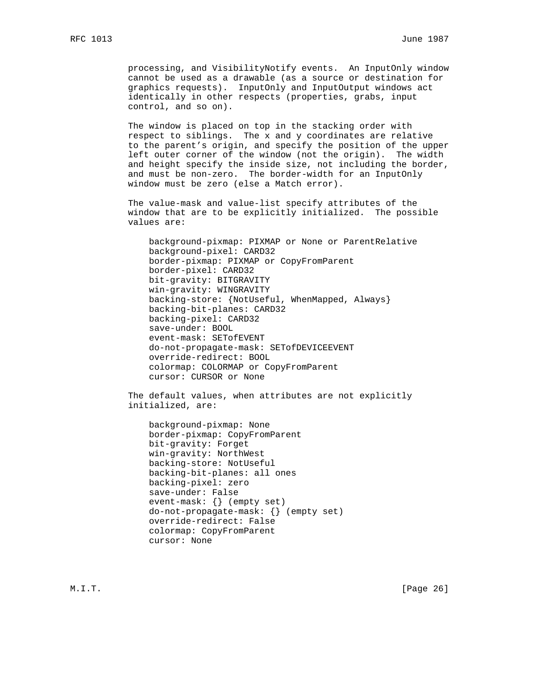processing, and VisibilityNotify events. An InputOnly window cannot be used as a drawable (as a source or destination for graphics requests). InputOnly and InputOutput windows act identically in other respects (properties, grabs, input control, and so on).

 The window is placed on top in the stacking order with respect to siblings. The x and y coordinates are relative to the parent's origin, and specify the position of the upper left outer corner of the window (not the origin). The width and height specify the inside size, not including the border, and must be non-zero. The border-width for an InputOnly window must be zero (else a Match error).

 The value-mask and value-list specify attributes of the window that are to be explicitly initialized. The possible values are:

 background-pixmap: PIXMAP or None or ParentRelative background-pixel: CARD32 border-pixmap: PIXMAP or CopyFromParent border-pixel: CARD32 bit-gravity: BITGRAVITY win-gravity: WINGRAVITY backing-store: {NotUseful, WhenMapped, Always} backing-bit-planes: CARD32 backing-pixel: CARD32 save-under: BOOL event-mask: SETofEVENT do-not-propagate-mask: SETofDEVICEEVENT override-redirect: BOOL colormap: COLORMAP or CopyFromParent cursor: CURSOR or None

 The default values, when attributes are not explicitly initialized, are:

 background-pixmap: None border-pixmap: CopyFromParent bit-gravity: Forget win-gravity: NorthWest backing-store: NotUseful backing-bit-planes: all ones backing-pixel: zero save-under: False event-mask: {} (empty set) do-not-propagate-mask: {} (empty set) override-redirect: False colormap: CopyFromParent cursor: None

M.I.T. [Page 26]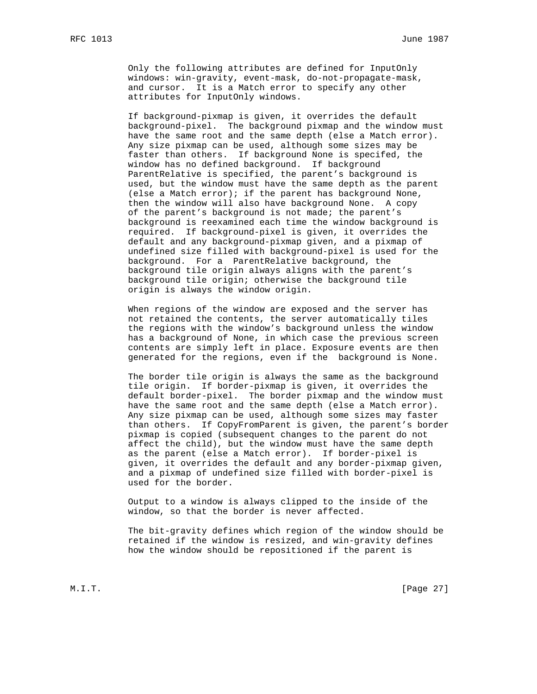Only the following attributes are defined for InputOnly windows: win-gravity, event-mask, do-not-propagate-mask, and cursor. It is a Match error to specify any other attributes for InputOnly windows.

 If background-pixmap is given, it overrides the default background-pixel. The background pixmap and the window must have the same root and the same depth (else a Match error). Any size pixmap can be used, although some sizes may be faster than others. If background None is specifed, the window has no defined background. If background ParentRelative is specified, the parent's background is used, but the window must have the same depth as the parent (else a Match error); if the parent has background None, then the window will also have background None. A copy of the parent's background is not made; the parent's background is reexamined each time the window background is required. If background-pixel is given, it overrides the default and any background-pixmap given, and a pixmap of undefined size filled with background-pixel is used for the background. For a ParentRelative background, the background tile origin always aligns with the parent's background tile origin; otherwise the background tile origin is always the window origin.

 When regions of the window are exposed and the server has not retained the contents, the server automatically tiles the regions with the window's background unless the window has a background of None, in which case the previous screen contents are simply left in place. Exposure events are then generated for the regions, even if the background is None.

 The border tile origin is always the same as the background tile origin. If border-pixmap is given, it overrides the default border-pixel. The border pixmap and the window must have the same root and the same depth (else a Match error). Any size pixmap can be used, although some sizes may faster than others. If CopyFromParent is given, the parent's border pixmap is copied (subsequent changes to the parent do not affect the child), but the window must have the same depth as the parent (else a Match error). If border-pixel is given, it overrides the default and any border-pixmap given, and a pixmap of undefined size filled with border-pixel is used for the border.

 Output to a window is always clipped to the inside of the window, so that the border is never affected.

 The bit-gravity defines which region of the window should be retained if the window is resized, and win-gravity defines how the window should be repositioned if the parent is

M.I.T. [Page 27]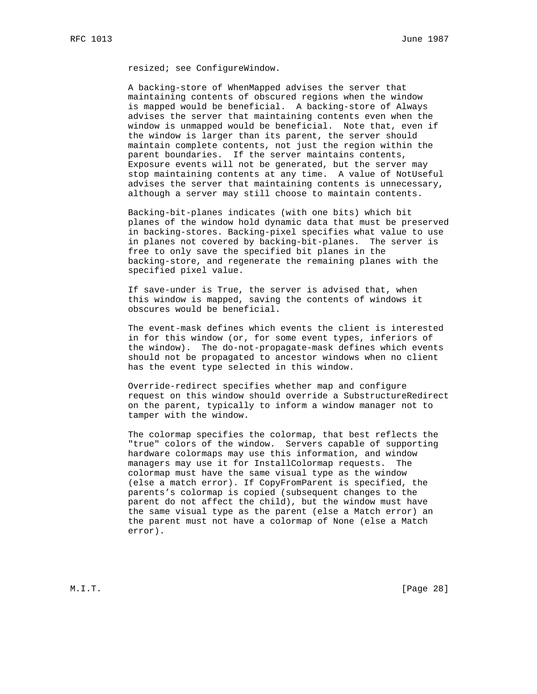resized; see ConfigureWindow.

 A backing-store of WhenMapped advises the server that maintaining contents of obscured regions when the window is mapped would be beneficial. A backing-store of Always advises the server that maintaining contents even when the window is unmapped would be beneficial. Note that, even if the window is larger than its parent, the server should maintain complete contents, not just the region within the parent boundaries. If the server maintains contents, Exposure events will not be generated, but the server may stop maintaining contents at any time. A value of NotUseful advises the server that maintaining contents is unnecessary, although a server may still choose to maintain contents.

 Backing-bit-planes indicates (with one bits) which bit planes of the window hold dynamic data that must be preserved in backing-stores. Backing-pixel specifies what value to use in planes not covered by backing-bit-planes. The server is free to only save the specified bit planes in the backing-store, and regenerate the remaining planes with the specified pixel value.

 If save-under is True, the server is advised that, when this window is mapped, saving the contents of windows it obscures would be beneficial.

 The event-mask defines which events the client is interested in for this window (or, for some event types, inferiors of the window). The do-not-propagate-mask defines which events should not be propagated to ancestor windows when no client has the event type selected in this window.

 Override-redirect specifies whether map and configure request on this window should override a SubstructureRedirect on the parent, typically to inform a window manager not to tamper with the window.

 The colormap specifies the colormap, that best reflects the "true" colors of the window. Servers capable of supporting hardware colormaps may use this information, and window managers may use it for InstallColormap requests. The colormap must have the same visual type as the window (else a match error). If CopyFromParent is specified, the parents's colormap is copied (subsequent changes to the parent do not affect the child), but the window must have the same visual type as the parent (else a Match error) an the parent must not have a colormap of None (else a Match error).

M.I.T. [Page 28]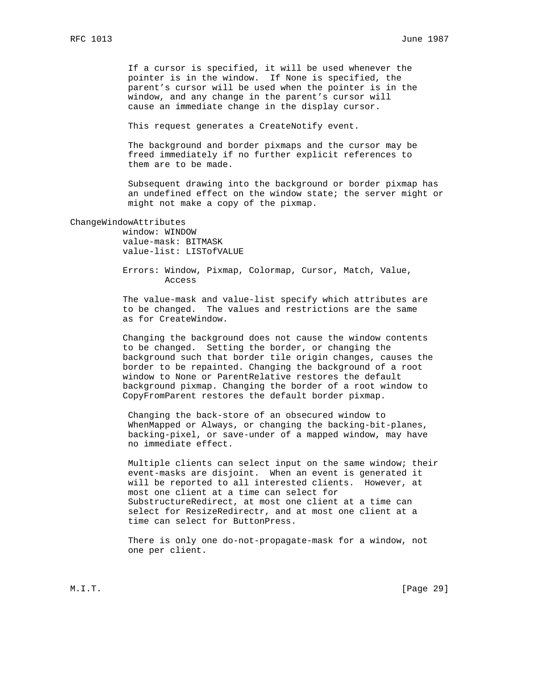If a cursor is specified, it will be used whenever the pointer is in the window. If None is specified, the parent's cursor will be used when the pointer is in the window, and any change in the parent's cursor will cause an immediate change in the display cursor.

This request generates a CreateNotify event.

 The background and border pixmaps and the cursor may be freed immediately if no further explicit references to them are to be made.

 Subsequent drawing into the background or border pixmap has an undefined effect on the window state; the server might or might not make a copy of the pixmap.

ChangeWindowAttributes

 window: WINDOW value-mask: BITMASK value-list: LISTofVALUE

 Errors: Window, Pixmap, Colormap, Cursor, Match, Value, Access

 The value-mask and value-list specify which attributes are to be changed. The values and restrictions are the same as for CreateWindow.

 Changing the background does not cause the window contents to be changed. Setting the border, or changing the background such that border tile origin changes, causes the border to be repainted. Changing the background of a root window to None or ParentRelative restores the default background pixmap. Changing the border of a root window to CopyFromParent restores the default border pixmap.

 Changing the back-store of an obsecured window to WhenMapped or Always, or changing the backing-bit-planes, backing-pixel, or save-under of a mapped window, may have no immediate effect.

 Multiple clients can select input on the same window; their event-masks are disjoint. When an event is generated it will be reported to all interested clients. However, at most one client at a time can select for SubstructureRedirect, at most one client at a time can select for ResizeRedirectr, and at most one client at a time can select for ButtonPress.

 There is only one do-not-propagate-mask for a window, not one per client.

M.I.T. [Page 29]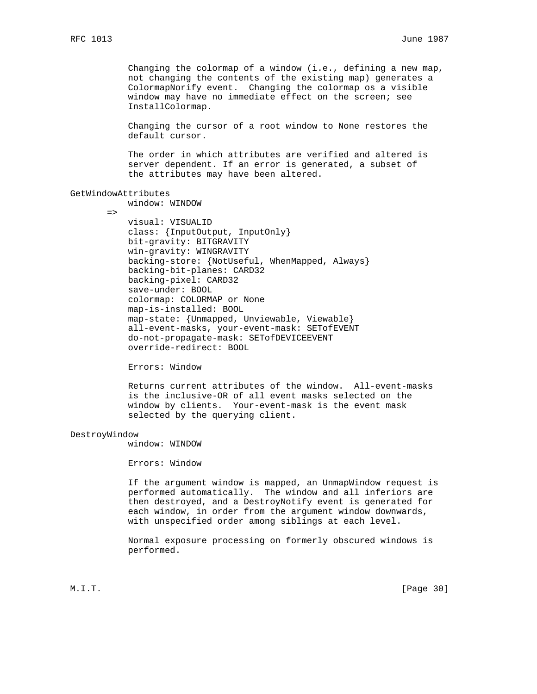Changing the colormap of a window (i.e., defining a new map, not changing the contents of the existing map) generates a ColormapNorify event. Changing the colormap os a visible window may have no immediate effect on the screen; see InstallColormap.

 Changing the cursor of a root window to None restores the default cursor.

 The order in which attributes are verified and altered is server dependent. If an error is generated, a subset of the attributes may have been altered.

## GetWindowAttributes

window: WINDOW

=>

 visual: VISUALID class: {InputOutput, InputOnly} bit-gravity: BITGRAVITY win-gravity: WINGRAVITY backing-store: {NotUseful, WhenMapped, Always} backing-bit-planes: CARD32 backing-pixel: CARD32 save-under: BOOL colormap: COLORMAP or None map-is-installed: BOOL map-state: {Unmapped, Unviewable, Viewable} all-event-masks, your-event-mask: SETofEVENT do-not-propagate-mask: SETofDEVICEEVENT override-redirect: BOOL

Errors: Window

 Returns current attributes of the window. All-event-masks is the inclusive-OR of all event masks selected on the window by clients. Your-event-mask is the event mask selected by the querying client.

#### DestroyWindow

window: WINDOW

Errors: Window

 If the argument window is mapped, an UnmapWindow request is performed automatically. The window and all inferiors are then destroyed, and a DestroyNotify event is generated for each window, in order from the argument window downwards, with unspecified order among siblings at each level.

 Normal exposure processing on formerly obscured windows is performed.

M.I.T. [Page 30]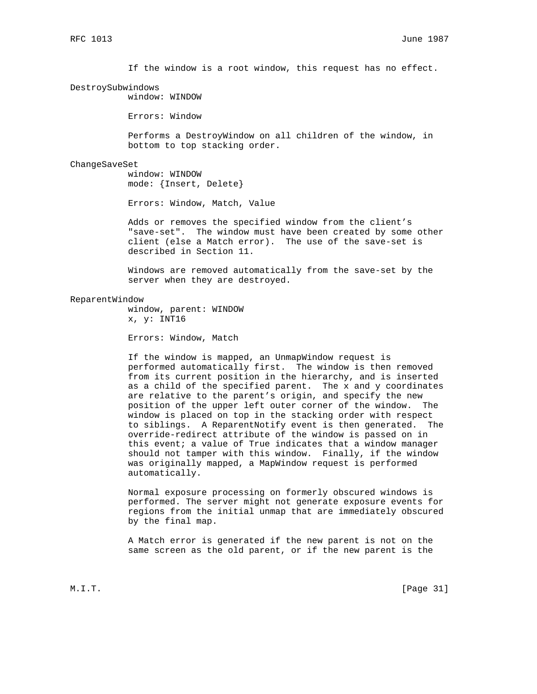If the window is a root window, this request has no effect.

#### DestroySubwindows

window: WINDOW

Errors: Window

 Performs a DestroyWindow on all children of the window, in bottom to top stacking order.

## ChangeSaveSet

 window: WINDOW mode: {Insert, Delete}

Errors: Window, Match, Value

 Adds or removes the specified window from the client's "save-set". The window must have been created by some other client (else a Match error). The use of the save-set is described in Section 11.

 Windows are removed automatically from the save-set by the server when they are destroyed.

### ReparentWindow

 window, parent: WINDOW x, y: INT16

Errors: Window, Match

 If the window is mapped, an UnmapWindow request is performed automatically first. The window is then removed from its current position in the hierarchy, and is inserted as a child of the specified parent. The x and y coordinates are relative to the parent's origin, and specify the new position of the upper left outer corner of the window. The window is placed on top in the stacking order with respect to siblings. A ReparentNotify event is then generated. The override-redirect attribute of the window is passed on in this event; a value of True indicates that a window manager should not tamper with this window. Finally, if the window was originally mapped, a MapWindow request is performed automatically.

 Normal exposure processing on formerly obscured windows is performed. The server might not generate exposure events for regions from the initial unmap that are immediately obscured by the final map.

 A Match error is generated if the new parent is not on the same screen as the old parent, or if the new parent is the

M.I.T. [Page 31]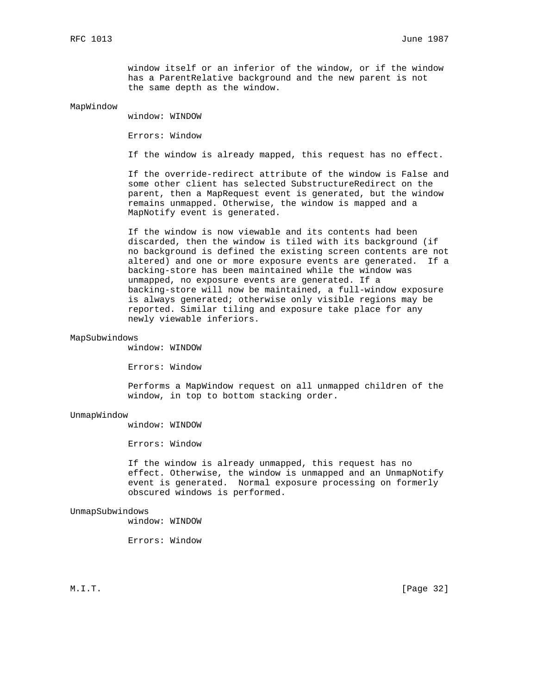window itself or an inferior of the window, or if the window has a ParentRelative background and the new parent is not the same depth as the window.

# MapWindow

window: WINDOW

Errors: Window

If the window is already mapped, this request has no effect.

 If the override-redirect attribute of the window is False and some other client has selected SubstructureRedirect on the parent, then a MapRequest event is generated, but the window remains unmapped. Otherwise, the window is mapped and a MapNotify event is generated.

 If the window is now viewable and its contents had been discarded, then the window is tiled with its background (if no background is defined the existing screen contents are not altered) and one or more exposure events are generated. If a backing-store has been maintained while the window was unmapped, no exposure events are generated. If a backing-store will now be maintained, a full-window exposure is always generated; otherwise only visible regions may be reported. Similar tiling and exposure take place for any newly viewable inferiors.

### MapSubwindows

window: WINDOW

Errors: Window

 Performs a MapWindow request on all unmapped children of the window, in top to bottom stacking order.

### UnmapWindow

window: WINDOW

Errors: Window

 If the window is already unmapped, this request has no effect. Otherwise, the window is unmapped and an UnmapNotify event is generated. Normal exposure processing on formerly obscured windows is performed.

## UnmapSubwindows

window: WINDOW

Errors: Window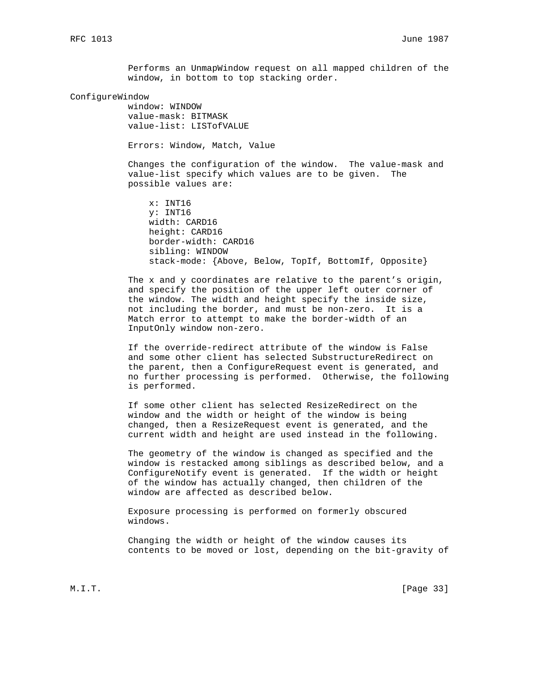Performs an UnmapWindow request on all mapped children of the window, in bottom to top stacking order.

# ConfigureWindow

 window: WINDOW value-mask: BITMASK value-list: LISTofVALUE

Errors: Window, Match, Value

 Changes the configuration of the window. The value-mask and value-list specify which values are to be given. The possible values are:

 x: INT16 y: INT16 width: CARD16 height: CARD16 border-width: CARD16 sibling: WINDOW stack-mode: {Above, Below, TopIf, BottomIf, Opposite}

 The x and y coordinates are relative to the parent's origin, and specify the position of the upper left outer corner of the window. The width and height specify the inside size, not including the border, and must be non-zero. It is a Match error to attempt to make the border-width of an InputOnly window non-zero.

 If the override-redirect attribute of the window is False and some other client has selected SubstructureRedirect on the parent, then a ConfigureRequest event is generated, and no further processing is performed. Otherwise, the following is performed.

 If some other client has selected ResizeRedirect on the window and the width or height of the window is being changed, then a ResizeRequest event is generated, and the current width and height are used instead in the following.

 The geometry of the window is changed as specified and the window is restacked among siblings as described below, and a ConfigureNotify event is generated. If the width or height of the window has actually changed, then children of the window are affected as described below.

 Exposure processing is performed on formerly obscured windows.

 Changing the width or height of the window causes its contents to be moved or lost, depending on the bit-gravity of

M.I.T. [Page 33]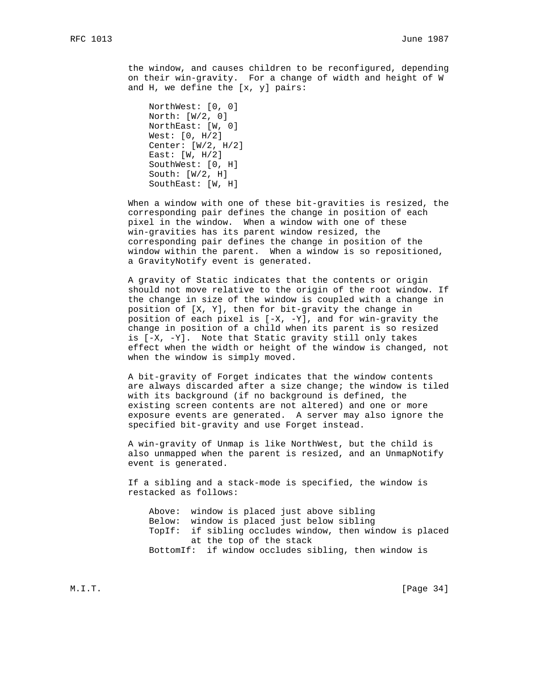the window, and causes children to be reconfigured, depending on their win-gravity. For a change of width and height of W and H, we define the [x, y] pairs:

 NorthWest: [0, 0] North: [W/2, 0] NorthEast: [W, 0] West: [0, H/2] Center: [W/2, H/2] East:  $[W, H/2]$  SouthWest: [0, H] South: [W/2, H] SouthEast: [W, H]

 When a window with one of these bit-gravities is resized, the corresponding pair defines the change in position of each pixel in the window. When a window with one of these win-gravities has its parent window resized, the corresponding pair defines the change in position of the window within the parent. When a window is so repositioned, a GravityNotify event is generated.

 A gravity of Static indicates that the contents or origin should not move relative to the origin of the root window. If the change in size of the window is coupled with a change in position of [X, Y], then for bit-gravity the change in position of each pixel is [-X, -Y], and for win-gravity the change in position of a child when its parent is so resized is [-X, -Y]. Note that Static gravity still only takes effect when the width or height of the window is changed, not when the window is simply moved.

 A bit-gravity of Forget indicates that the window contents are always discarded after a size change; the window is tiled with its background (if no background is defined, the existing screen contents are not altered) and one or more exposure events are generated. A server may also ignore the specified bit-gravity and use Forget instead.

 A win-gravity of Unmap is like NorthWest, but the child is also unmapped when the parent is resized, and an UnmapNotify event is generated.

 If a sibling and a stack-mode is specified, the window is restacked as follows:

 Above: window is placed just above sibling Below: window is placed just below sibling TopIf: if sibling occludes window, then window is placed at the top of the stack BottomIf: if window occludes sibling, then window is

M.I.T. [Page 34]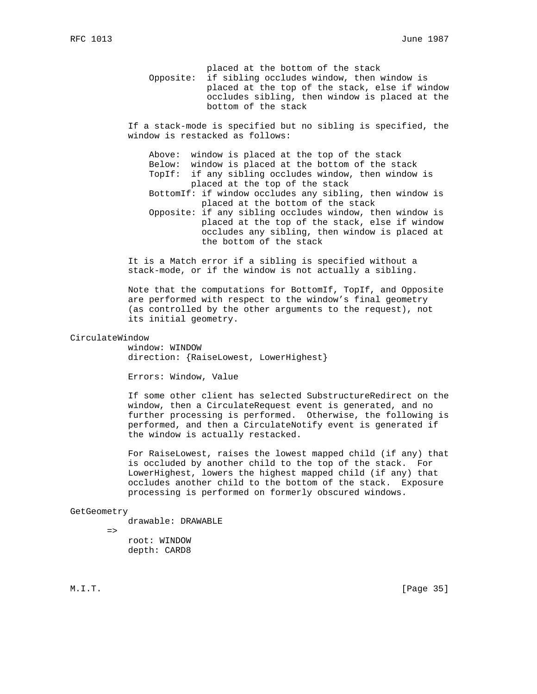placed at the bottom of the stack Opposite: if sibling occludes window, then window is placed at the top of the stack, else if window occludes sibling, then window is placed at the bottom of the stack

 If a stack-mode is specified but no sibling is specified, the window is restacked as follows:

 Above: window is placed at the top of the stack Below: window is placed at the bottom of the stack TopIf: if any sibling occludes window, then window is placed at the top of the stack BottomIf: if window occludes any sibling, then window is placed at the bottom of the stack

 Opposite: if any sibling occludes window, then window is placed at the top of the stack, else if window occludes any sibling, then window is placed at the bottom of the stack

 It is a Match error if a sibling is specified without a stack-mode, or if the window is not actually a sibling.

 Note that the computations for BottomIf, TopIf, and Opposite are performed with respect to the window's final geometry (as controlled by the other arguments to the request), not its initial geometry.

# CirculateWindow

 window: WINDOW direction: {RaiseLowest, LowerHighest}

Errors: Window, Value

 If some other client has selected SubstructureRedirect on the window, then a CirculateRequest event is generated, and no further processing is performed. Otherwise, the following is performed, and then a CirculateNotify event is generated if the window is actually restacked.

 For RaiseLowest, raises the lowest mapped child (if any) that is occluded by another child to the top of the stack. For LowerHighest, lowers the highest mapped child (if any) that occludes another child to the bottom of the stack. Exposure processing is performed on formerly obscured windows.

# GetGeometry

drawable: DRAWABLE

 $=$ 

 root: WINDOW depth: CARD8

M.I.T. [Page 35]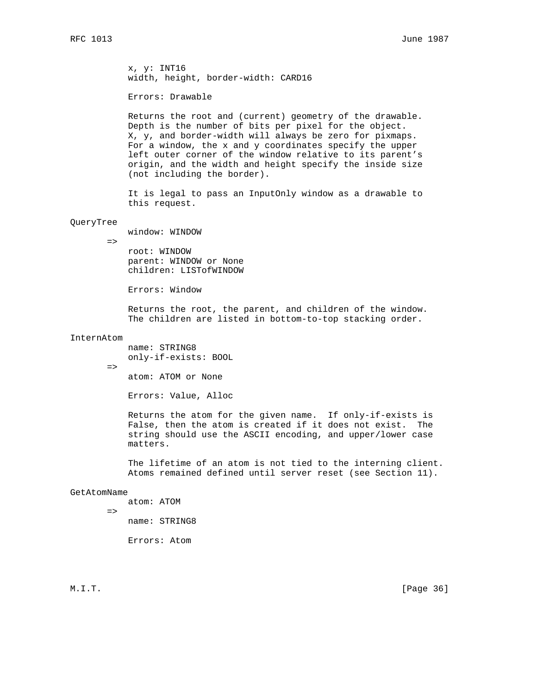x, y: INT16 width, height, border-width: CARD16

Errors: Drawable

 Returns the root and (current) geometry of the drawable. Depth is the number of bits per pixel for the object. X, y, and border-width will always be zero for pixmaps. For a window, the x and y coordinates specify the upper left outer corner of the window relative to its parent's origin, and the width and height specify the inside size (not including the border).

 It is legal to pass an InputOnly window as a drawable to this request.

#### QueryTree

window: WINDOW

 $\Rightarrow$ 

 root: WINDOW parent: WINDOW or None children: LISTofWINDOW

Errors: Window

 Returns the root, the parent, and children of the window. The children are listed in bottom-to-top stacking order.

### InternAtom

 name: STRING8 only-if-exists: BOOL

=>

atom: ATOM or None

Errors: Value, Alloc

 Returns the atom for the given name. If only-if-exists is False, then the atom is created if it does not exist. The string should use the ASCII encoding, and upper/lower case matters.

 The lifetime of an atom is not tied to the interning client. Atoms remained defined until server reset (see Section 11).

#### GetAtomName

=>

atom: ATOM

name: STRING8

Errors: Atom

M.I.T. [Page 36]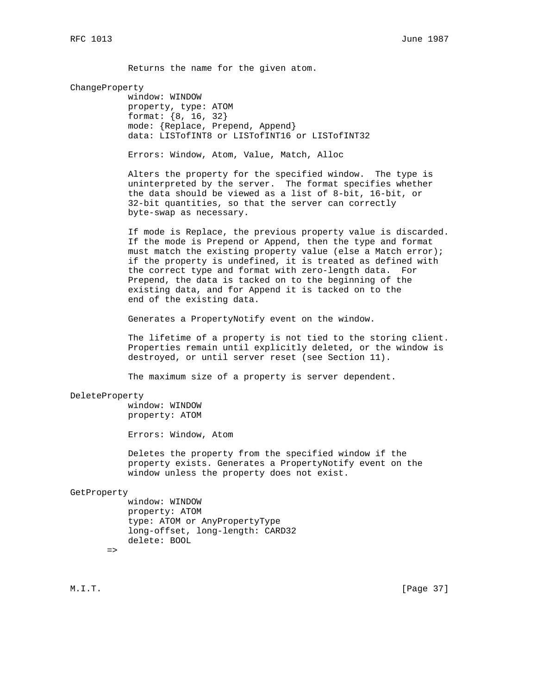Returns the name for the given atom.

### ChangeProperty

 window: WINDOW property, type: ATOM format: {8, 16, 32} mode: {Replace, Prepend, Append} data: LISTofINT8 or LISTofINT16 or LISTofINT32

Errors: Window, Atom, Value, Match, Alloc

 Alters the property for the specified window. The type is uninterpreted by the server. The format specifies whether the data should be viewed as a list of 8-bit, 16-bit, or 32-bit quantities, so that the server can correctly byte-swap as necessary.

 If mode is Replace, the previous property value is discarded. If the mode is Prepend or Append, then the type and format must match the existing property value (else a Match error); if the property is undefined, it is treated as defined with the correct type and format with zero-length data. For Prepend, the data is tacked on to the beginning of the existing data, and for Append it is tacked on to the end of the existing data.

Generates a PropertyNotify event on the window.

 The lifetime of a property is not tied to the storing client. Properties remain until explicitly deleted, or the window is destroyed, or until server reset (see Section 11).

The maximum size of a property is server dependent.

#### DeleteProperty

 window: WINDOW property: ATOM

Errors: Window, Atom

 Deletes the property from the specified window if the property exists. Generates a PropertyNotify event on the window unless the property does not exist.

### GetProperty

 window: WINDOW property: ATOM type: ATOM or AnyPropertyType long-offset, long-length: CARD32 delete: BOOL

 $\Rightarrow$ 

M.I.T. [Page 37]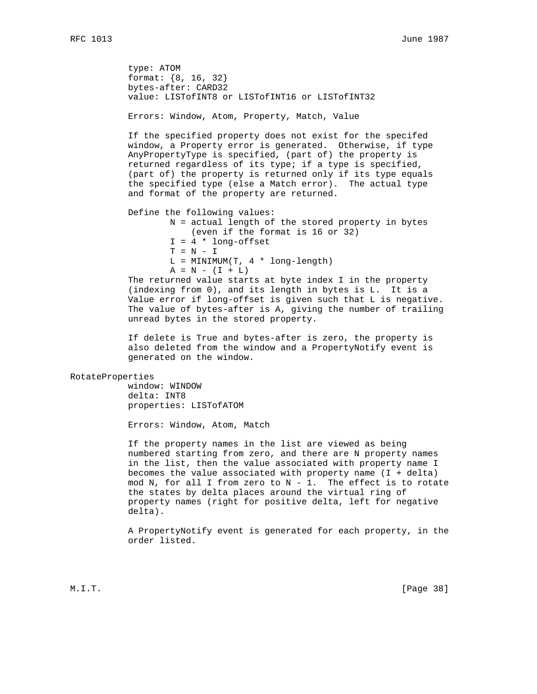type: ATOM format: {8, 16, 32} bytes-after: CARD32 value: LISTofINT8 or LISTofINT16 or LISTofINT32 Errors: Window, Atom, Property, Match, Value If the specified property does not exist for the specifed window, a Property error is generated. Otherwise, if type AnyPropertyType is specified, (part of) the property is returned regardless of its type; if a type is specified, (part of) the property is returned only if its type equals the specified type (else a Match error). The actual type and format of the property are returned. Define the following values: N = actual length of the stored property in bytes (even if the format is 16 or 32)  $I = 4 * long-offset$  $\mathbb{T}~=~\mathbb{N}~-~\mathbb{I}$  $L = MINIMUM(T, 4 * long-length)$  $A = N - (I + L)$  The returned value starts at byte index I in the property (indexing from 0), and its length in bytes is L. It is a

 Value error if long-offset is given such that L is negative. The value of bytes-after is A, giving the number of trailing unread bytes in the stored property.

 If delete is True and bytes-after is zero, the property is also deleted from the window and a PropertyNotify event is generated on the window.

## RotateProperties

 window: WINDOW delta: INT8 properties: LISTofATOM

Errors: Window, Atom, Match

 If the property names in the list are viewed as being numbered starting from zero, and there are N property names in the list, then the value associated with property name I becomes the value associated with property name (I + delta) mod N, for all I from zero to N - 1. The effect is to rotate the states by delta places around the virtual ring of property names (right for positive delta, left for negative delta).

 A PropertyNotify event is generated for each property, in the order listed.

M.I.T. [Page 38]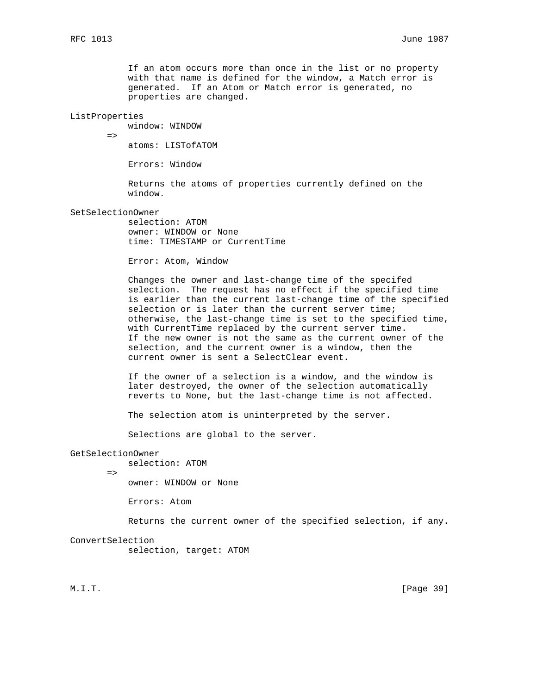If an atom occurs more than once in the list or no property with that name is defined for the window, a Match error is generated. If an Atom or Match error is generated, no properties are changed.

## ListProperties

=>

window: WINDOW

atoms: LISTofATOM

Errors: Window

 Returns the atoms of properties currently defined on the window.

## SetSelectionOwner

 selection: ATOM owner: WINDOW or None time: TIMESTAMP or CurrentTime

Error: Atom, Window

 Changes the owner and last-change time of the specifed selection. The request has no effect if the specified time is earlier than the current last-change time of the specified selection or is later than the current server time; otherwise, the last-change time is set to the specified time, with CurrentTime replaced by the current server time. If the new owner is not the same as the current owner of the selection, and the current owner is a window, then the current owner is sent a SelectClear event.

 If the owner of a selection is a window, and the window is later destroyed, the owner of the selection automatically reverts to None, but the last-change time is not affected.

The selection atom is uninterpreted by the server.

Selections are global to the server.

GetSelectionOwner

 $=$ 

selection: ATOM

owner: WINDOW or None

Errors: Atom

Returns the current owner of the specified selection, if any.

## ConvertSelection

selection, target: ATOM

M.I.T. [Page 39]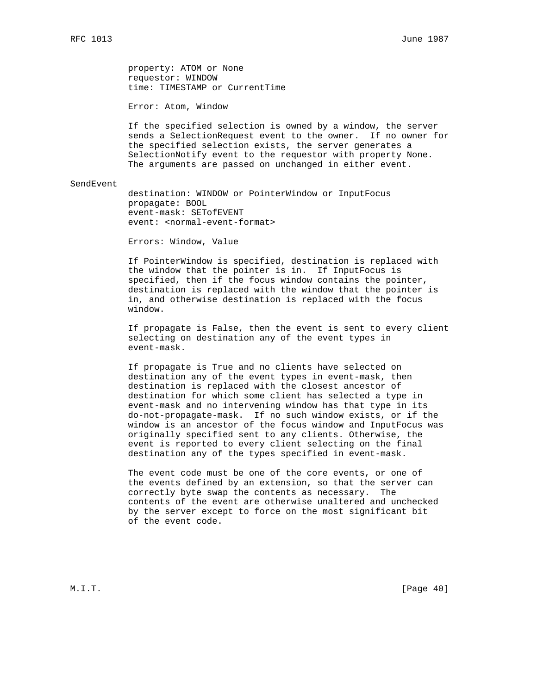property: ATOM or None requestor: WINDOW time: TIMESTAMP or CurrentTime

Error: Atom, Window

 If the specified selection is owned by a window, the server sends a SelectionRequest event to the owner. If no owner for the specified selection exists, the server generates a SelectionNotify event to the requestor with property None. The arguments are passed on unchanged in either event.

# SendEvent

 destination: WINDOW or PointerWindow or InputFocus propagate: BOOL event-mask: SETofEVENT event: <normal-event-format>

Errors: Window, Value

 If PointerWindow is specified, destination is replaced with the window that the pointer is in. If InputFocus is specified, then if the focus window contains the pointer, destination is replaced with the window that the pointer is in, and otherwise destination is replaced with the focus window.

 If propagate is False, then the event is sent to every client selecting on destination any of the event types in event-mask.

 If propagate is True and no clients have selected on destination any of the event types in event-mask, then destination is replaced with the closest ancestor of destination for which some client has selected a type in event-mask and no intervening window has that type in its do-not-propagate-mask. If no such window exists, or if the window is an ancestor of the focus window and InputFocus was originally specified sent to any clients. Otherwise, the event is reported to every client selecting on the final destination any of the types specified in event-mask.

 The event code must be one of the core events, or one of the events defined by an extension, so that the server can correctly byte swap the contents as necessary. The contents of the event are otherwise unaltered and unchecked by the server except to force on the most significant bit of the event code.

M.I.T. [Page 40]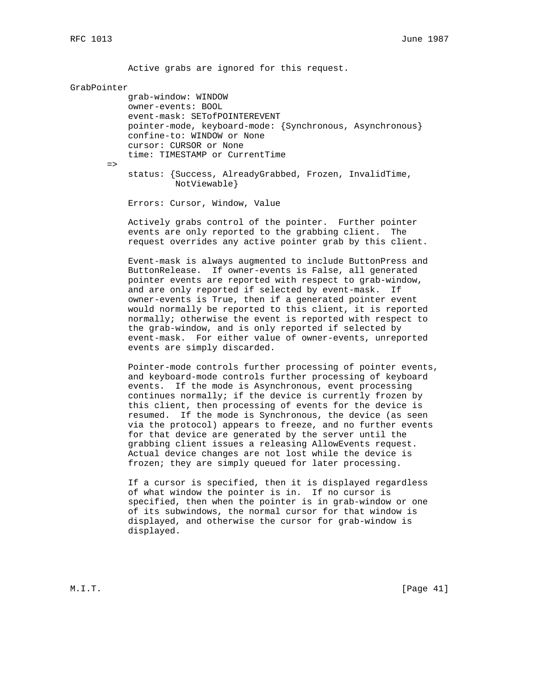Active grabs are ignored for this request.

#### GrabPointer

```
 grab-window: WINDOW
     owner-events: BOOL
     event-mask: SETofPOINTEREVENT
     pointer-mode, keyboard-mode: {Synchronous, Asynchronous}
     confine-to: WINDOW or None
     cursor: CURSOR or None
     time: TIMESTAMP or CurrentTime
 =>
     status: {Success, AlreadyGrabbed, Frozen, InvalidTime,
```
 NotViewable} Errors: Cursor, Window, Value

 Actively grabs control of the pointer. Further pointer events are only reported to the grabbing client. The request overrides any active pointer grab by this client.

 Event-mask is always augmented to include ButtonPress and ButtonRelease. If owner-events is False, all generated pointer events are reported with respect to grab-window, and are only reported if selected by event-mask. If owner-events is True, then if a generated pointer event would normally be reported to this client, it is reported normally; otherwise the event is reported with respect to the grab-window, and is only reported if selected by event-mask. For either value of owner-events, unreported events are simply discarded.

 Pointer-mode controls further processing of pointer events, and keyboard-mode controls further processing of keyboard events. If the mode is Asynchronous, event processing continues normally; if the device is currently frozen by this client, then processing of events for the device is resumed. If the mode is Synchronous, the device (as seen via the protocol) appears to freeze, and no further events for that device are generated by the server until the grabbing client issues a releasing AllowEvents request. Actual device changes are not lost while the device is frozen; they are simply queued for later processing.

 If a cursor is specified, then it is displayed regardless of what window the pointer is in. If no cursor is specified, then when the pointer is in grab-window or one of its subwindows, the normal cursor for that window is displayed, and otherwise the cursor for grab-window is displayed.

M.I.T. [Page 41]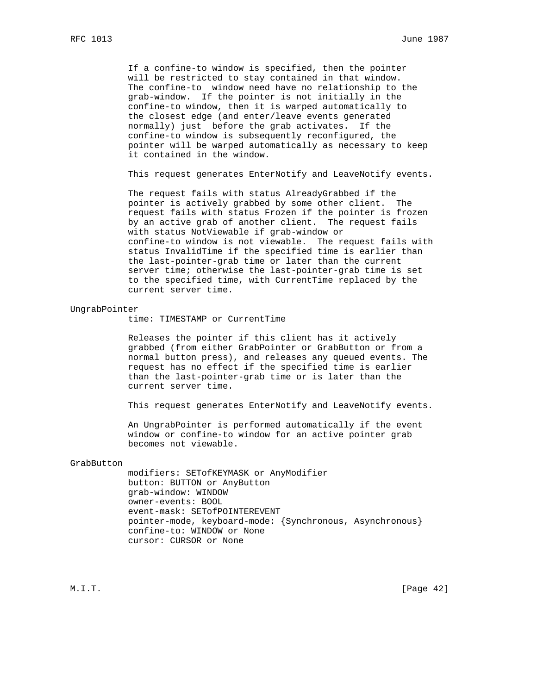If a confine-to window is specified, then the pointer will be restricted to stay contained in that window. The confine-to window need have no relationship to the grab-window. If the pointer is not initially in the confine-to window, then it is warped automatically to the closest edge (and enter/leave events generated normally) just before the grab activates. If the confine-to window is subsequently reconfigured, the pointer will be warped automatically as necessary to keep it contained in the window.

This request generates EnterNotify and LeaveNotify events.

 The request fails with status AlreadyGrabbed if the pointer is actively grabbed by some other client. The request fails with status Frozen if the pointer is frozen by an active grab of another client. The request fails with status NotViewable if grab-window or confine-to window is not viewable. The request fails with status InvalidTime if the specified time is earlier than the last-pointer-grab time or later than the current server time; otherwise the last-pointer-grab time is set to the specified time, with CurrentTime replaced by the current server time.

#### UngrabPointer

time: TIMESTAMP or CurrentTime

 Releases the pointer if this client has it actively grabbed (from either GrabPointer or GrabButton or from a normal button press), and releases any queued events. The request has no effect if the specified time is earlier than the last-pointer-grab time or is later than the current server time.

This request generates EnterNotify and LeaveNotify events.

 An UngrabPointer is performed automatically if the event window or confine-to window for an active pointer grab becomes not viewable.

# GrabButton

 modifiers: SETofKEYMASK or AnyModifier button: BUTTON or AnyButton grab-window: WINDOW owner-events: BOOL event-mask: SETofPOINTEREVENT pointer-mode, keyboard-mode: {Synchronous, Asynchronous} confine-to: WINDOW or None cursor: CURSOR or None

M.I.T. [Page 42]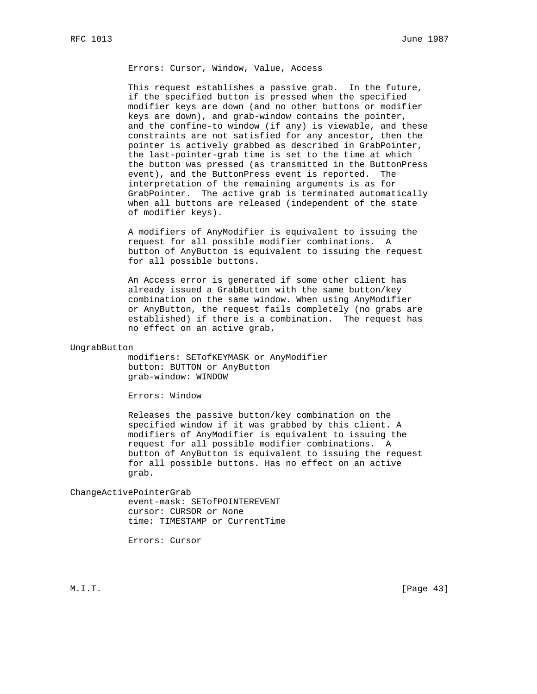Errors: Cursor, Window, Value, Access

 This request establishes a passive grab. In the future, if the specified button is pressed when the specified modifier keys are down (and no other buttons or modifier keys are down), and grab-window contains the pointer, and the confine-to window (if any) is viewable, and these constraints are not satisfied for any ancestor, then the pointer is actively grabbed as described in GrabPointer, the last-pointer-grab time is set to the time at which the button was pressed (as transmitted in the ButtonPress event), and the ButtonPress event is reported. The interpretation of the remaining arguments is as for GrabPointer. The active grab is terminated automatically when all buttons are released (independent of the state of modifier keys).

 A modifiers of AnyModifier is equivalent to issuing the request for all possible modifier combinations. A button of AnyButton is equivalent to issuing the request for all possible buttons.

 An Access error is generated if some other client has already issued a GrabButton with the same button/key combination on the same window. When using AnyModifier or AnyButton, the request fails completely (no grabs are established) if there is a combination. The request has no effect on an active grab.

UngrabButton

 modifiers: SETofKEYMASK or AnyModifier button: BUTTON or AnyButton grab-window: WINDOW

Errors: Window

 Releases the passive button/key combination on the specified window if it was grabbed by this client. A modifiers of AnyModifier is equivalent to issuing the request for all possible modifier combinations. A button of AnyButton is equivalent to issuing the request for all possible buttons. Has no effect on an active grab.

ChangeActivePointerGrab

 event-mask: SETofPOINTEREVENT cursor: CURSOR or None time: TIMESTAMP or CurrentTime

Errors: Cursor

M.I.T. [Page 43]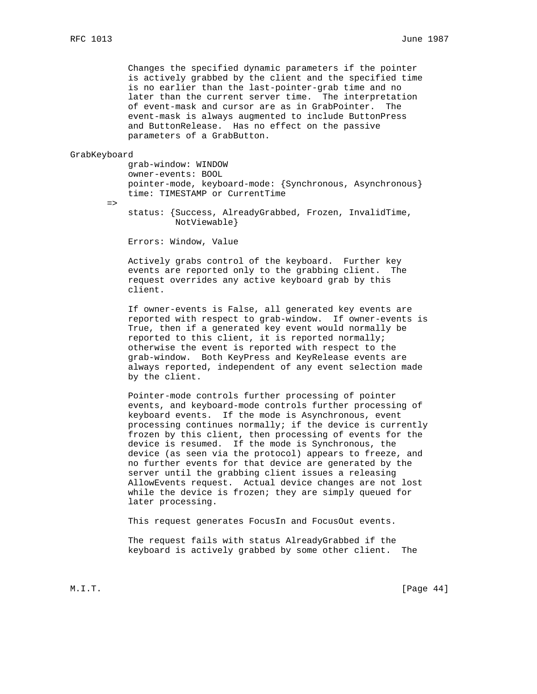Changes the specified dynamic parameters if the pointer is actively grabbed by the client and the specified time is no earlier than the last-pointer-grab time and no later than the current server time. The interpretation of event-mask and cursor are as in GrabPointer. The event-mask is always augmented to include ButtonPress and ButtonRelease. Has no effect on the passive parameters of a GrabButton.

## GrabKeyboard

 $\Rightarrow$ 

 grab-window: WINDOW owner-events: BOOL pointer-mode, keyboard-mode: {Synchronous, Asynchronous} time: TIMESTAMP or CurrentTime

 status: {Success, AlreadyGrabbed, Frozen, InvalidTime, NotViewable}

Errors: Window, Value

 Actively grabs control of the keyboard. Further key events are reported only to the grabbing client. The request overrides any active keyboard grab by this client.

 If owner-events is False, all generated key events are reported with respect to grab-window. If owner-events is True, then if a generated key event would normally be reported to this client, it is reported normally; otherwise the event is reported with respect to the grab-window. Both KeyPress and KeyRelease events are always reported, independent of any event selection made by the client.

 Pointer-mode controls further processing of pointer events, and keyboard-mode controls further processing of keyboard events. If the mode is Asynchronous, event processing continues normally; if the device is currently frozen by this client, then processing of events for the device is resumed. If the mode is Synchronous, the device (as seen via the protocol) appears to freeze, and no further events for that device are generated by the server until the grabbing client issues a releasing AllowEvents request. Actual device changes are not lost while the device is frozen; they are simply queued for later processing.

This request generates FocusIn and FocusOut events.

 The request fails with status AlreadyGrabbed if the keyboard is actively grabbed by some other client. The

M.I.T. [Page 44]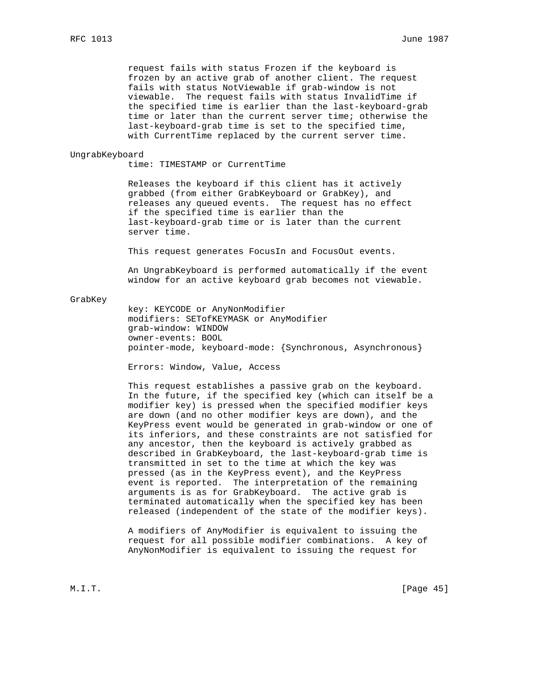request fails with status Frozen if the keyboard is frozen by an active grab of another client. The request fails with status NotViewable if grab-window is not viewable. The request fails with status InvalidTime if the specified time is earlier than the last-keyboard-grab time or later than the current server time; otherwise the last-keyboard-grab time is set to the specified time, with CurrentTime replaced by the current server time.

## UngrabKeyboard

time: TIMESTAMP or CurrentTime

 Releases the keyboard if this client has it actively grabbed (from either GrabKeyboard or GrabKey), and releases any queued events. The request has no effect if the specified time is earlier than the last-keyboard-grab time or is later than the current server time.

This request generates FocusIn and FocusOut events.

 An UngrabKeyboard is performed automatically if the event window for an active keyboard grab becomes not viewable.

# GrabKey

 key: KEYCODE or AnyNonModifier modifiers: SETofKEYMASK or AnyModifier grab-window: WINDOW owner-events: BOOL pointer-mode, keyboard-mode: {Synchronous, Asynchronous}

Errors: Window, Value, Access

 This request establishes a passive grab on the keyboard. In the future, if the specified key (which can itself be a modifier key) is pressed when the specified modifier keys are down (and no other modifier keys are down), and the KeyPress event would be generated in grab-window or one of its inferiors, and these constraints are not satisfied for any ancestor, then the keyboard is actively grabbed as described in GrabKeyboard, the last-keyboard-grab time is transmitted in set to the time at which the key was pressed (as in the KeyPress event), and the KeyPress event is reported. The interpretation of the remaining arguments is as for GrabKeyboard. The active grab is terminated automatically when the specified key has been released (independent of the state of the modifier keys).

 A modifiers of AnyModifier is equivalent to issuing the request for all possible modifier combinations. A key of AnyNonModifier is equivalent to issuing the request for

M.I.T. [Page 45]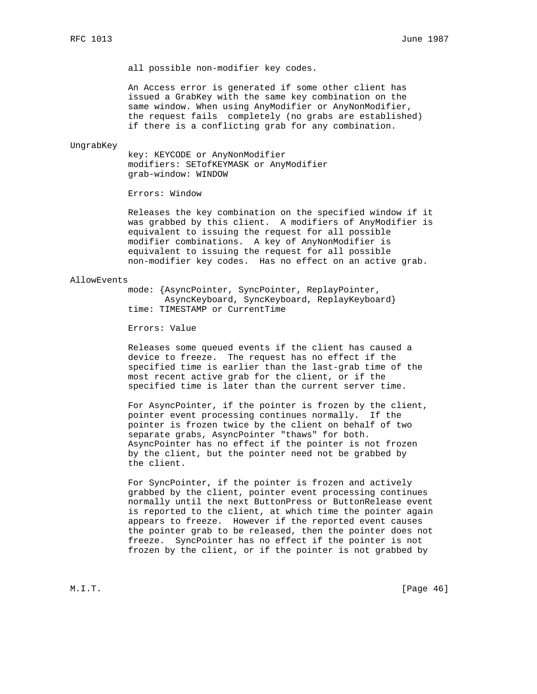all possible non-modifier key codes.

 An Access error is generated if some other client has issued a GrabKey with the same key combination on the same window. When using AnyModifier or AnyNonModifier, the request fails completely (no grabs are established) if there is a conflicting grab for any combination.

### UngrabKey

 key: KEYCODE or AnyNonModifier modifiers: SETofKEYMASK or AnyModifier grab-window: WINDOW

Errors: Window

 Releases the key combination on the specified window if it was grabbed by this client. A modifiers of AnyModifier is equivalent to issuing the request for all possible modifier combinations. A key of AnyNonModifier is equivalent to issuing the request for all possible non-modifier key codes. Has no effect on an active grab.

## AllowEvents

 mode: {AsyncPointer, SyncPointer, ReplayPointer, AsyncKeyboard, SyncKeyboard, ReplayKeyboard} time: TIMESTAMP or CurrentTime

Errors: Value

 Releases some queued events if the client has caused a device to freeze. The request has no effect if the specified time is earlier than the last-grab time of the most recent active grab for the client, or if the specified time is later than the current server time.

 For AsyncPointer, if the pointer is frozen by the client, pointer event processing continues normally. If the pointer is frozen twice by the client on behalf of two separate grabs, AsyncPointer "thaws" for both. AsyncPointer has no effect if the pointer is not frozen by the client, but the pointer need not be grabbed by the client.

 For SyncPointer, if the pointer is frozen and actively grabbed by the client, pointer event processing continues normally until the next ButtonPress or ButtonRelease event is reported to the client, at which time the pointer again appears to freeze. However if the reported event causes the pointer grab to be released, then the pointer does not freeze. SyncPointer has no effect if the pointer is not frozen by the client, or if the pointer is not grabbed by

M.I.T. [Page 46]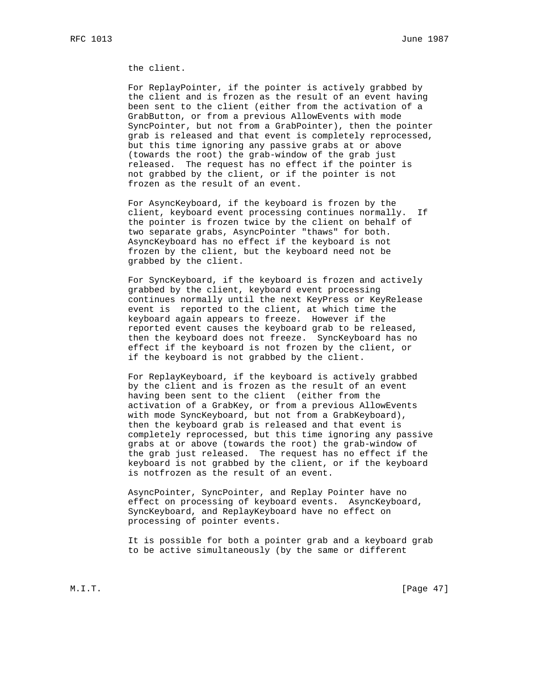the client.

 For ReplayPointer, if the pointer is actively grabbed by the client and is frozen as the result of an event having been sent to the client (either from the activation of a GrabButton, or from a previous AllowEvents with mode SyncPointer, but not from a GrabPointer), then the pointer grab is released and that event is completely reprocessed, but this time ignoring any passive grabs at or above (towards the root) the grab-window of the grab just released. The request has no effect if the pointer is not grabbed by the client, or if the pointer is not frozen as the result of an event.

 For AsyncKeyboard, if the keyboard is frozen by the client, keyboard event processing continues normally. If the pointer is frozen twice by the client on behalf of two separate grabs, AsyncPointer "thaws" for both. AsyncKeyboard has no effect if the keyboard is not frozen by the client, but the keyboard need not be grabbed by the client.

 For SyncKeyboard, if the keyboard is frozen and actively grabbed by the client, keyboard event processing continues normally until the next KeyPress or KeyRelease event is reported to the client, at which time the keyboard again appears to freeze. However if the reported event causes the keyboard grab to be released, then the keyboard does not freeze. SyncKeyboard has no effect if the keyboard is not frozen by the client, or if the keyboard is not grabbed by the client.

 For ReplayKeyboard, if the keyboard is actively grabbed by the client and is frozen as the result of an event having been sent to the client (either from the activation of a GrabKey, or from a previous AllowEvents with mode SyncKeyboard, but not from a GrabKeyboard), then the keyboard grab is released and that event is completely reprocessed, but this time ignoring any passive grabs at or above (towards the root) the grab-window of the grab just released. The request has no effect if the keyboard is not grabbed by the client, or if the keyboard is notfrozen as the result of an event.

 AsyncPointer, SyncPointer, and Replay Pointer have no effect on processing of keyboard events. AsyncKeyboard, SyncKeyboard, and ReplayKeyboard have no effect on processing of pointer events.

 It is possible for both a pointer grab and a keyboard grab to be active simultaneously (by the same or different

M.I.T. [Page 47]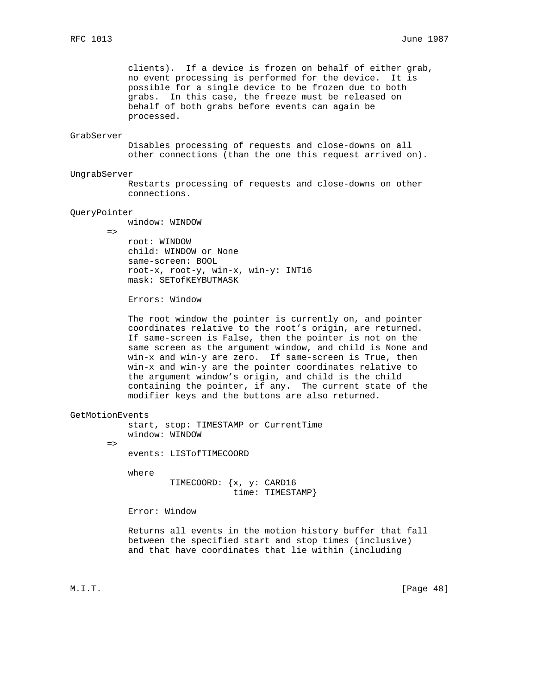clients). If a device is frozen on behalf of either grab, no event processing is performed for the device. It is possible for a single device to be frozen due to both grabs. In this case, the freeze must be released on behalf of both grabs before events can again be processed.

#### GrabServer

 Disables processing of requests and close-downs on all other connections (than the one this request arrived on).

## UngrabServer

 Restarts processing of requests and close-downs on other connections.

### QueryPointer

window: WINDOW

 $\Rightarrow$ 

 root: WINDOW child: WINDOW or None same-screen: BOOL root-x, root-y, win-x, win-y: INT16 mask: SETofKEYBUTMASK

Errors: Window

 The root window the pointer is currently on, and pointer coordinates relative to the root's origin, are returned. If same-screen is False, then the pointer is not on the same screen as the argument window, and child is None and win-x and win-y are zero. If same-screen is True, then win-x and win-y are the pointer coordinates relative to the argument window's origin, and child is the child containing the pointer, if any. The current state of the modifier keys and the buttons are also returned.

# GetMotionEvents

 start, stop: TIMESTAMP or CurrentTime window: WINDOW

=>

events: LISTofTIMECOORD

where

 TIMECOORD: {x, y: CARD16 time: TIMESTAMP}

Error: Window

 Returns all events in the motion history buffer that fall between the specified start and stop times (inclusive) and that have coordinates that lie within (including

M.I.T. [Page 48]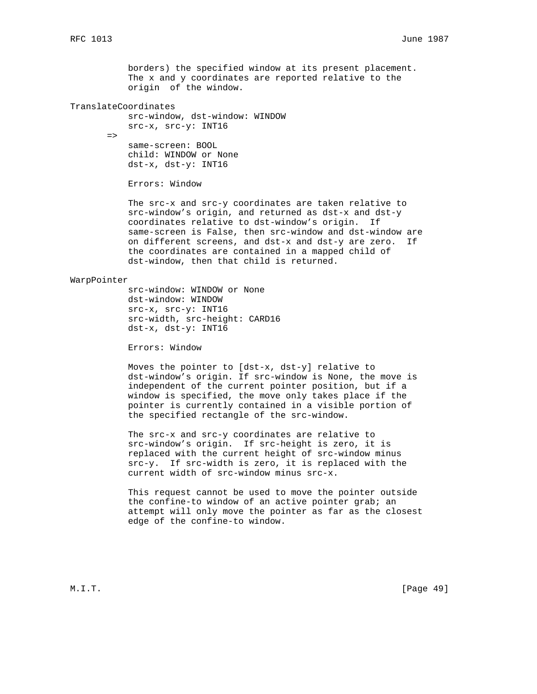borders) the specified window at its present placement. The x and y coordinates are reported relative to the origin of the window.

TranslateCoordinates

 src-window, dst-window: WINDOW src-x, src-y: INT16 =>

 same-screen: BOOL child: WINDOW or None dst-x, dst-y: INT16

Errors: Window

 The src-x and src-y coordinates are taken relative to src-window's origin, and returned as dst-x and dst-y coordinates relative to dst-window's origin. If same-screen is False, then src-window and dst-window are on different screens, and dst-x and dst-y are zero. If the coordinates are contained in a mapped child of dst-window, then that child is returned.

#### WarpPointer

 src-window: WINDOW or None dst-window: WINDOW src-x, src-y: INT16 src-width, src-height: CARD16 dst-x, dst-y: INT16

Errors: Window

 Moves the pointer to [dst-x, dst-y] relative to dst-window's origin. If src-window is None, the move is independent of the current pointer position, but if a window is specified, the move only takes place if the pointer is currently contained in a visible portion of the specified rectangle of the src-window.

 The src-x and src-y coordinates are relative to src-window's origin. If src-height is zero, it is replaced with the current height of src-window minus src-y. If src-width is zero, it is replaced with the current width of src-window minus src-x.

 This request cannot be used to move the pointer outside the confine-to window of an active pointer grab; an attempt will only move the pointer as far as the closest edge of the confine-to window.

M.I.T. [Page 49]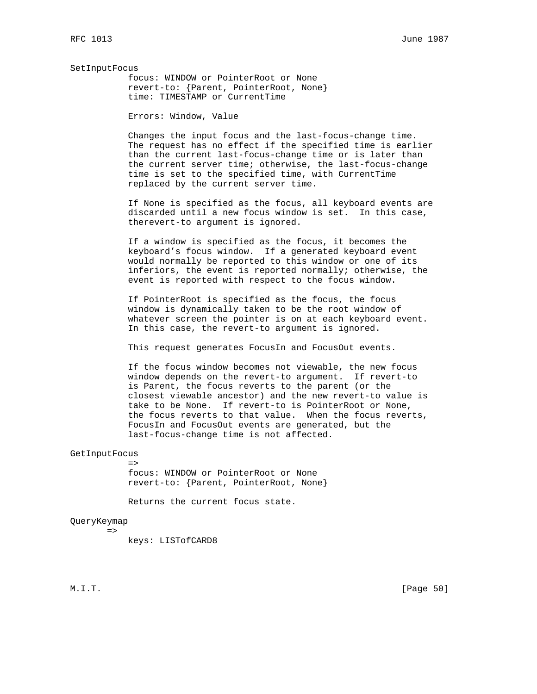#### SetInputFocus

 focus: WINDOW or PointerRoot or None revert-to: {Parent, PointerRoot, None} time: TIMESTAMP or CurrentTime

Errors: Window, Value

 Changes the input focus and the last-focus-change time. The request has no effect if the specified time is earlier than the current last-focus-change time or is later than the current server time; otherwise, the last-focus-change time is set to the specified time, with CurrentTime replaced by the current server time.

 If None is specified as the focus, all keyboard events are discarded until a new focus window is set. In this case, therevert-to argument is ignored.

 If a window is specified as the focus, it becomes the keyboard's focus window. If a generated keyboard event would normally be reported to this window or one of its inferiors, the event is reported normally; otherwise, the event is reported with respect to the focus window.

 If PointerRoot is specified as the focus, the focus window is dynamically taken to be the root window of whatever screen the pointer is on at each keyboard event. In this case, the revert-to argument is ignored.

This request generates FocusIn and FocusOut events.

 If the focus window becomes not viewable, the new focus window depends on the revert-to argument. If revert-to is Parent, the focus reverts to the parent (or the closest viewable ancestor) and the new revert-to value is take to be None. If revert-to is PointerRoot or None, the focus reverts to that value. When the focus reverts, FocusIn and FocusOut events are generated, but the last-focus-change time is not affected.

### GetInputFocus

 => focus: WINDOW or PointerRoot or None revert-to: {Parent, PointerRoot, None}

Returns the current focus state.

# QueryKeymap

=>

keys: LISTofCARD8

M.I.T. [Page 50]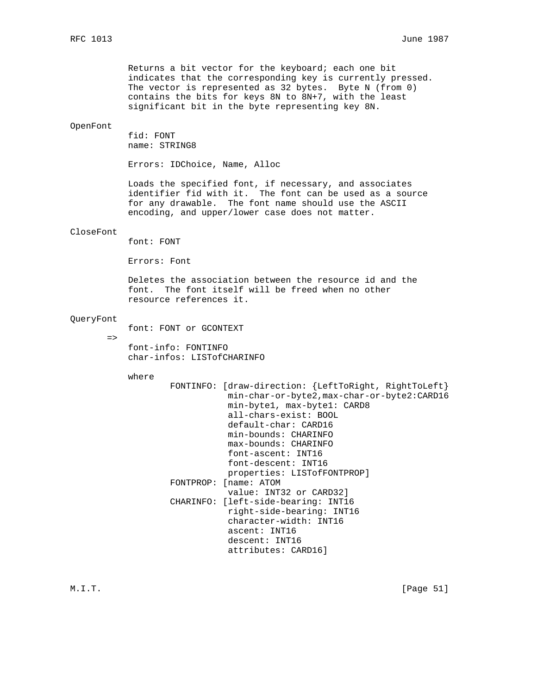Returns a bit vector for the keyboard; each one bit indicates that the corresponding key is currently pressed. The vector is represented as 32 bytes. Byte N (from 0) contains the bits for keys 8N to 8N+7, with the least significant bit in the byte representing key 8N.

## OpenFont

 fid: FONT name: STRING8

Errors: IDChoice, Name, Alloc

 Loads the specified font, if necessary, and associates identifier fid with it. The font can be used as a source for any drawable. The font name should use the ASCII encoding, and upper/lower case does not matter.

## CloseFont

font: FONT

Errors: Font

 Deletes the association between the resource id and the font. The font itself will be freed when no other resource references it.

### QueryFont

font: FONT or GCONTEXT

```
= font-info: FONTINFO
     char-infos: LISTofCHARINFO
```
where

 FONTINFO: [draw-direction: {LeftToRight, RightToLeft} min-char-or-byte2,max-char-or-byte2:CARD16 min-byte1, max-byte1: CARD8 all-chars-exist: BOOL default-char: CARD16 min-bounds: CHARINFO max-bounds: CHARINFO font-ascent: INT16 font-descent: INT16 properties: LISTofFONTPROP] FONTPROP: [name: ATOM value: INT32 or CARD32] CHARINFO: [left-side-bearing: INT16 right-side-bearing: INT16 character-width: INT16 ascent: INT16 descent: INT16 attributes: CARD16]

M.I.T. [Page 51]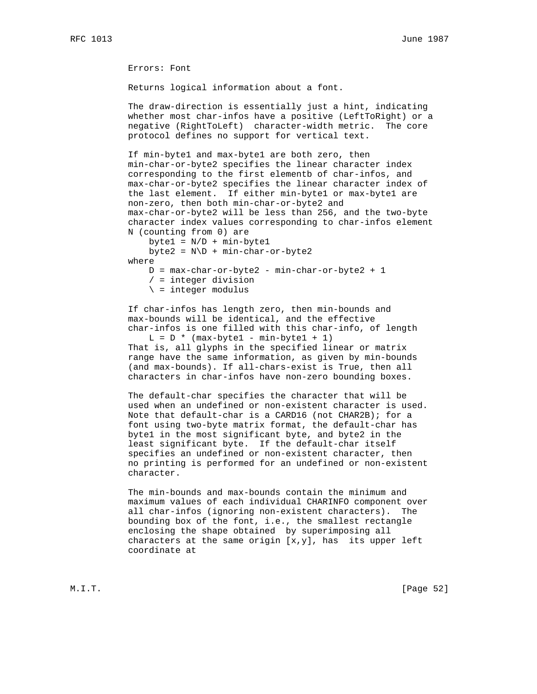Errors: Font

Returns logical information about a font.

 The draw-direction is essentially just a hint, indicating whether most char-infos have a positive (LeftToRight) or a negative (RightToLeft) character-width metric. The core protocol defines no support for vertical text.

 If min-byte1 and max-byte1 are both zero, then min-char-or-byte2 specifies the linear character index corresponding to the first elementb of char-infos, and max-char-or-byte2 specifies the linear character index of the last element. If either min-byte1 or max-byte1 are non-zero, then both min-char-or-byte2 and max-char-or-byte2 will be less than 256, and the two-byte character index values corresponding to char-infos element N (counting from 0) are

 $byte1 = N/D + min-bytel$  $byte2 = N\D + min-char-or-byte2$  where D = max-char-or-byte2 - min-char-or-byte2 + 1

/ = integer division

\ = integer modulus

 If char-infos has length zero, then min-bounds and max-bounds will be identical, and the effective char-infos is one filled with this char-info, of length

 $L = D * (max-bytel - min-bytel + 1)$  That is, all glyphs in the specified linear or matrix range have the same information, as given by min-bounds (and max-bounds). If all-chars-exist is True, then all characters in char-infos have non-zero bounding boxes.

 The default-char specifies the character that will be used when an undefined or non-existent character is used. Note that default-char is a CARD16 (not CHAR2B); for a font using two-byte matrix format, the default-char has byte1 in the most significant byte, and byte2 in the least significant byte. If the default-char itself specifies an undefined or non-existent character, then no printing is performed for an undefined or non-existent character.

 The min-bounds and max-bounds contain the minimum and maximum values of each individual CHARINFO component over all char-infos (ignoring non-existent characters). The bounding box of the font, i.e., the smallest rectangle enclosing the shape obtained by superimposing all characters at the same origin  $[x,y]$ , has its upper left coordinate at

M.I.T. [Page 52]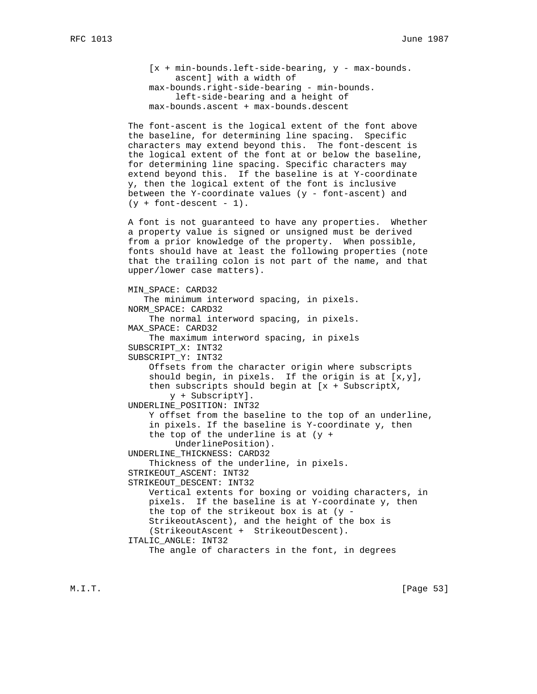[x + min-bounds.left-side-bearing, y - max-bounds. ascent] with a width of max-bounds.right-side-bearing - min-bounds. left-side-bearing and a height of max-bounds.ascent + max-bounds.descent

 The font-ascent is the logical extent of the font above the baseline, for determining line spacing. Specific characters may extend beyond this. The font-descent is the logical extent of the font at or below the baseline, for determining line spacing. Specific characters may extend beyond this. If the baseline is at Y-coordinate y, then the logical extent of the font is inclusive between the Y-coordinate values ( $y$  - font-ascent) and  $(y + font-descent - 1)$ .

 A font is not guaranteed to have any properties. Whether a property value is signed or unsigned must be derived from a prior knowledge of the property. When possible, fonts should have at least the following properties (note that the trailing colon is not part of the name, and that upper/lower case matters).

 MIN\_SPACE: CARD32 The minimum interword spacing, in pixels. NORM\_SPACE: CARD32 The normal interword spacing, in pixels. MAX\_SPACE: CARD32 The maximum interword spacing, in pixels SUBSCRIPT\_X: INT32 SUBSCRIPT\_Y: INT32 Offsets from the character origin where subscripts should begin, in pixels. If the origin is at  $[x,y]$ , then subscripts should begin at  $[x +$  SubscriptX, y + SubscriptY]. UNDERLINE\_POSITION: INT32 Y offset from the baseline to the top of an underline, in pixels. If the baseline is Y-coordinate y, then the top of the underline is at  $(y +$  UnderlinePosition). UNDERLINE\_THICKNESS: CARD32 Thickness of the underline, in pixels. STRIKEOUT\_ASCENT: INT32 STRIKEOUT\_DESCENT: INT32 Vertical extents for boxing or voiding characters, in pixels. If the baseline is at Y-coordinate y, then the top of the strikeout box is at  $(y -$  StrikeoutAscent), and the height of the box is (StrikeoutAscent + StrikeoutDescent). ITALIC\_ANGLE: INT32 The angle of characters in the font, in degrees

M.I.T. [Page 53]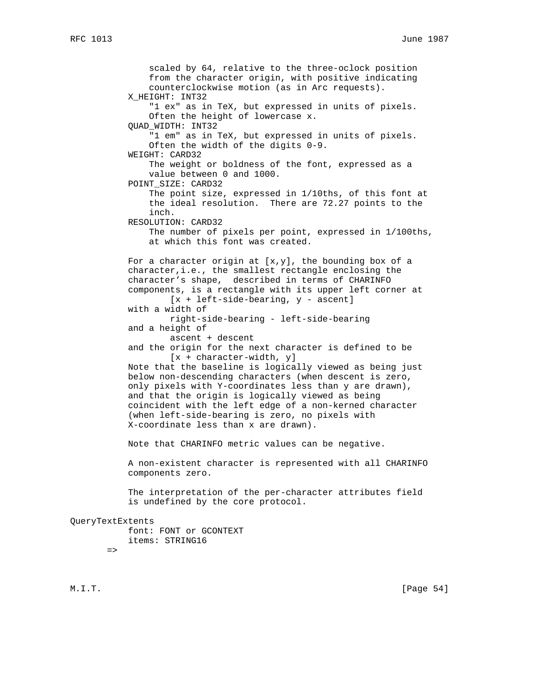scaled by 64, relative to the three-oclock position from the character origin, with positive indicating counterclockwise motion (as in Arc requests). X\_HEIGHT: INT32 "1 ex" as in TeX, but expressed in units of pixels. Often the height of lowercase x. QUAD\_WIDTH: INT32 "1 em" as in TeX, but expressed in units of pixels. Often the width of the digits 0-9. WEIGHT: CARD32 The weight or boldness of the font, expressed as a value between 0 and 1000. POINT\_SIZE: CARD32 The point size, expressed in 1/10ths, of this font at the ideal resolution. There are 72.27 points to the inch. RESOLUTION: CARD32 The number of pixels per point, expressed in 1/100ths, at which this font was created. For a character origin at  $[x,y]$ , the bounding box of a character,i.e., the smallest rectangle enclosing the character's shape, described in terms of CHARINFO components, is a rectangle with its upper left corner at [x + left-side-bearing, y - ascent] with a width of right-side-bearing - left-side-bearing and a height of ascent + descent and the origin for the next character is defined to be [x + character-width, y] Note that the baseline is logically viewed as being just below non-descending characters (when descent is zero, only pixels with Y-coordinates less than y are drawn), and that the origin is logically viewed as being coincident with the left edge of a non-kerned character (when left-side-bearing is zero, no pixels with X-coordinate less than x are drawn). Note that CHARINFO metric values can be negative. A non-existent character is represented with all CHARINFO components zero. The interpretation of the per-character attributes field is undefined by the core protocol.

## QueryTextExtents

 font: FONT or GCONTEXT items: STRING16

 $\Rightarrow$ 

M.I.T. [Page 54]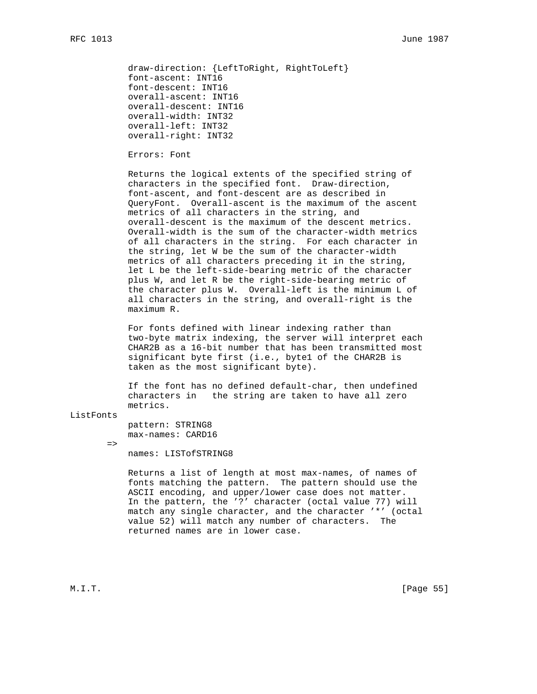draw-direction: {LeftToRight, RightToLeft} font-ascent: INT16 font-descent: INT16 overall-ascent: INT16 overall-descent: INT16 overall-width: INT32 overall-left: INT32 overall-right: INT32

Errors: Font

 Returns the logical extents of the specified string of characters in the specified font. Draw-direction, font-ascent, and font-descent are as described in QueryFont. Overall-ascent is the maximum of the ascent metrics of all characters in the string, and overall-descent is the maximum of the descent metrics. Overall-width is the sum of the character-width metrics of all characters in the string. For each character in the string, let W be the sum of the character-width metrics of all characters preceding it in the string, let L be the left-side-bearing metric of the character plus W, and let R be the right-side-bearing metric of the character plus W. Overall-left is the minimum L of all characters in the string, and overall-right is the maximum R.

 For fonts defined with linear indexing rather than two-byte matrix indexing, the server will interpret each CHAR2B as a 16-bit number that has been transmitted most significant byte first (i.e., byte1 of the CHAR2B is taken as the most significant byte).

 If the font has no defined default-char, then undefined characters in the string are taken to have all zero metrics.

# ListFonts

 pattern: STRING8 max-names: CARD16

=>

names: LISTofSTRING8

 Returns a list of length at most max-names, of names of fonts matching the pattern. The pattern should use the ASCII encoding, and upper/lower case does not matter. In the pattern, the '?' character (octal value 77) will match any single character, and the character '\*' (octal value 52) will match any number of characters. The returned names are in lower case.

M.I.T. [Page 55]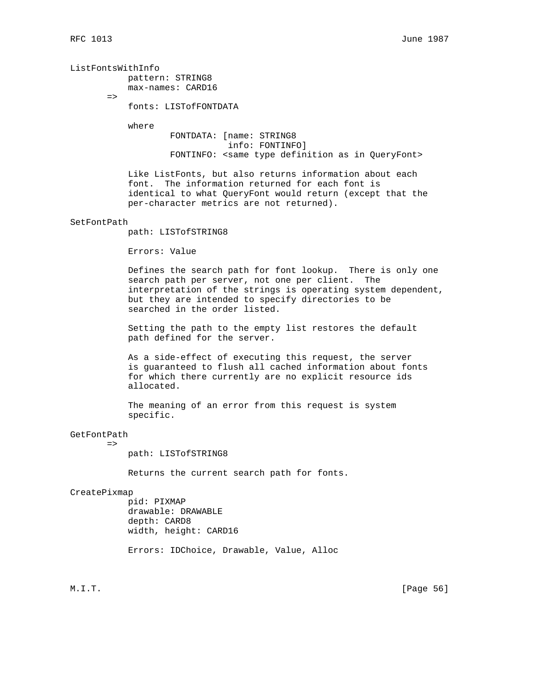ListFontsWithInfo

```
 pattern: STRING8
 max-names: CARD16
```
=>

fonts: LISTofFONTDATA

where

 FONTDATA: [name: STRING8 info: FONTINFO] FONTINFO: <same type definition as in QueryFont>

 Like ListFonts, but also returns information about each font. The information returned for each font is identical to what QueryFont would return (except that the per-character metrics are not returned).

## SetFontPath

path: LISTofSTRING8

Errors: Value

 Defines the search path for font lookup. There is only one search path per server, not one per client. The interpretation of the strings is operating system dependent, but they are intended to specify directories to be searched in the order listed.

 Setting the path to the empty list restores the default path defined for the server.

 As a side-effect of executing this request, the server is guaranteed to flush all cached information about fonts for which there currently are no explicit resource ids allocated.

 The meaning of an error from this request is system specific.

# GetFontPath

=>

path: LISTofSTRING8

Returns the current search path for fonts.

#### CreatePixmap

 pid: PIXMAP drawable: DRAWABLE depth: CARD8 width, height: CARD16

Errors: IDChoice, Drawable, Value, Alloc

M.I.T. [Page 56]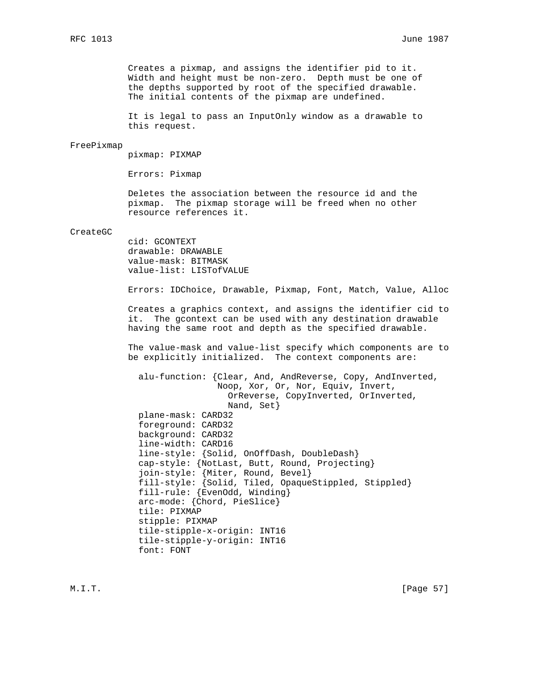Creates a pixmap, and assigns the identifier pid to it. Width and height must be non-zero. Depth must be one of the depths supported by root of the specified drawable. The initial contents of the pixmap are undefined.

 It is legal to pass an InputOnly window as a drawable to this request.

#### FreePixmap

pixmap: PIXMAP

Errors: Pixmap

 Deletes the association between the resource id and the pixmap. The pixmap storage will be freed when no other resource references it.

## CreateGC

 cid: GCONTEXT drawable: DRAWABLE value-mask: BITMASK value-list: LISTofVALUE

Errors: IDChoice, Drawable, Pixmap, Font, Match, Value, Alloc

 Creates a graphics context, and assigns the identifier cid to it. The gcontext can be used with any destination drawable having the same root and depth as the specified drawable.

 The value-mask and value-list specify which components are to be explicitly initialized. The context components are:

 alu-function: {Clear, And, AndReverse, Copy, AndInverted, Noop, Xor, Or, Nor, Equiv, Invert, OrReverse, CopyInverted, OrInverted, Nand, Set} plane-mask: CARD32 foreground: CARD32 background: CARD32 line-width: CARD16 line-style: {Solid, OnOffDash, DoubleDash} cap-style: {NotLast, Butt, Round, Projecting} join-style: {Miter, Round, Bevel} fill-style: {Solid, Tiled, OpaqueStippled, Stippled} fill-rule: {EvenOdd, Winding} arc-mode: {Chord, PieSlice} tile: PIXMAP stipple: PIXMAP tile-stipple-x-origin: INT16 tile-stipple-y-origin: INT16 font: FONT

M.I.T. [Page 57]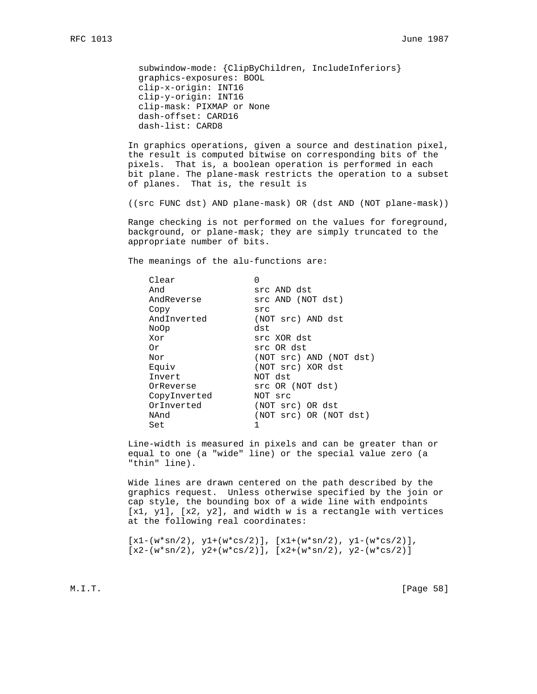subwindow-mode: {ClipByChildren, IncludeInferiors} graphics-exposures: BOOL clip-x-origin: INT16 clip-y-origin: INT16 clip-mask: PIXMAP or None dash-offset: CARD16 dash-list: CARD8

 In graphics operations, given a source and destination pixel, the result is computed bitwise on corresponding bits of the pixels. That is, a boolean operation is performed in each bit plane. The plane-mask restricts the operation to a subset of planes. That is, the result is

((src FUNC dst) AND plane-mask) OR (dst AND (NOT plane-mask))

 Range checking is not performed on the values for foreground, background, or plane-mask; they are simply truncated to the appropriate number of bits.

The meanings of the alu-functions are:

| Clear        | 0                       |
|--------------|-------------------------|
| And          | src AND dst             |
| AndReverse   | src AND (NOT dst)       |
| Copy         | src                     |
| AndInverted  | (NOT src) AND dst       |
| NoOp         | dst                     |
| Xor          | src XOR dst             |
| 0r           | src OR dst              |
| Nor          | (NOT src) AND (NOT dst) |
| Equiv        | (NOT src) XOR dst       |
| Invert       | NOT dst                 |
| OrReverse    | src OR (NOT dst)        |
| CopyInverted | NOT src                 |
| OrInverted   | (NOT src) OR dst        |
| NAnd         | (NOT src) OR (NOT dst)  |
| Set          |                         |

 Line-width is measured in pixels and can be greater than or equal to one (a "wide" line) or the special value zero (a "thin" line).

 Wide lines are drawn centered on the path described by the graphics request. Unless otherwise specified by the join or cap style, the bounding box of a wide line with endpoints [x1, y1], [x2, y2], and width w is a rectangle with vertices at the following real coordinates:

```
[x1-(w*sn/2) , y1+(w*cs/2)] , [x1+(w*sn/2) , y1-(w*cs/2)] ,
[x2-(w*sn/2), y2+(w*cs/2)], [x2+(w*sn/2), y2-(w*cs/2)]
```
M.I.T. [Page 58]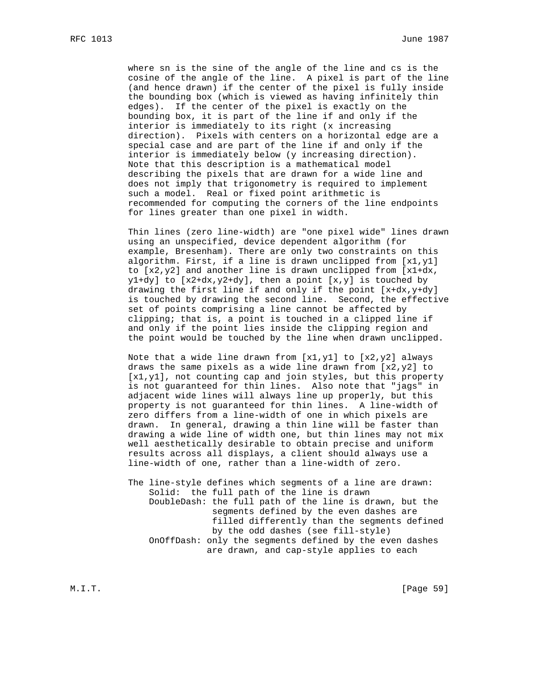where sn is the sine of the angle of the line and cs is the cosine of the angle of the line. A pixel is part of the line (and hence drawn) if the center of the pixel is fully inside the bounding box (which is viewed as having infinitely thin edges). If the center of the pixel is exactly on the bounding box, it is part of the line if and only if the interior is immediately to its right (x increasing direction). Pixels with centers on a horizontal edge are a special case and are part of the line if and only if the interior is immediately below (y increasing direction). Note that this description is a mathematical model describing the pixels that are drawn for a wide line and does not imply that trigonometry is required to implement such a model. Real or fixed point arithmetic is recommended for computing the corners of the line endpoints for lines greater than one pixel in width.

 Thin lines (zero line-width) are "one pixel wide" lines drawn using an unspecified, device dependent algorithm (for example, Bresenham). There are only two constraints on this algorithm. First, if a line is drawn unclipped from [x1,y1] to [x2,y2] and another line is drawn unclipped from [x1+dx,  $y1+dy$ ] to  $[x2+dx,y2+dy]$ , then a point  $[x,y]$  is touched by drawing the first line if and only if the point [x+dx,y+dy] is touched by drawing the second line. Second, the effective set of points comprising a line cannot be affected by clipping; that is, a point is touched in a clipped line if and only if the point lies inside the clipping region and the point would be touched by the line when drawn unclipped.

 Note that a wide line drawn from [x1,y1] to [x2,y2] always draws the same pixels as a wide line drawn from [x2,y2] to [x1,y1], not counting cap and join styles, but this property is not guaranteed for thin lines. Also note that "jags" in adjacent wide lines will always line up properly, but this property is not guaranteed for thin lines. A line-width of zero differs from a line-width of one in which pixels are drawn. In general, drawing a thin line will be faster than drawing a wide line of width one, but thin lines may not mix well aesthetically desirable to obtain precise and uniform results across all displays, a client should always use a line-width of one, rather than a line-width of zero.

 The line-style defines which segments of a line are drawn: Solid: the full path of the line is drawn DoubleDash: the full path of the line is drawn, but the segments defined by the even dashes are filled differently than the segments defined by the odd dashes (see fill-style) OnOffDash: only the segments defined by the even dashes are drawn, and cap-style applies to each

M.I.T. [Page 59]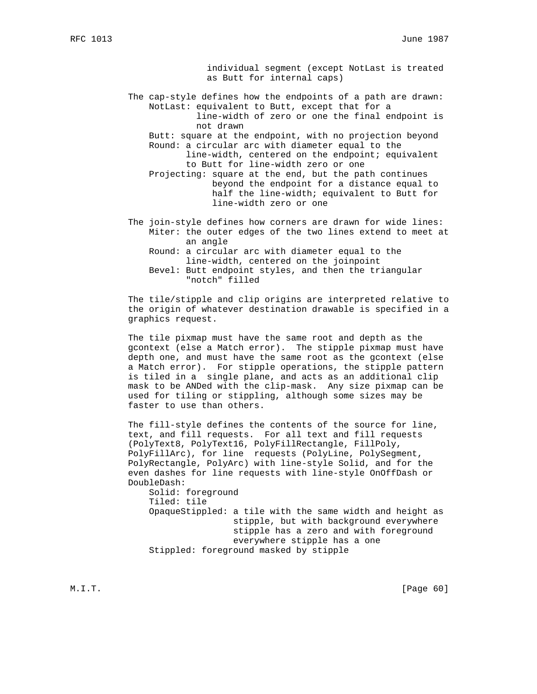individual segment (except NotLast is treated as Butt for internal caps)

- The cap-style defines how the endpoints of a path are drawn: NotLast: equivalent to Butt, except that for a line-width of zero or one the final endpoint is not drawn
	- Butt: square at the endpoint, with no projection beyond Round: a circular arc with diameter equal to the line-width, centered on the endpoint; equivalent
	- to Butt for line-width zero or one Projecting: square at the end, but the path continues beyond the endpoint for a distance equal to half the line-width; equivalent to Butt for line-width zero or one
- The join-style defines how corners are drawn for wide lines: Miter: the outer edges of the two lines extend to meet at an angle
	- Round: a circular arc with diameter equal to the line-width, centered on the joinpoint
	- Bevel: Butt endpoint styles, and then the triangular "notch" filled

 The tile/stipple and clip origins are interpreted relative to the origin of whatever destination drawable is specified in a graphics request.

 The tile pixmap must have the same root and depth as the gcontext (else a Match error). The stipple pixmap must have depth one, and must have the same root as the gcontext (else a Match error). For stipple operations, the stipple pattern is tiled in a single plane, and acts as an additional clip mask to be ANDed with the clip-mask. Any size pixmap can be used for tiling or stippling, although some sizes may be faster to use than others.

 The fill-style defines the contents of the source for line, text, and fill requests. For all text and fill requests (PolyText8, PolyText16, PolyFillRectangle, FillPoly, PolyFillArc), for line requests (PolyLine, PolySegment, PolyRectangle, PolyArc) with line-style Solid, and for the even dashes for line requests with line-style OnOffDash or DoubleDash:

 Solid: foreground Tiled: tile OpaqueStippled: a tile with the same width and height as stipple, but with background everywhere stipple has a zero and with foreground everywhere stipple has a one Stippled: foreground masked by stipple

M.I.T. [Page 60]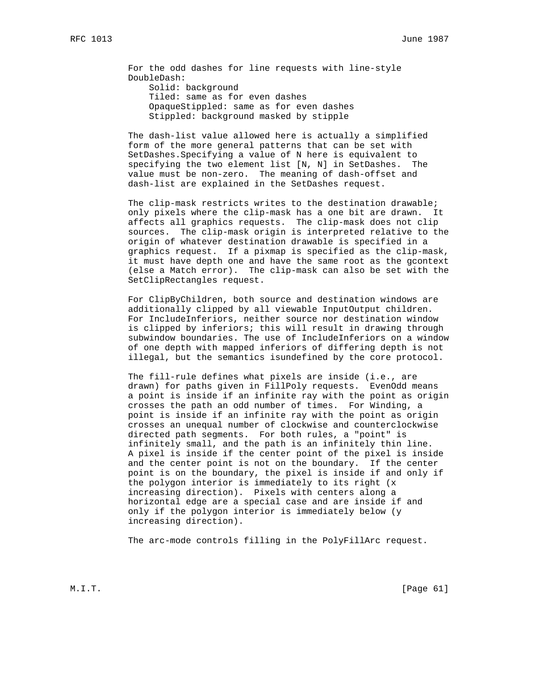For the odd dashes for line requests with line-style DoubleDash: Solid: background Tiled: same as for even dashes OpaqueStippled: same as for even dashes Stippled: background masked by stipple

 The dash-list value allowed here is actually a simplified form of the more general patterns that can be set with SetDashes.Specifying a value of N here is equivalent to specifying the two element list [N, N] in SetDashes. The value must be non-zero. The meaning of dash-offset and dash-list are explained in the SetDashes request.

 The clip-mask restricts writes to the destination drawable; only pixels where the clip-mask has a one bit are drawn. It affects all graphics requests. The clip-mask does not clip sources. The clip-mask origin is interpreted relative to the origin of whatever destination drawable is specified in a graphics request. If a pixmap is specified as the clip-mask, it must have depth one and have the same root as the gcontext (else a Match error). The clip-mask can also be set with the SetClipRectangles request.

 For ClipByChildren, both source and destination windows are additionally clipped by all viewable InputOutput children. For IncludeInferiors, neither source nor destination window is clipped by inferiors; this will result in drawing through subwindow boundaries. The use of IncludeInferiors on a window of one depth with mapped inferiors of differing depth is not illegal, but the semantics isundefined by the core protocol.

 The fill-rule defines what pixels are inside (i.e., are drawn) for paths given in FillPoly requests. EvenOdd means a point is inside if an infinite ray with the point as origin crosses the path an odd number of times. For Winding, a point is inside if an infinite ray with the point as origin crosses an unequal number of clockwise and counterclockwise directed path segments. For both rules, a "point" is infinitely small, and the path is an infinitely thin line. A pixel is inside if the center point of the pixel is inside and the center point is not on the boundary. If the center point is on the boundary, the pixel is inside if and only if the polygon interior is immediately to its right (x increasing direction). Pixels with centers along a horizontal edge are a special case and are inside if and only if the polygon interior is immediately below (y increasing direction).

The arc-mode controls filling in the PolyFillArc request.

M.I.T. [Page 61]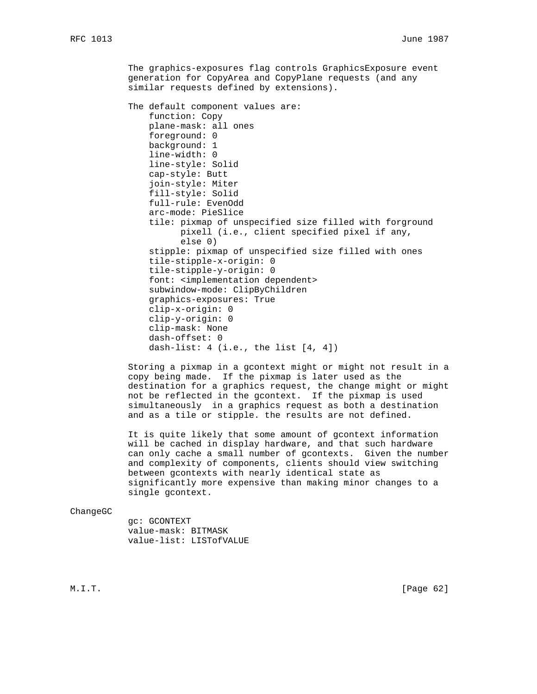The graphics-exposures flag controls GraphicsExposure event generation for CopyArea and CopyPlane requests (and any similar requests defined by extensions). The default component values are: function: Copy plane-mask: all ones foreground: 0 background: 1 line-width: 0 line-style: Solid cap-style: Butt join-style: Miter fill-style: Solid full-rule: EvenOdd arc-mode: PieSlice tile: pixmap of unspecified size filled with forground pixell (i.e., client specified pixel if any, else 0) stipple: pixmap of unspecified size filled with ones tile-stipple-x-origin: 0 tile-stipple-y-origin: 0 font: <implementation dependent> subwindow-mode: ClipByChildren graphics-exposures: True clip-x-origin: 0 clip-y-origin: 0 clip-mask: None dash-offset: 0 dash-list:  $4$  (i.e., the list  $[4, 4]$ )

 Storing a pixmap in a gcontext might or might not result in a copy being made. If the pixmap is later used as the destination for a graphics request, the change might or might not be reflected in the gcontext. If the pixmap is used simultaneously in a graphics request as both a destination and as a tile or stipple. the results are not defined.

 It is quite likely that some amount of gcontext information will be cached in display hardware, and that such hardware can only cache a small number of gcontexts. Given the number and complexity of components, clients should view switching between gcontexts with nearly identical state as significantly more expensive than making minor changes to a single gcontext.

ChangeGC

 gc: GCONTEXT value-mask: BITMASK value-list: LISTofVALUE

M.I.T. [Page 62]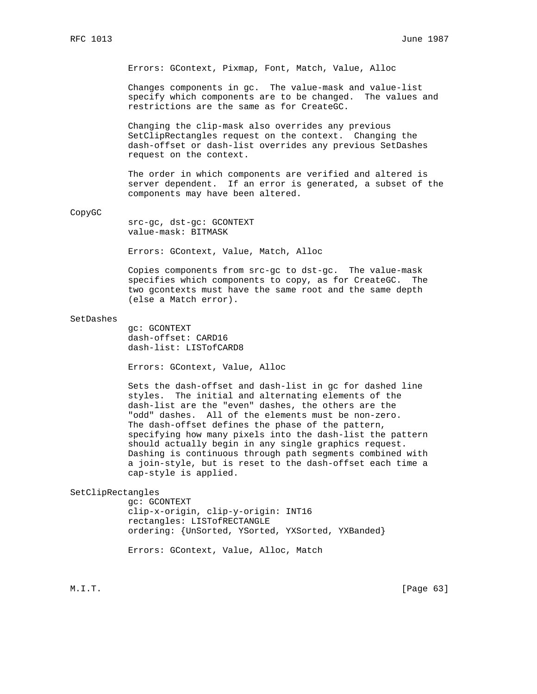Errors: GContext, Pixmap, Font, Match, Value, Alloc

 Changes components in gc. The value-mask and value-list specify which components are to be changed. The values and restrictions are the same as for CreateGC.

 Changing the clip-mask also overrides any previous SetClipRectangles request on the context. Changing the dash-offset or dash-list overrides any previous SetDashes request on the context.

 The order in which components are verified and altered is server dependent. If an error is generated, a subset of the components may have been altered.

## CopyGC

 src-gc, dst-gc: GCONTEXT value-mask: BITMASK

Errors: GContext, Value, Match, Alloc

 Copies components from src-gc to dst-gc. The value-mask specifies which components to copy, as for CreateGC. The two gcontexts must have the same root and the same depth (else a Match error).

### SetDashes

 gc: GCONTEXT dash-offset: CARD16 dash-list: LISTofCARD8

Errors: GContext, Value, Alloc

 Sets the dash-offset and dash-list in gc for dashed line styles. The initial and alternating elements of the dash-list are the "even" dashes, the others are the "odd" dashes. All of the elements must be non-zero. The dash-offset defines the phase of the pattern, specifying how many pixels into the dash-list the pattern should actually begin in any single graphics request. Dashing is continuous through path segments combined with a join-style, but is reset to the dash-offset each time a cap-style is applied.

# SetClipRectangles

 gc: GCONTEXT clip-x-origin, clip-y-origin: INT16 rectangles: LISTofRECTANGLE ordering: {UnSorted, YSorted, YXSorted, YXBanded}

Errors: GContext, Value, Alloc, Match

M.I.T. [Page 63]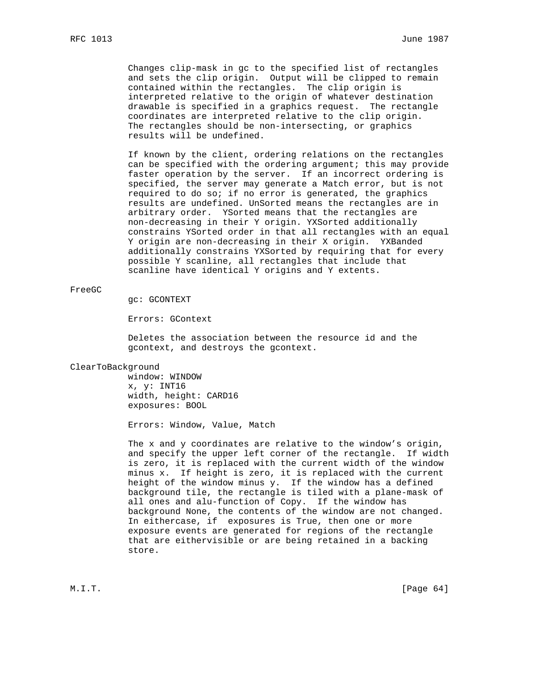Changes clip-mask in gc to the specified list of rectangles and sets the clip origin. Output will be clipped to remain contained within the rectangles. The clip origin is interpreted relative to the origin of whatever destination drawable is specified in a graphics request. The rectangle coordinates are interpreted relative to the clip origin. The rectangles should be non-intersecting, or graphics results will be undefined.

 If known by the client, ordering relations on the rectangles can be specified with the ordering argument; this may provide faster operation by the server. If an incorrect ordering is specified, the server may generate a Match error, but is not required to do so; if no error is generated, the graphics results are undefined. UnSorted means the rectangles are in arbitrary order. YSorted means that the rectangles are non-decreasing in their Y origin. YXSorted additionally constrains YSorted order in that all rectangles with an equal Y origin are non-decreasing in their X origin. YXBanded additionally constrains YXSorted by requiring that for every possible Y scanline, all rectangles that include that scanline have identical Y origins and Y extents.

## FreeGC

gc: GCONTEXT

Errors: GContext

 Deletes the association between the resource id and the gcontext, and destroys the gcontext.

#### ClearToBackground

 window: WINDOW x, y: INT16 width, height: CARD16 exposures: BOOL

Errors: Window, Value, Match

 The x and y coordinates are relative to the window's origin, and specify the upper left corner of the rectangle. If width is zero, it is replaced with the current width of the window minus x. If height is zero, it is replaced with the current height of the window minus y. If the window has a defined background tile, the rectangle is tiled with a plane-mask of all ones and alu-function of Copy. If the window has background None, the contents of the window are not changed. In eithercase, if exposures is True, then one or more exposure events are generated for regions of the rectangle that are eithervisible or are being retained in a backing store.

M.I.T. [Page 64]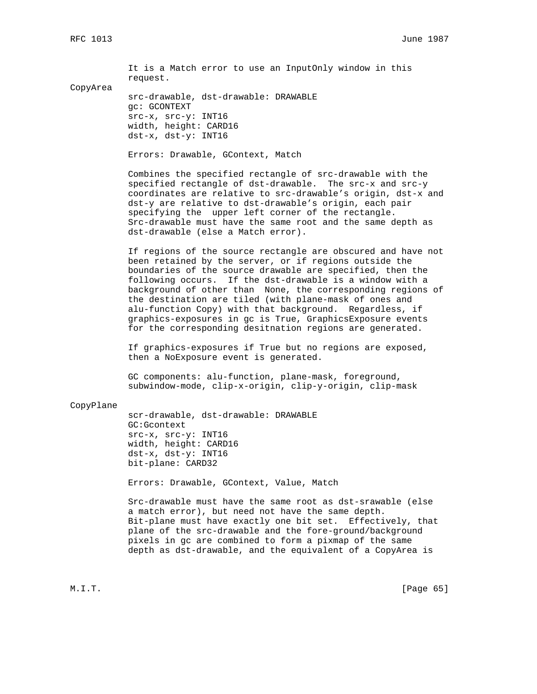It is a Match error to use an InputOnly window in this request.

## CopyArea

 src-drawable, dst-drawable: DRAWABLE gc: GCONTEXT src-x, src-y: INT16 width, height: CARD16 dst-x, dst-y: INT16

Errors: Drawable, GContext, Match

 Combines the specified rectangle of src-drawable with the specified rectangle of dst-drawable. The src-x and src-y coordinates are relative to src-drawable's origin, dst-x and dst-y are relative to dst-drawable's origin, each pair specifying the upper left corner of the rectangle. Src-drawable must have the same root and the same depth as dst-drawable (else a Match error).

 If regions of the source rectangle are obscured and have not been retained by the server, or if regions outside the boundaries of the source drawable are specified, then the following occurs. If the dst-drawable is a window with a background of other than None, the corresponding regions of the destination are tiled (with plane-mask of ones and alu-function Copy) with that background. Regardless, if graphics-exposures in gc is True, GraphicsExposure events for the corresponding desitnation regions are generated.

 If graphics-exposures if True but no regions are exposed, then a NoExposure event is generated.

 GC components: alu-function, plane-mask, foreground, subwindow-mode, clip-x-origin, clip-y-origin, clip-mask

## CopyPlane

 scr-drawable, dst-drawable: DRAWABLE GC:Gcontext src-x, src-y: INT16 width, height: CARD16 dst-x, dst-y: INT16 bit-plane: CARD32

Errors: Drawable, GContext, Value, Match

 Src-drawable must have the same root as dst-srawable (else a match error), but need not have the same depth. Bit-plane must have exactly one bit set. Effectively, that plane of the src-drawable and the fore-ground/background pixels in gc are combined to form a pixmap of the same depth as dst-drawable, and the equivalent of a CopyArea is

M.I.T. [Page 65]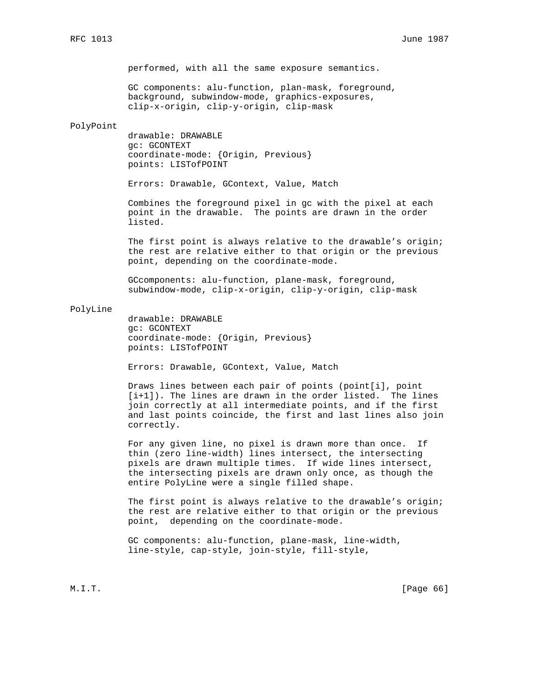performed, with all the same exposure semantics.

 GC components: alu-function, plan-mask, foreground, background, subwindow-mode, graphics-exposures, clip-x-origin, clip-y-origin, clip-mask

#### PolyPoint

 drawable: DRAWABLE gc: GCONTEXT coordinate-mode: {Origin, Previous} points: LISTofPOINT

Errors: Drawable, GContext, Value, Match

 Combines the foreground pixel in gc with the pixel at each point in the drawable. The points are drawn in the order listed.

 The first point is always relative to the drawable's origin; the rest are relative either to that origin or the previous point, depending on the coordinate-mode.

 GCcomponents: alu-function, plane-mask, foreground, subwindow-mode, clip-x-origin, clip-y-origin, clip-mask

# PolyLine

 drawable: DRAWABLE gc: GCONTEXT coordinate-mode: {Origin, Previous} points: LISTofPOINT

Errors: Drawable, GContext, Value, Match

Draws lines between each pair of points (point[i], point [i+1]). The lines are drawn in the order listed. The lines join correctly at all intermediate points, and if the first and last points coincide, the first and last lines also join correctly.

 For any given line, no pixel is drawn more than once. If thin (zero line-width) lines intersect, the intersecting pixels are drawn multiple times. If wide lines intersect, the intersecting pixels are drawn only once, as though the entire PolyLine were a single filled shape.

 The first point is always relative to the drawable's origin; the rest are relative either to that origin or the previous point, depending on the coordinate-mode.

 GC components: alu-function, plane-mask, line-width, line-style, cap-style, join-style, fill-style,

M.I.T. [Page 66]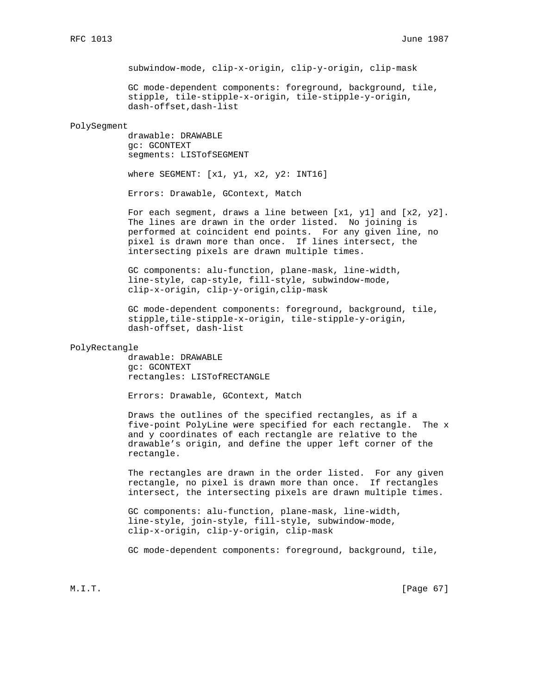subwindow-mode, clip-x-origin, clip-y-origin, clip-mask

 GC mode-dependent components: foreground, background, tile, stipple, tile-stipple-x-origin, tile-stipple-y-origin, dash-offset,dash-list

#### PolySegment

 drawable: DRAWABLE gc: GCONTEXT segments: LISTofSEGMENT

where SEGMENT:  $[x1, y1, x2, y2: INT16]$ 

Errors: Drawable, GContext, Match

For each segment, draws a line between  $[x1, y1]$  and  $[x2, y2]$ . The lines are drawn in the order listed. No joining is performed at coincident end points. For any given line, no pixel is drawn more than once. If lines intersect, the intersecting pixels are drawn multiple times.

 GC components: alu-function, plane-mask, line-width, line-style, cap-style, fill-style, subwindow-mode, clip-x-origin, clip-y-origin,clip-mask

 GC mode-dependent components: foreground, background, tile, stipple,tile-stipple-x-origin, tile-stipple-y-origin, dash-offset, dash-list

# PolyRectangle

 drawable: DRAWABLE gc: GCONTEXT rectangles: LISTofRECTANGLE

Errors: Drawable, GContext, Match

 Draws the outlines of the specified rectangles, as if a five-point PolyLine were specified for each rectangle. The x and y coordinates of each rectangle are relative to the drawable's origin, and define the upper left corner of the rectangle.

 The rectangles are drawn in the order listed. For any given rectangle, no pixel is drawn more than once. If rectangles intersect, the intersecting pixels are drawn multiple times.

 GC components: alu-function, plane-mask, line-width, line-style, join-style, fill-style, subwindow-mode, clip-x-origin, clip-y-origin, clip-mask

GC mode-dependent components: foreground, background, tile,

M.I.T. [Page 67]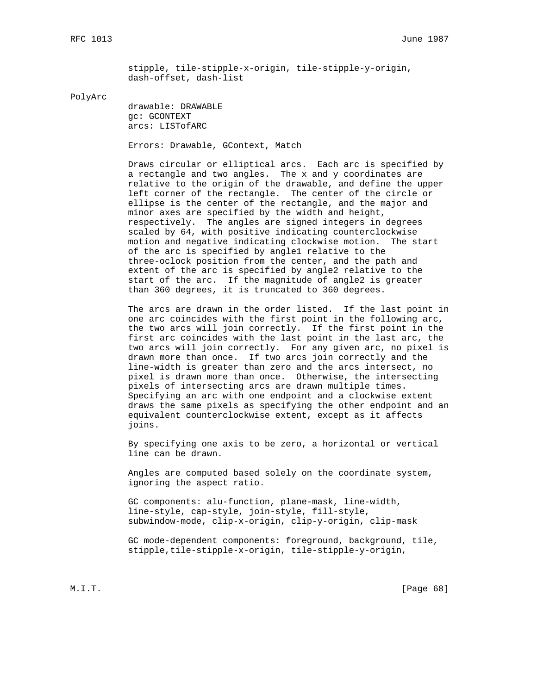stipple, tile-stipple-x-origin, tile-stipple-y-origin, dash-offset, dash-list

## PolyArc

 drawable: DRAWABLE gc: GCONTEXT arcs: LISTofARC

Errors: Drawable, GContext, Match

 Draws circular or elliptical arcs. Each arc is specified by a rectangle and two angles. The x and y coordinates are relative to the origin of the drawable, and define the upper left corner of the rectangle. The center of the circle or ellipse is the center of the rectangle, and the major and minor axes are specified by the width and height, respectively. The angles are signed integers in degrees scaled by 64, with positive indicating counterclockwise motion and negative indicating clockwise motion. The start of the arc is specified by angle1 relative to the three-oclock position from the center, and the path and extent of the arc is specified by angle2 relative to the start of the arc. If the magnitude of angle2 is greater than 360 degrees, it is truncated to 360 degrees.

 The arcs are drawn in the order listed. If the last point in one arc coincides with the first point in the following arc, the two arcs will join correctly. If the first point in the first arc coincides with the last point in the last arc, the two arcs will join correctly. For any given arc, no pixel is drawn more than once. If two arcs join correctly and the line-width is greater than zero and the arcs intersect, no pixel is drawn more than once. Otherwise, the intersecting pixels of intersecting arcs are drawn multiple times. Specifying an arc with one endpoint and a clockwise extent draws the same pixels as specifying the other endpoint and an equivalent counterclockwise extent, except as it affects joins.

 By specifying one axis to be zero, a horizontal or vertical line can be drawn.

 Angles are computed based solely on the coordinate system, ignoring the aspect ratio.

 GC components: alu-function, plane-mask, line-width, line-style, cap-style, join-style, fill-style, subwindow-mode, clip-x-origin, clip-y-origin, clip-mask

 GC mode-dependent components: foreground, background, tile, stipple,tile-stipple-x-origin, tile-stipple-y-origin,

M.I.T. [Page 68]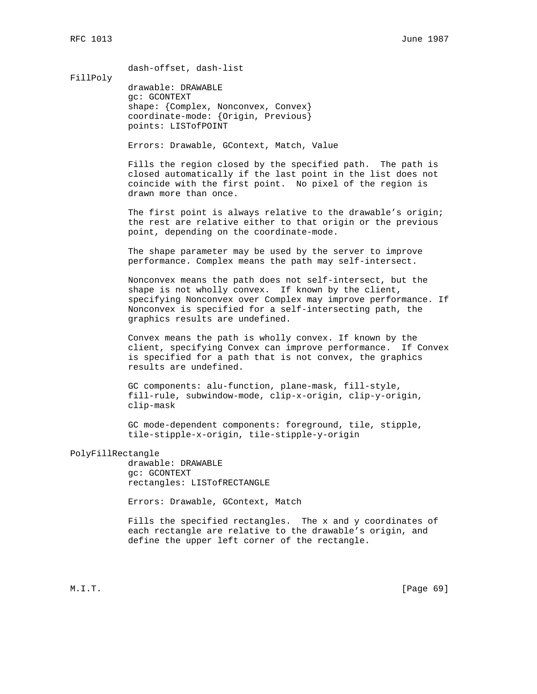dash-offset, dash-list

# FillPoly

 drawable: DRAWABLE gc: GCONTEXT shape: {Complex, Nonconvex, Convex} coordinate-mode: {Origin, Previous} points: LISTofPOINT

Errors: Drawable, GContext, Match, Value

 Fills the region closed by the specified path. The path is closed automatically if the last point in the list does not coincide with the first point. No pixel of the region is drawn more than once.

 The first point is always relative to the drawable's origin; the rest are relative either to that origin or the previous point, depending on the coordinate-mode.

 The shape parameter may be used by the server to improve performance. Complex means the path may self-intersect.

 Nonconvex means the path does not self-intersect, but the shape is not wholly convex. If known by the client, specifying Nonconvex over Complex may improve performance. If Nonconvex is specified for a self-intersecting path, the graphics results are undefined.

 Convex means the path is wholly convex. If known by the client, specifying Convex can improve performance. If Convex is specified for a path that is not convex, the graphics results are undefined.

 GC components: alu-function, plane-mask, fill-style, fill-rule, subwindow-mode, clip-x-origin, clip-y-origin, clip-mask

 GC mode-dependent components: foreground, tile, stipple, tile-stipple-x-origin, tile-stipple-y-origin

### PolyFillRectangle

 drawable: DRAWABLE gc: GCONTEXT rectangles: LISTofRECTANGLE

Errors: Drawable, GContext, Match

 Fills the specified rectangles. The x and y coordinates of each rectangle are relative to the drawable's origin, and define the upper left corner of the rectangle.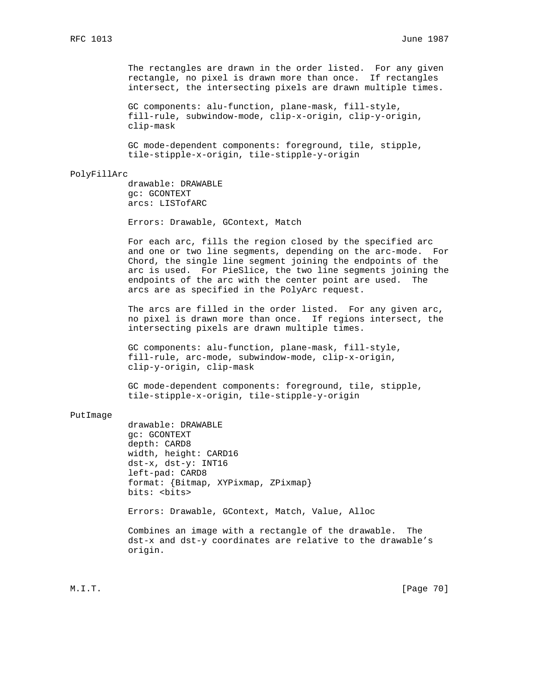The rectangles are drawn in the order listed. For any given rectangle, no pixel is drawn more than once. If rectangles intersect, the intersecting pixels are drawn multiple times.

 GC components: alu-function, plane-mask, fill-style, fill-rule, subwindow-mode, clip-x-origin, clip-y-origin, clip-mask

 GC mode-dependent components: foreground, tile, stipple, tile-stipple-x-origin, tile-stipple-y-origin

## PolyFillArc

 drawable: DRAWABLE gc: GCONTEXT arcs: LISTofARC

Errors: Drawable, GContext, Match

 For each arc, fills the region closed by the specified arc and one or two line segments, depending on the arc-mode. For Chord, the single line segment joining the endpoints of the arc is used. For PieSlice, the two line segments joining the endpoints of the arc with the center point are used. The arcs are as specified in the PolyArc request.

 The arcs are filled in the order listed. For any given arc, no pixel is drawn more than once. If regions intersect, the intersecting pixels are drawn multiple times.

 GC components: alu-function, plane-mask, fill-style, fill-rule, arc-mode, subwindow-mode, clip-x-origin, clip-y-origin, clip-mask

 GC mode-dependent components: foreground, tile, stipple, tile-stipple-x-origin, tile-stipple-y-origin

## PutImage

 drawable: DRAWABLE gc: GCONTEXT depth: CARD8 width, height: CARD16 dst-x, dst-y: INT16 left-pad: CARD8 format: {Bitmap, XYPixmap, ZPixmap} bits: <bits>

Errors: Drawable, GContext, Match, Value, Alloc

 Combines an image with a rectangle of the drawable. The dst-x and dst-y coordinates are relative to the drawable's origin.

M.I.T. [Page 70]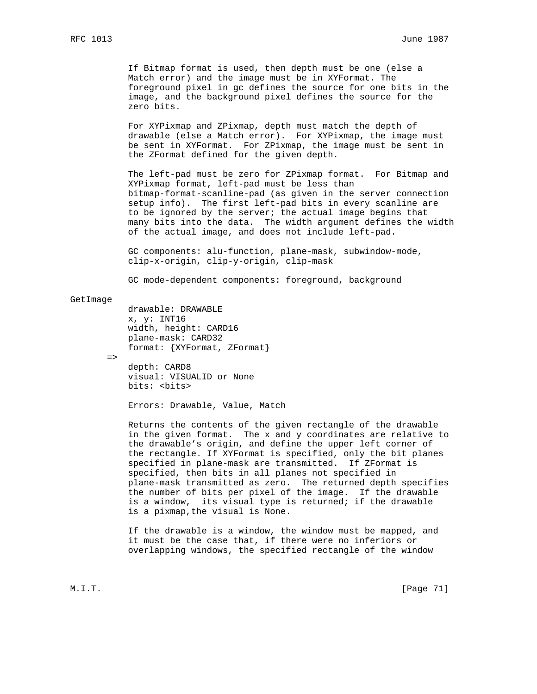If Bitmap format is used, then depth must be one (else a Match error) and the image must be in XYFormat. The foreground pixel in gc defines the source for one bits in the image, and the background pixel defines the source for the zero bits.

 For XYPixmap and ZPixmap, depth must match the depth of drawable (else a Match error). For XYPixmap, the image must be sent in XYFormat. For ZPixmap, the image must be sent in the ZFormat defined for the given depth.

 The left-pad must be zero for ZPixmap format. For Bitmap and XYPixmap format, left-pad must be less than bitmap-format-scanline-pad (as given in the server connection setup info). The first left-pad bits in every scanline are to be ignored by the server; the actual image begins that many bits into the data. The width argument defines the width of the actual image, and does not include left-pad.

 GC components: alu-function, plane-mask, subwindow-mode, clip-x-origin, clip-y-origin, clip-mask

GC mode-dependent components: foreground, background

### GetImage

 drawable: DRAWABLE x, y: INT16 width, height: CARD16 plane-mask: CARD32 format: {XYFormat, ZFormat}

 $=$ 

 depth: CARD8 visual: VISUALID or None bits: <br/> <br/>bits>

Errors: Drawable, Value, Match

 Returns the contents of the given rectangle of the drawable in the given format. The x and y coordinates are relative to the drawable's origin, and define the upper left corner of the rectangle. If XYFormat is specified, only the bit planes specified in plane-mask are transmitted. If ZFormat is specified, then bits in all planes not specified in plane-mask transmitted as zero. The returned depth specifies the number of bits per pixel of the image. If the drawable is a window, its visual type is returned; if the drawable is a pixmap,the visual is None.

 If the drawable is a window, the window must be mapped, and it must be the case that, if there were no inferiors or overlapping windows, the specified rectangle of the window

M.I.T. [Page 71]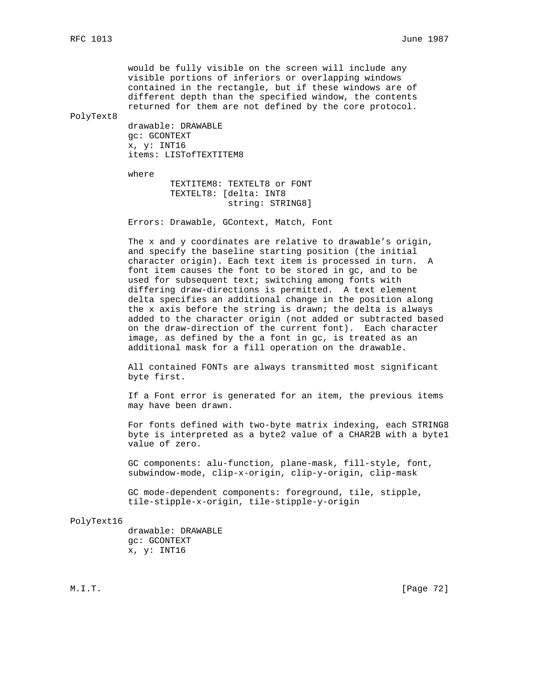would be fully visible on the screen will include any visible portions of inferiors or overlapping windows contained in the rectangle, but if these windows are of different depth than the specified window, the contents returned for them are not defined by the core protocol.

PolyText8

 drawable: DRAWABLE gc: GCONTEXT x, y: INT16 items: LISTofTEXTITEM8

where

 TEXTITEM8: TEXTELT8 or FONT TEXTELT8: [delta: INT8 string: STRING8]

Errors: Drawable, GContext, Match, Font

 The x and y coordinates are relative to drawable's origin, and specify the baseline starting position (the initial character origin). Each text item is processed in turn. A font item causes the font to be stored in gc, and to be used for subsequent text; switching among fonts with differing draw-directions is permitted. A text element delta specifies an additional change in the position along the x axis before the string is drawn; the delta is always added to the character origin (not added or subtracted based on the draw-direction of the current font). Each character image, as defined by the a font in gc, is treated as an additional mask for a fill operation on the drawable.

 All contained FONTs are always transmitted most significant byte first.

 If a Font error is generated for an item, the previous items may have been drawn.

 For fonts defined with two-byte matrix indexing, each STRING8 byte is interpreted as a byte2 value of a CHAR2B with a byte1 value of zero.

 GC components: alu-function, plane-mask, fill-style, font, subwindow-mode, clip-x-origin, clip-y-origin, clip-mask

 GC mode-dependent components: foreground, tile, stipple, tile-stipple-x-origin, tile-stipple-y-origin

# PolyText16

 drawable: DRAWABLE gc: GCONTEXT x, y: INT16

M.I.T. [Page 72]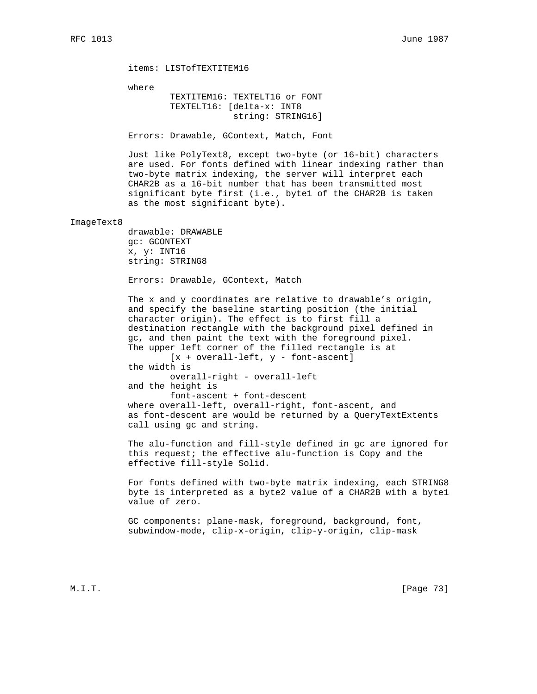items: LISTofTEXTITEM16

where

 TEXTITEM16: TEXTELT16 or FONT TEXTELT16: [delta-x: INT8 string: STRING16]

Errors: Drawable, GContext, Match, Font

 Just like PolyText8, except two-byte (or 16-bit) characters are used. For fonts defined with linear indexing rather than two-byte matrix indexing, the server will interpret each CHAR2B as a 16-bit number that has been transmitted most significant byte first (i.e., byte1 of the CHAR2B is taken as the most significant byte).

#### ImageText8

 drawable: DRAWABLE gc: GCONTEXT x, y: INT16 string: STRING8

Errors: Drawable, GContext, Match

 The x and y coordinates are relative to drawable's origin, and specify the baseline starting position (the initial character origin). The effect is to first fill a destination rectangle with the background pixel defined in gc, and then paint the text with the foreground pixel. The upper left corner of the filled rectangle is at [x + overall-left, y - font-ascent] the width is overall-right - overall-left and the height is

 font-ascent + font-descent where overall-left, overall-right, font-ascent, and as font-descent are would be returned by a QueryTextExtents call using gc and string.

 The alu-function and fill-style defined in gc are ignored for this request; the effective alu-function is Copy and the effective fill-style Solid.

 For fonts defined with two-byte matrix indexing, each STRING8 byte is interpreted as a byte2 value of a CHAR2B with a byte1 value of zero.

 GC components: plane-mask, foreground, background, font, subwindow-mode, clip-x-origin, clip-y-origin, clip-mask

M.I.T. [Page 73]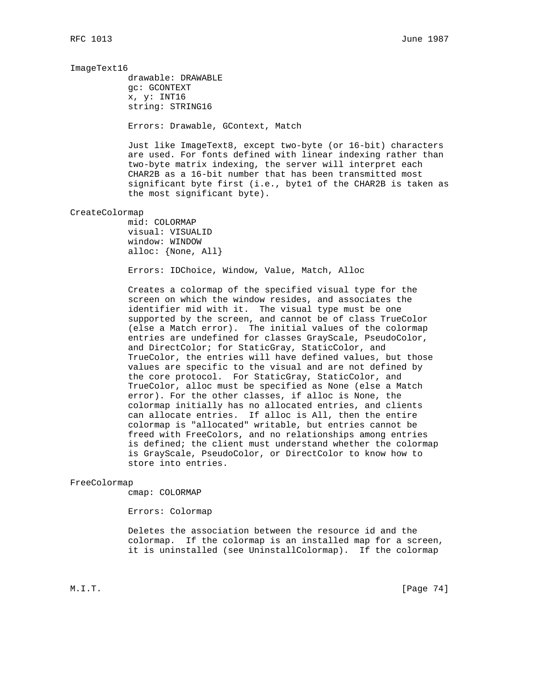ImageText16 drawable: DRAWABLE gc: GCONTEXT x, y: INT16 string: STRING16 Errors: Drawable, GContext, Match Just like ImageText8, except two-byte (or 16-bit) characters are used. For fonts defined with linear indexing rather than two-byte matrix indexing, the server will interpret each CHAR2B as a 16-bit number that has been transmitted most significant byte first (i.e., byte1 of the CHAR2B is taken as the most significant byte).

# CreateColormap

 mid: COLORMAP visual: VISUALID window: WINDOW alloc: {None, All}

Errors: IDChoice, Window, Value, Match, Alloc

 Creates a colormap of the specified visual type for the screen on which the window resides, and associates the identifier mid with it. The visual type must be one supported by the screen, and cannot be of class TrueColor (else a Match error). The initial values of the colormap entries are undefined for classes GrayScale, PseudoColor, and DirectColor; for StaticGray, StaticColor, and TrueColor, the entries will have defined values, but those values are specific to the visual and are not defined by the core protocol. For StaticGray, StaticColor, and TrueColor, alloc must be specified as None (else a Match error). For the other classes, if alloc is None, the colormap initially has no allocated entries, and clients can allocate entries. If alloc is All, then the entire colormap is "allocated" writable, but entries cannot be freed with FreeColors, and no relationships among entries is defined; the client must understand whether the colormap is GrayScale, PseudoColor, or DirectColor to know how to store into entries.

# FreeColormap

cmap: COLORMAP

Errors: Colormap

 Deletes the association between the resource id and the colormap. If the colormap is an installed map for a screen, it is uninstalled (see UninstallColormap). If the colormap

M.I.T. [Page 74]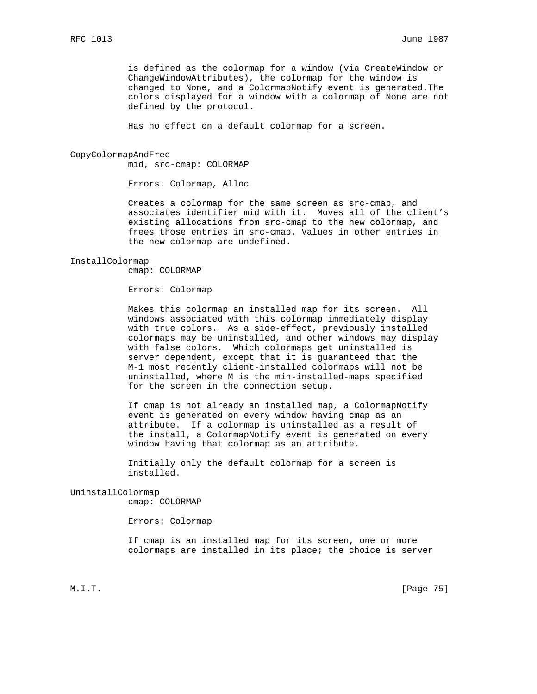is defined as the colormap for a window (via CreateWindow or ChangeWindowAttributes), the colormap for the window is changed to None, and a ColormapNotify event is generated.The colors displayed for a window with a colormap of None are not defined by the protocol.

Has no effect on a default colormap for a screen.

### CopyColormapAndFree

mid, src-cmap: COLORMAP

Errors: Colormap, Alloc

 Creates a colormap for the same screen as src-cmap, and associates identifier mid with it. Moves all of the client's existing allocations from src-cmap to the new colormap, and frees those entries in src-cmap. Values in other entries in the new colormap are undefined.

#### InstallColormap

cmap: COLORMAP

Errors: Colormap

 Makes this colormap an installed map for its screen. All windows associated with this colormap immediately display with true colors. As a side-effect, previously installed colormaps may be uninstalled, and other windows may display with false colors. Which colormaps get uninstalled is server dependent, except that it is guaranteed that the M-1 most recently client-installed colormaps will not be uninstalled, where M is the min-installed-maps specified for the screen in the connection setup.

 If cmap is not already an installed map, a ColormapNotify event is generated on every window having cmap as an attribute. If a colormap is uninstalled as a result of the install, a ColormapNotify event is generated on every window having that colormap as an attribute.

 Initially only the default colormap for a screen is installed.

### UninstallColormap

cmap: COLORMAP

Errors: Colormap

 If cmap is an installed map for its screen, one or more colormaps are installed in its place; the choice is server

M.I.T. [Page 75]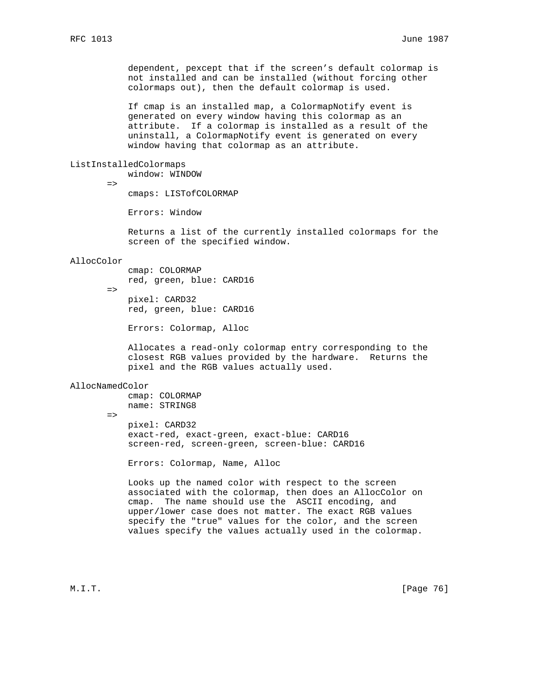dependent, pexcept that if the screen's default colormap is not installed and can be installed (without forcing other colormaps out), then the default colormap is used.

 If cmap is an installed map, a ColormapNotify event is generated on every window having this colormap as an attribute. If a colormap is installed as a result of the uninstall, a ColormapNotify event is generated on every window having that colormap as an attribute.

## ListInstalledColormaps

window: WINDOW

 $=$ 

cmaps: LISTofCOLORMAP

Errors: Window

 Returns a list of the currently installed colormaps for the screen of the specified window.

# AllocColor

 cmap: COLORMAP red, green, blue: CARD16

 $\Rightarrow$ 

 pixel: CARD32 red, green, blue: CARD16

Errors: Colormap, Alloc

 Allocates a read-only colormap entry corresponding to the closest RGB values provided by the hardware. Returns the pixel and the RGB values actually used.

### AllocNamedColor

 cmap: COLORMAP name: STRING8

## $=$

 pixel: CARD32 exact-red, exact-green, exact-blue: CARD16 screen-red, screen-green, screen-blue: CARD16

Errors: Colormap, Name, Alloc

 Looks up the named color with respect to the screen associated with the colormap, then does an AllocColor on cmap. The name should use the ASCII encoding, and upper/lower case does not matter. The exact RGB values specify the "true" values for the color, and the screen values specify the values actually used in the colormap.

M.I.T. [Page 76]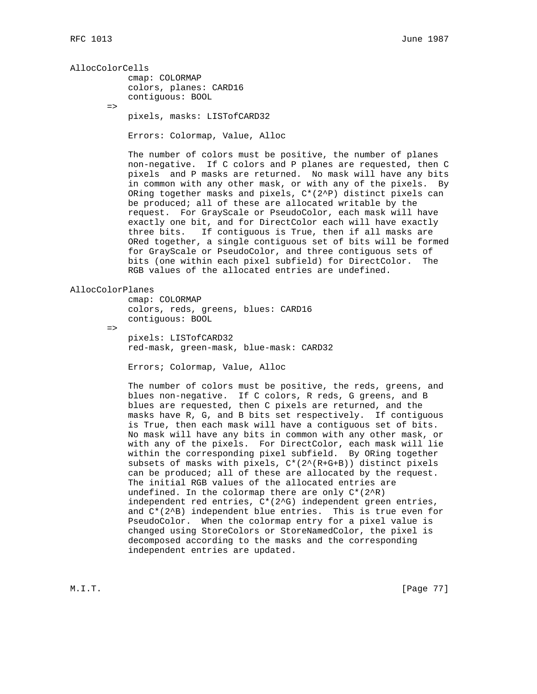AllocColorCells

 cmap: COLORMAP colors, planes: CARD16 contiguous: BOOL

=>

pixels, masks: LISTofCARD32

Errors: Colormap, Value, Alloc

 The number of colors must be positive, the number of planes non-negative. If C colors and P planes are requested, then C pixels and P masks are returned. No mask will have any bits in common with any other mask, or with any of the pixels. By ORing together masks and pixels, C\*(2^P) distinct pixels can be produced; all of these are allocated writable by the request. For GrayScale or PseudoColor, each mask will have exactly one bit, and for DirectColor each will have exactly three bits. If contiguous is True, then if all masks are ORed together, a single contiguous set of bits will be formed for GrayScale or PseudoColor, and three contiguous sets of bits (one within each pixel subfield) for DirectColor. The RGB values of the allocated entries are undefined.

# AllocColorPlanes

 cmap: COLORMAP colors, reds, greens, blues: CARD16 contiguous: BOOL

=>

 pixels: LISTofCARD32 red-mask, green-mask, blue-mask: CARD32

Errors; Colormap, Value, Alloc

 The number of colors must be positive, the reds, greens, and blues non-negative. If C colors, R reds, G greens, and B blues are requested, then C pixels are returned, and the masks have R, G, and B bits set respectively. If contiguous is True, then each mask will have a contiguous set of bits. No mask will have any bits in common with any other mask, or with any of the pixels. For DirectColor, each mask will lie within the corresponding pixel subfield. By ORing together subsets of masks with pixels,  $C^*(2^(R+G+B))$  distinct pixels can be produced; all of these are allocated by the request. The initial RGB values of the allocated entries are undefined. In the colormap there are only  $C^*(2^R)$  independent red entries, C\*(2^G) independent green entries, and  $C^*(2^AB)$  independent blue entries. This is true even for PseudoColor. When the colormap entry for a pixel value is changed using StoreColors or StoreNamedColor, the pixel is decomposed according to the masks and the corresponding independent entries are updated.

M.I.T. [Page 77]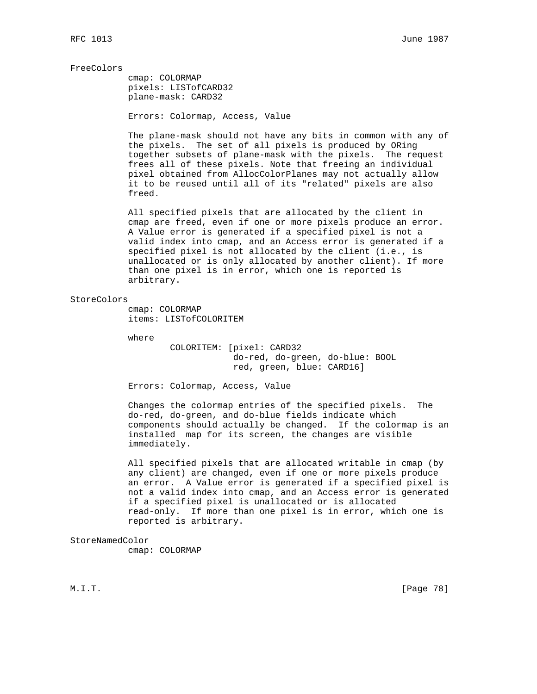FreeColors

 cmap: COLORMAP pixels: LISTofCARD32 plane-mask: CARD32

Errors: Colormap, Access, Value

 The plane-mask should not have any bits in common with any of the pixels. The set of all pixels is produced by ORing together subsets of plane-mask with the pixels. The request frees all of these pixels. Note that freeing an individual pixel obtained from AllocColorPlanes may not actually allow it to be reused until all of its "related" pixels are also freed.

 All specified pixels that are allocated by the client in cmap are freed, even if one or more pixels produce an error. A Value error is generated if a specified pixel is not a valid index into cmap, and an Access error is generated if a specified pixel is not allocated by the client (i.e., is unallocated or is only allocated by another client). If more than one pixel is in error, which one is reported is arbitrary.

# StoreColors

 cmap: COLORMAP items: LISTofCOLORITEM

where

 COLORITEM: [pixel: CARD32 do-red, do-green, do-blue: BOOL red, green, blue: CARD16]

Errors: Colormap, Access, Value

 Changes the colormap entries of the specified pixels. The do-red, do-green, and do-blue fields indicate which components should actually be changed. If the colormap is an installed map for its screen, the changes are visible immediately.

 All specified pixels that are allocated writable in cmap (by any client) are changed, even if one or more pixels produce an error. A Value error is generated if a specified pixel is not a valid index into cmap, and an Access error is generated if a specified pixel is unallocated or is allocated read-only. If more than one pixel is in error, which one is reported is arbitrary.

StoreNamedColor cmap: COLORMAP

M.I.T. [Page 78]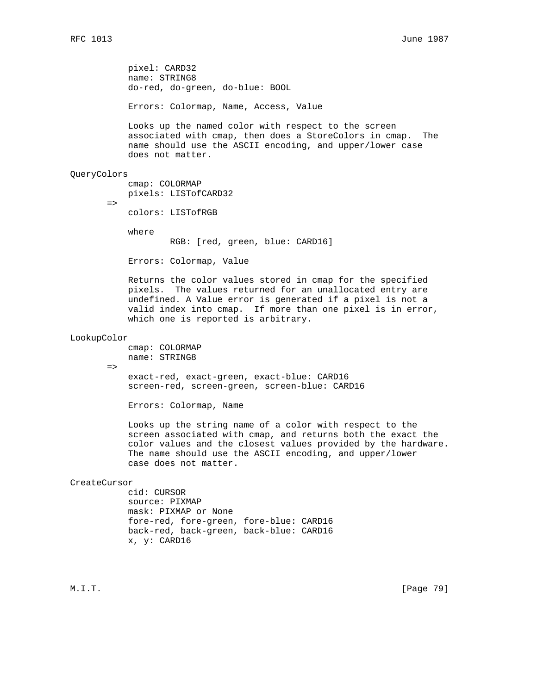pixel: CARD32 name: STRING8 do-red, do-green, do-blue: BOOL Errors: Colormap, Name, Access, Value Looks up the named color with respect to the screen associated with cmap, then does a StoreColors in cmap. The name should use the ASCII encoding, and upper/lower case does not matter. QueryColors cmap: COLORMAP pixels: LISTofCARD32  $\Rightarrow$  colors: LISTofRGB where RGB: [red, green, blue: CARD16] Errors: Colormap, Value Returns the color values stored in cmap for the specified pixels. The values returned for an unallocated entry are undefined. A Value error is generated if a pixel is not a valid index into cmap. If more than one pixel is in error, which one is reported is arbitrary. LookupColor cmap: COLORMAP name: STRING8 => exact-red, exact-green, exact-blue: CARD16 screen-red, screen-green, screen-blue: CARD16 Errors: Colormap, Name Looks up the string name of a color with respect to the screen associated with cmap, and returns both the exact the color values and the closest values provided by the hardware. The name should use the ASCII encoding, and upper/lower case does not matter. CreateCursor cid: CURSOR source: PIXMAP mask: PIXMAP or None fore-red, fore-green, fore-blue: CARD16 back-red, back-green, back-blue: CARD16 x, y: CARD16

M.I.T. [Page 79]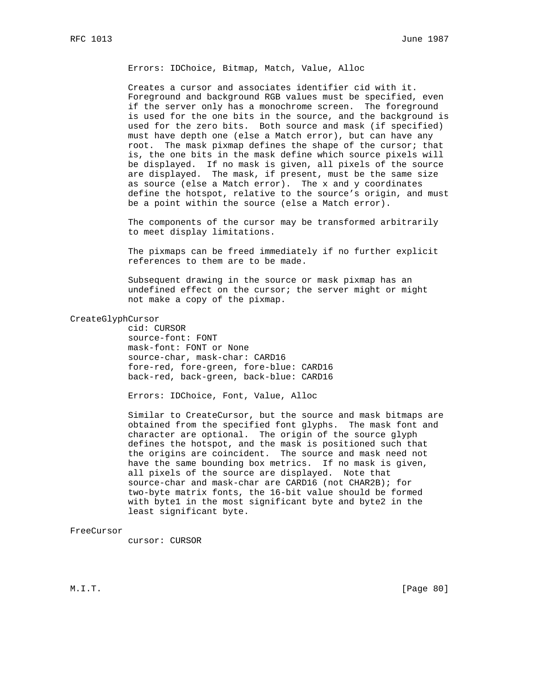Errors: IDChoice, Bitmap, Match, Value, Alloc

 Creates a cursor and associates identifier cid with it. Foreground and background RGB values must be specified, even if the server only has a monochrome screen. The foreground is used for the one bits in the source, and the background is used for the zero bits. Both source and mask (if specified) must have depth one (else a Match error), but can have any root. The mask pixmap defines the shape of the cursor; that is, the one bits in the mask define which source pixels will be displayed. If no mask is given, all pixels of the source are displayed. The mask, if present, must be the same size as source (else a Match error). The x and y coordinates define the hotspot, relative to the source's origin, and must be a point within the source (else a Match error).

 The components of the cursor may be transformed arbitrarily to meet display limitations.

 The pixmaps can be freed immediately if no further explicit references to them are to be made.

 Subsequent drawing in the source or mask pixmap has an undefined effect on the cursor; the server might or might not make a copy of the pixmap.

## CreateGlyphCursor

 cid: CURSOR source-font: FONT mask-font: FONT or None source-char, mask-char: CARD16 fore-red, fore-green, fore-blue: CARD16 back-red, back-green, back-blue: CARD16

Errors: IDChoice, Font, Value, Alloc

 Similar to CreateCursor, but the source and mask bitmaps are obtained from the specified font glyphs. The mask font and character are optional. The origin of the source glyph defines the hotspot, and the mask is positioned such that the origins are coincident. The source and mask need not have the same bounding box metrics. If no mask is given, all pixels of the source are displayed. Note that source-char and mask-char are CARD16 (not CHAR2B); for two-byte matrix fonts, the 16-bit value should be formed with byte1 in the most significant byte and byte2 in the least significant byte.

# FreeCursor

cursor: CURSOR

M.I.T. [Page 80]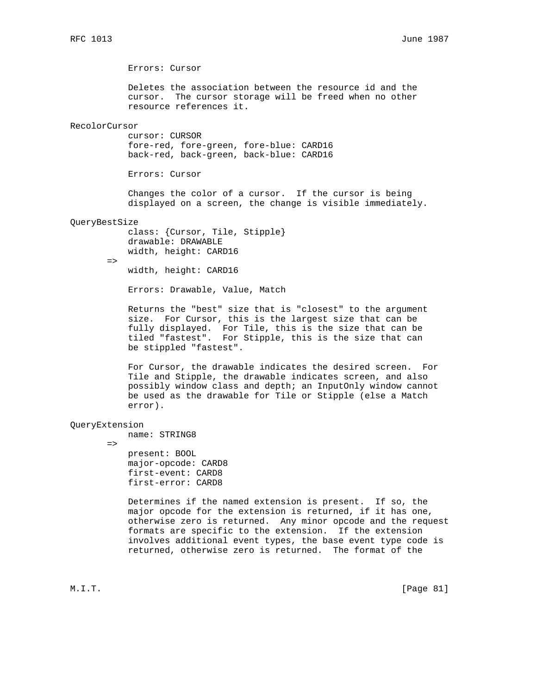Errors: Cursor Deletes the association between the resource id and the cursor. The cursor storage will be freed when no other resource references it. RecolorCursor cursor: CURSOR fore-red, fore-green, fore-blue: CARD16 back-red, back-green, back-blue: CARD16 Errors: Cursor Changes the color of a cursor. If the cursor is being displayed on a screen, the change is visible immediately. QueryBestSize class: {Cursor, Tile, Stipple} drawable: DRAWABLE width, height: CARD16  $\Rightarrow$  width, height: CARD16 Errors: Drawable, Value, Match Returns the "best" size that is "closest" to the argument size. For Cursor, this is the largest size that can be fully displayed. For Tile, this is the size that can be tiled "fastest". For Stipple, this is the size that can be stippled "fastest". For Cursor, the drawable indicates the desired screen. For Tile and Stipple, the drawable indicates screen, and also possibly window class and depth; an InputOnly window cannot be used as the drawable for Tile or Stipple (else a Match error). QueryExtension name: STRING8 => present: BOOL major-opcode: CARD8 first-event: CARD8 first-error: CARD8 Determines if the named extension is present. If so, the major opcode for the extension is returned, if it has one, otherwise zero is returned. Any minor opcode and the request formats are specific to the extension. If the extension involves additional event types, the base event type code is

returned, otherwise zero is returned. The format of the

M.I.T. [Page 81]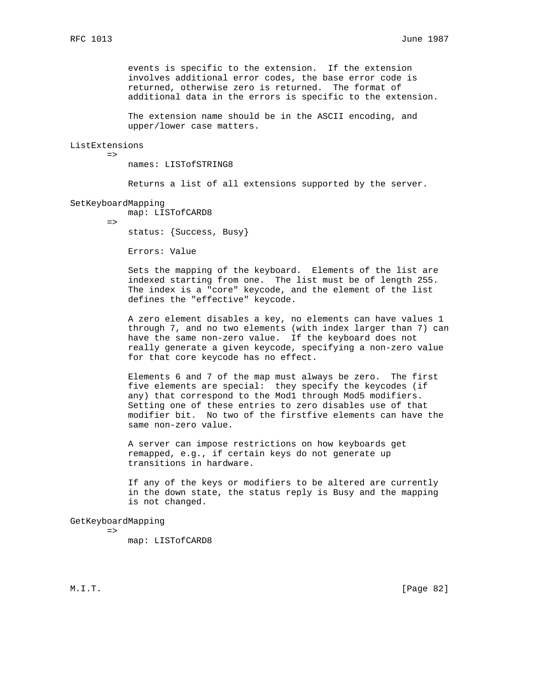events is specific to the extension. If the extension involves additional error codes, the base error code is returned, otherwise zero is returned. The format of additional data in the errors is specific to the extension.

 The extension name should be in the ASCII encoding, and upper/lower case matters.

#### ListExtensions =>

names: LISTofSTRING8

Returns a list of all extensions supported by the server.

SetKeyboardMapping

map: LISTofCARD8

 $=$   $>$ 

status: {Success, Busy}

Errors: Value

 Sets the mapping of the keyboard. Elements of the list are indexed starting from one. The list must be of length 255. The index is a "core" keycode, and the element of the list defines the "effective" keycode.

 A zero element disables a key, no elements can have values 1 through 7, and no two elements (with index larger than 7) can have the same non-zero value. If the keyboard does not really generate a given keycode, specifying a non-zero value for that core keycode has no effect.

 Elements 6 and 7 of the map must always be zero. The first five elements are special: they specify the keycodes (if any) that correspond to the Mod1 through Mod5 modifiers. Setting one of these entries to zero disables use of that modifier bit. No two of the firstfive elements can have the same non-zero value.

 A server can impose restrictions on how keyboards get remapped, e.g., if certain keys do not generate up transitions in hardware.

 If any of the keys or modifiers to be altered are currently in the down state, the status reply is Busy and the mapping is not changed.

### GetKeyboardMapping =>

map: LISTofCARD8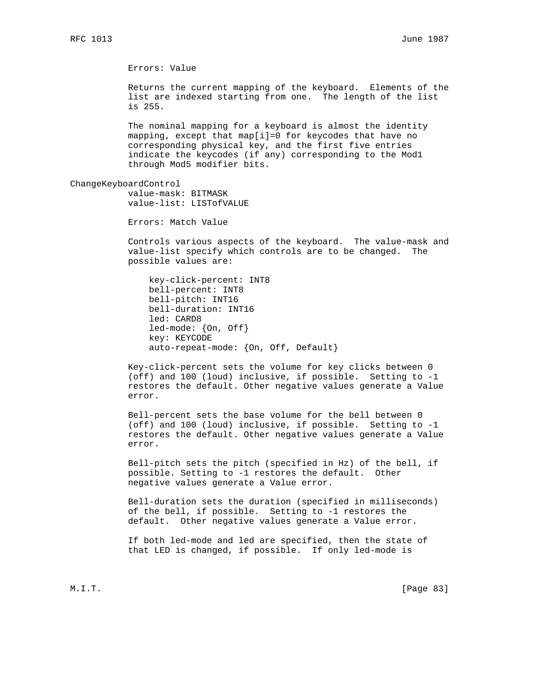Errors: Value

 Returns the current mapping of the keyboard. Elements of the list are indexed starting from one. The length of the list is 255.

 The nominal mapping for a keyboard is almost the identity mapping, except that map[i]=0 for keycodes that have no corresponding physical key, and the first five entries indicate the keycodes (if any) corresponding to the Mod1 through Mod5 modifier bits.

ChangeKeyboardControl

 value-mask: BITMASK value-list: LISTofVALUE

Errors: Match Value

 Controls various aspects of the keyboard. The value-mask and value-list specify which controls are to be changed. The possible values are:

 key-click-percent: INT8 bell-percent: INT8 bell-pitch: INT16 bell-duration: INT16 led: CARD8 led-mode: {On, Off} key: KEYCODE auto-repeat-mode: {On, Off, Default}

 Key-click-percent sets the volume for key clicks between 0 (off) and 100 (loud) inclusive, if possible. Setting to -1 restores the default. Other negative values generate a Value error.

 Bell-percent sets the base volume for the bell between 0 (off) and 100 (loud) inclusive, if possible. Setting to -1 restores the default. Other negative values generate a Value error.

 Bell-pitch sets the pitch (specified in Hz) of the bell, if possible. Setting to -1 restores the default. Other negative values generate a Value error.

 Bell-duration sets the duration (specified in milliseconds) of the bell, if possible. Setting to -1 restores the default. Other negative values generate a Value error.

 If both led-mode and led are specified, then the state of that LED is changed, if possible. If only led-mode is

M.I.T. [Page 83]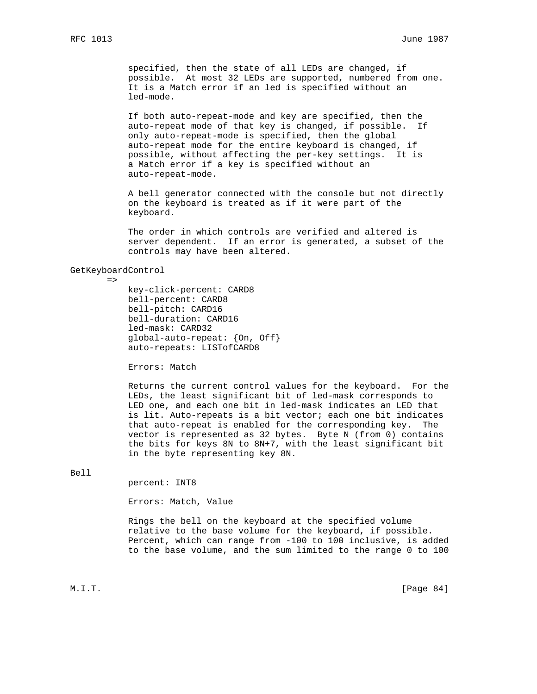specified, then the state of all LEDs are changed, if possible. At most 32 LEDs are supported, numbered from one. It is a Match error if an led is specified without an led-mode.

 If both auto-repeat-mode and key are specified, then the auto-repeat mode of that key is changed, if possible. If only auto-repeat-mode is specified, then the global auto-repeat mode for the entire keyboard is changed, if possible, without affecting the per-key settings. It is a Match error if a key is specified without an auto-repeat-mode.

 A bell generator connected with the console but not directly on the keyboard is treated as if it were part of the keyboard.

 The order in which controls are verified and altered is server dependent. If an error is generated, a subset of the controls may have been altered.

### GetKeyboardControl =>

 key-click-percent: CARD8 bell-percent: CARD8 bell-pitch: CARD16 bell-duration: CARD16 led-mask: CARD32 global-auto-repeat: {On, Off} auto-repeats: LISTofCARD8

Errors: Match

 Returns the current control values for the keyboard. For the LEDs, the least significant bit of led-mask corresponds to LED one, and each one bit in led-mask indicates an LED that is lit. Auto-repeats is a bit vector; each one bit indicates that auto-repeat is enabled for the corresponding key. The vector is represented as 32 bytes. Byte N (from 0) contains the bits for keys 8N to 8N+7, with the least significant bit in the byte representing key 8N.

### Bell

percent: INT8

Errors: Match, Value

 Rings the bell on the keyboard at the specified volume relative to the base volume for the keyboard, if possible. Percent, which can range from -100 to 100 inclusive, is added to the base volume, and the sum limited to the range 0 to 100

M.I.T. [Page 84]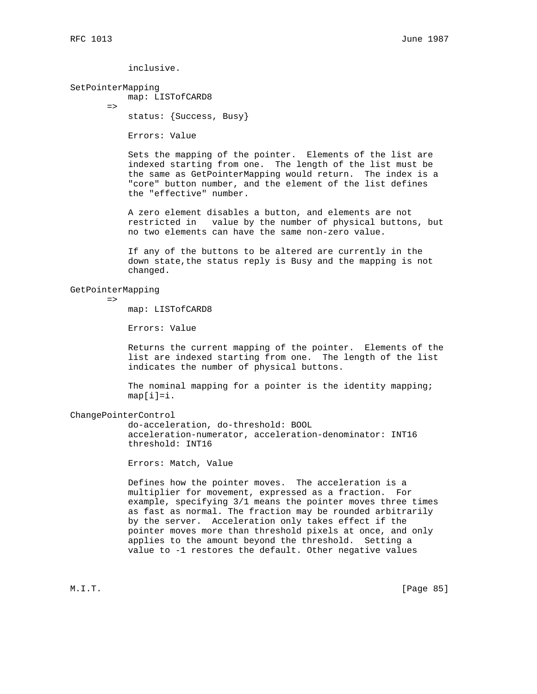inclusive.

SetPointerMapping

=>

map: LISTofCARD8

status: {Success, Busy}

Errors: Value

 Sets the mapping of the pointer. Elements of the list are indexed starting from one. The length of the list must be the same as GetPointerMapping would return. The index is a "core" button number, and the element of the list defines the "effective" number.

 A zero element disables a button, and elements are not restricted in value by the number of physical buttons, but no two elements can have the same non-zero value.

 If any of the buttons to be altered are currently in the down state,the status reply is Busy and the mapping is not changed.

#### GetPointerMapping  $=$

map: LISTofCARD8

Errors: Value

 Returns the current mapping of the pointer. Elements of the list are indexed starting from one. The length of the list indicates the number of physical buttons.

The nominal mapping for a pointer is the identity mapping;  $map[i]=i.$ 

ChangePointerControl

 do-acceleration, do-threshold: BOOL acceleration-numerator, acceleration-denominator: INT16 threshold: INT16

Errors: Match, Value

 Defines how the pointer moves. The acceleration is a multiplier for movement, expressed as a fraction. For example, specifying 3/1 means the pointer moves three times as fast as normal. The fraction may be rounded arbitrarily by the server. Acceleration only takes effect if the pointer moves more than threshold pixels at once, and only applies to the amount beyond the threshold. Setting a value to -1 restores the default. Other negative values

M.I.T. [Page 85]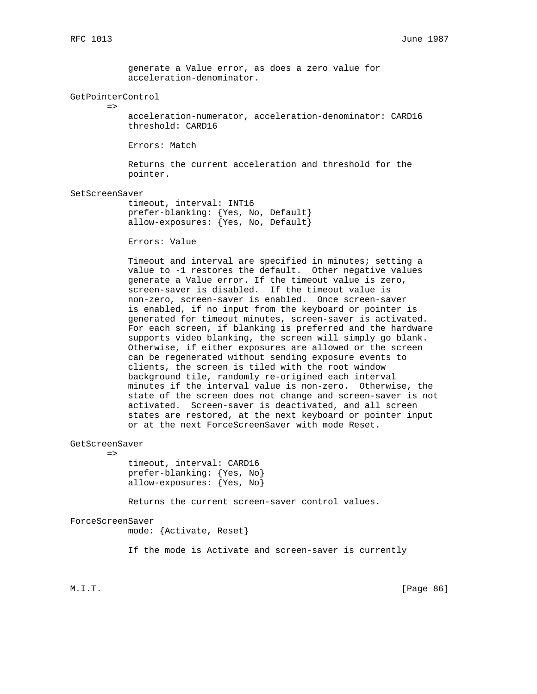generate a Value error, as does a zero value for acceleration-denominator.

### GetPointerControl =>

 acceleration-numerator, acceleration-denominator: CARD16 threshold: CARD16

Errors: Match

 Returns the current acceleration and threshold for the pointer.

### SetScreenSaver

 timeout, interval: INT16 prefer-blanking: {Yes, No, Default} allow-exposures: {Yes, No, Default}

Errors: Value

 Timeout and interval are specified in minutes; setting a value to -1 restores the default. Other negative values generate a Value error. If the timeout value is zero, screen-saver is disabled. If the timeout value is non-zero, screen-saver is enabled. Once screen-saver is enabled, if no input from the keyboard or pointer is generated for timeout minutes, screen-saver is activated. For each screen, if blanking is preferred and the hardware supports video blanking, the screen will simply go blank. Otherwise, if either exposures are allowed or the screen can be regenerated without sending exposure events to clients, the screen is tiled with the root window background tile, randomly re-origined each interval minutes if the interval value is non-zero. Otherwise, the state of the screen does not change and screen-saver is not activated. Screen-saver is deactivated, and all screen states are restored, at the next keyboard or pointer input or at the next ForceScreenSaver with mode Reset.

GetScreenSaver  $=$ 

 timeout, interval: CARD16 prefer-blanking: {Yes, No} allow-exposures: {Yes, No}

Returns the current screen-saver control values.

## ForceScreenSaver

mode: {Activate, Reset}

If the mode is Activate and screen-saver is currently

M.I.T. [Page 86]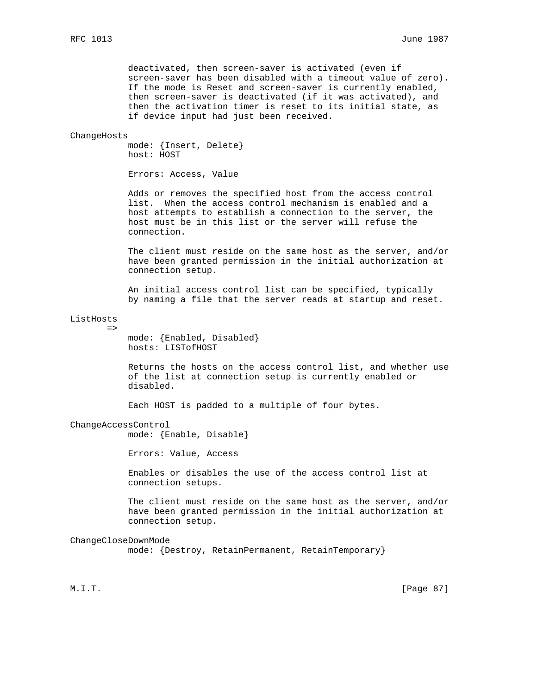deactivated, then screen-saver is activated (even if screen-saver has been disabled with a timeout value of zero). If the mode is Reset and screen-saver is currently enabled, then screen-saver is deactivated (if it was activated), and then the activation timer is reset to its initial state, as if device input had just been received.

### ChangeHosts

 mode: {Insert, Delete} host: HOST

Errors: Access, Value

 Adds or removes the specified host from the access control list. When the access control mechanism is enabled and a host attempts to establish a connection to the server, the host must be in this list or the server will refuse the connection.

 The client must reside on the same host as the server, and/or have been granted permission in the initial authorization at connection setup.

 An initial access control list can be specified, typically by naming a file that the server reads at startup and reset.

# ListHosts  $=$   $>$

 Returns the hosts on the access control list, and whether use of the list at connection setup is currently enabled or disabled.

Each HOST is padded to a multiple of four bytes.

### ChangeAccessControl

mode: {Enable, Disable}

Errors: Value, Access

 Enables or disables the use of the access control list at connection setups.

 The client must reside on the same host as the server, and/or have been granted permission in the initial authorization at connection setup.

### ChangeCloseDownMode

mode: {Destroy, RetainPermanent, RetainTemporary}

M.I.T. [Page 87]

mode: {Enabled, Disabled} hosts: LISTofHOST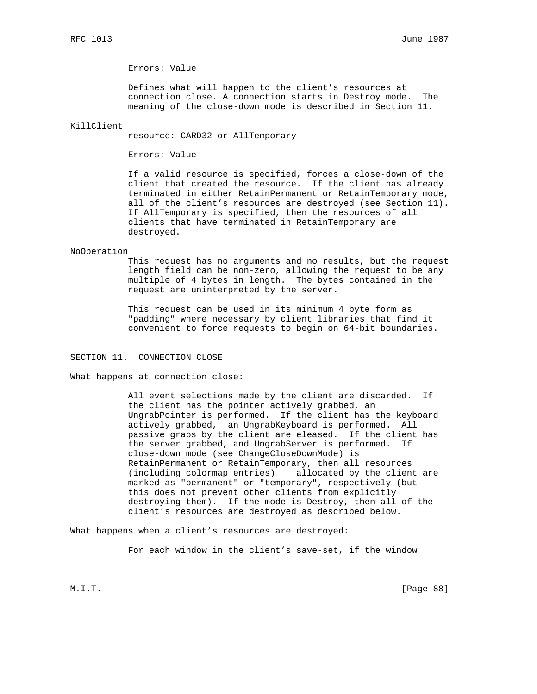Errors: Value

 Defines what will happen to the client's resources at connection close. A connection starts in Destroy mode. The meaning of the close-down mode is described in Section 11.

# KillClient

resource: CARD32 or AllTemporary

Errors: Value

 If a valid resource is specified, forces a close-down of the client that created the resource. If the client has already terminated in either RetainPermanent or RetainTemporary mode, all of the client's resources are destroyed (see Section 11). If AllTemporary is specified, then the resources of all clients that have terminated in RetainTemporary are destroyed.

#### NoOperation

 This request has no arguments and no results, but the request length field can be non-zero, allowing the request to be any multiple of 4 bytes in length. The bytes contained in the request are uninterpreted by the server.

 This request can be used in its minimum 4 byte form as "padding" where necessary by client libraries that find it convenient to force requests to begin on 64-bit boundaries.

# SECTION 11. CONNECTION CLOSE

What happens at connection close:

 All event selections made by the client are discarded. If the client has the pointer actively grabbed, an UngrabPointer is performed. If the client has the keyboard actively grabbed, an UngrabKeyboard is performed. All passive grabs by the client are eleased. If the client has the server grabbed, and UngrabServer is performed. If close-down mode (see ChangeCloseDownMode) is RetainPermanent or RetainTemporary, then all resources (including colormap entries) allocated by the client are marked as "permanent" or "temporary", respectively (but this does not prevent other clients from explicitly destroying them). If the mode is Destroy, then all of the client's resources are destroyed as described below.

What happens when a client's resources are destroyed:

For each window in the client's save-set, if the window

M.I.T. [Page 88]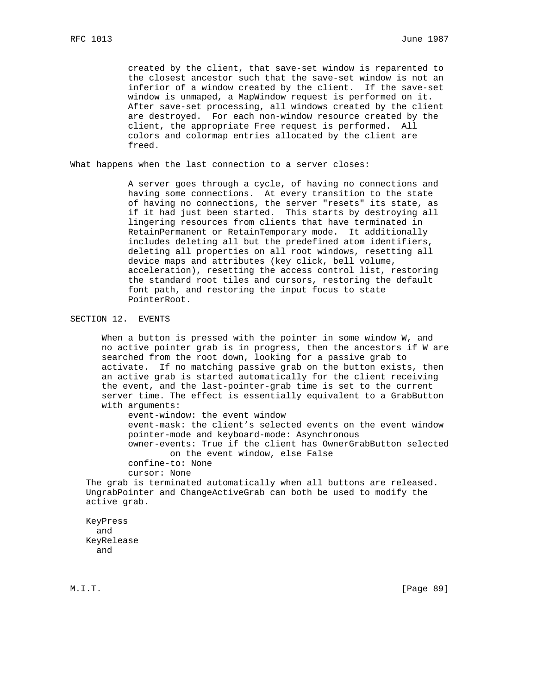created by the client, that save-set window is reparented to the closest ancestor such that the save-set window is not an inferior of a window created by the client. If the save-set window is unmaped, a MapWindow request is performed on it. After save-set processing, all windows created by the client are destroyed. For each non-window resource created by the client, the appropriate Free request is performed. All colors and colormap entries allocated by the client are freed.

What happens when the last connection to a server closes:

 A server goes through a cycle, of having no connections and having some connections. At every transition to the state of having no connections, the server "resets" its state, as if it had just been started. This starts by destroying all lingering resources from clients that have terminated in RetainPermanent or RetainTemporary mode. It additionally includes deleting all but the predefined atom identifiers, deleting all properties on all root windows, resetting all device maps and attributes (key click, bell volume, acceleration), resetting the access control list, restoring the standard root tiles and cursors, restoring the default font path, and restoring the input focus to state PointerRoot.

# SECTION 12. EVENTS

 When a button is pressed with the pointer in some window W, and no active pointer grab is in progress, then the ancestors if W are searched from the root down, looking for a passive grab to activate. If no matching passive grab on the button exists, then an active grab is started automatically for the client receiving the event, and the last-pointer-grab time is set to the current server time. The effect is essentially equivalent to a GrabButton with arguments:

 event-window: the event window event-mask: the client's selected events on the event window pointer-mode and keyboard-mode: Asynchronous owner-events: True if the client has OwnerGrabButton selected on the event window, else False confine-to: None cursor: None

 The grab is terminated automatically when all buttons are released. UngrabPointer and ChangeActiveGrab can both be used to modify the active grab.

 KeyPress and KeyRelease and

M.I.T. [Page 89]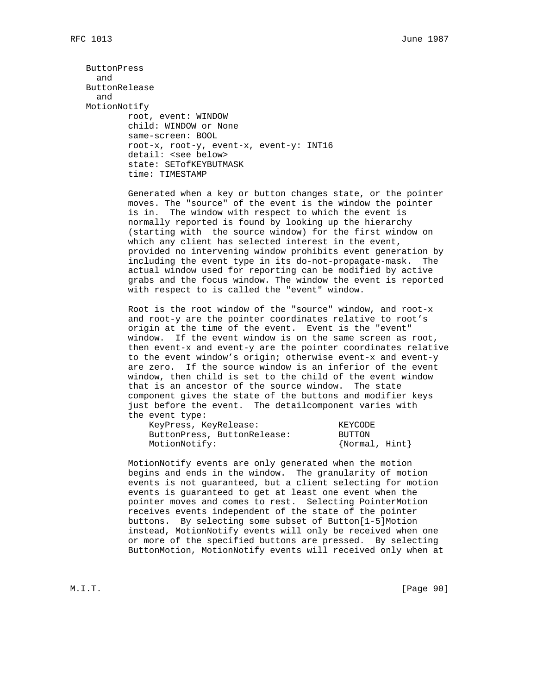ButtonPress and ButtonRelease and MotionNotify root, event: WINDOW child: WINDOW or None same-screen: BOOL root-x, root-y, event-x, event-y: INT16 detail: <see below> state: SETofKEYBUTMASK time: TIMESTAMP

> Generated when a key or button changes state, or the pointer moves. The "source" of the event is the window the pointer is in. The window with respect to which the event is normally reported is found by looking up the hierarchy (starting with the source window) for the first window on which any client has selected interest in the event, provided no intervening window prohibits event generation by including the event type in its do-not-propagate-mask. The actual window used for reporting can be modified by active grabs and the focus window. The window the event is reported with respect to is called the "event" window.

 Root is the root window of the "source" window, and root-x and root-y are the pointer coordinates relative to root's origin at the time of the event. Event is the "event" window. If the event window is on the same screen as root, then event-x and event-y are the pointer coordinates relative to the event window's origin; otherwise event-x and event-y are zero. If the source window is an inferior of the event window, then child is set to the child of the event window that is an ancestor of the source window. The state component gives the state of the buttons and modifier keys just before the event. The detailcomponent varies with the event type:

| KeyPress, KeyRelease:       | KEYCODE            |
|-----------------------------|--------------------|
| ButtonPress, ButtonRelease: | BUTTON             |
| MotionNotify:               | $\{Normal, Hint\}$ |

 MotionNotify events are only generated when the motion begins and ends in the window. The granularity of motion events is not guaranteed, but a client selecting for motion events is guaranteed to get at least one event when the pointer moves and comes to rest. Selecting PointerMotion receives events independent of the state of the pointer buttons. By selecting some subset of Button[1-5]Motion instead, MotionNotify events will only be received when one or more of the specified buttons are pressed. By selecting ButtonMotion, MotionNotify events will received only when at

M.I.T. [Page 90]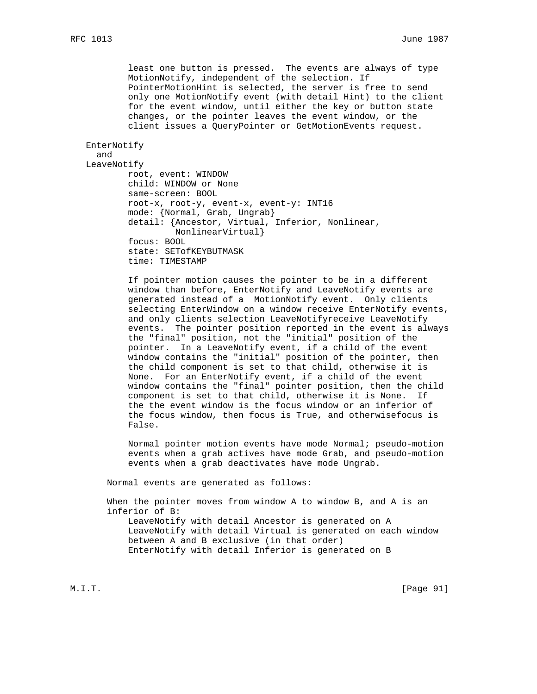least one button is pressed. The events are always of type MotionNotify, independent of the selection. If PointerMotionHint is selected, the server is free to send only one MotionNotify event (with detail Hint) to the client for the event window, until either the key or button state changes, or the pointer leaves the event window, or the client issues a QueryPointer or GetMotionEvents request.

```
 EnterNotify
  and
LeaveNotify
        root, event: WINDOW
        child: WINDOW or None
        same-screen: BOOL
        root-x, root-y, event-x, event-y: INT16
        mode: {Normal, Grab, Ungrab}
        detail: {Ancestor, Virtual, Inferior, Nonlinear,
                  NonlinearVirtual}
        focus: BOOL
        state: SETofKEYBUTMASK
        time: TIMESTAMP
```
 If pointer motion causes the pointer to be in a different window than before, EnterNotify and LeaveNotify events are generated instead of a MotionNotify event. Only clients selecting EnterWindow on a window receive EnterNotify events, and only clients selection LeaveNotifyreceive LeaveNotify events. The pointer position reported in the event is always the "final" position, not the "initial" position of the pointer. In a LeaveNotify event, if a child of the event window contains the "initial" position of the pointer, then the child component is set to that child, otherwise it is None. For an EnterNotify event, if a child of the event window contains the "final" pointer position, then the child component is set to that child, otherwise it is None. If the the event window is the focus window or an inferior of the focus window, then focus is True, and otherwisefocus is False.

 Normal pointer motion events have mode Normal; pseudo-motion events when a grab actives have mode Grab, and pseudo-motion events when a grab deactivates have mode Ungrab.

Normal events are generated as follows:

 When the pointer moves from window A to window B, and A is an inferior of B: LeaveNotify with detail Ancestor is generated on A LeaveNotify with detail Virtual is generated on each window between A and B exclusive (in that order) EnterNotify with detail Inferior is generated on B

M.I.T. [Page 91]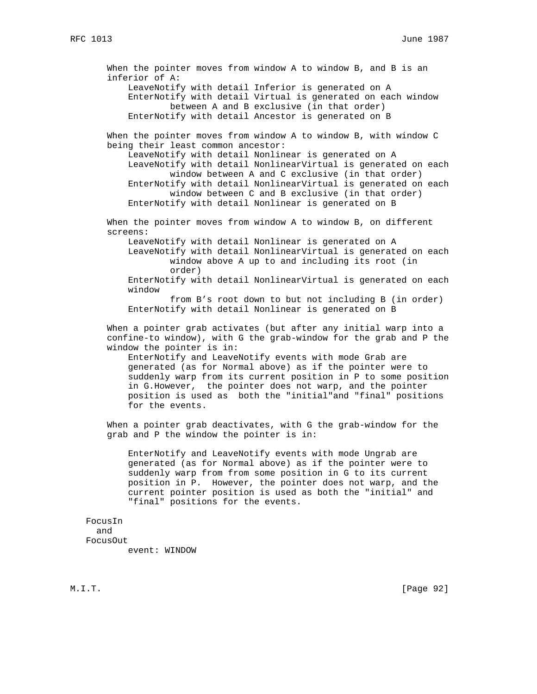When the pointer moves from window A to window B, and B is an inferior of A: LeaveNotify with detail Inferior is generated on A EnterNotify with detail Virtual is generated on each window between A and B exclusive (in that order) EnterNotify with detail Ancestor is generated on B When the pointer moves from window A to window B, with window C being their least common ancestor: LeaveNotify with detail Nonlinear is generated on A LeaveNotify with detail NonlinearVirtual is generated on each window between A and C exclusive (in that order) EnterNotify with detail NonlinearVirtual is generated on each window between C and B exclusive (in that order) EnterNotify with detail Nonlinear is generated on B When the pointer moves from window A to window B, on different screens: LeaveNotify with detail Nonlinear is generated on A LeaveNotify with detail NonlinearVirtual is generated on each window above A up to and including its root (in order) EnterNotify with detail NonlinearVirtual is generated on each window from B's root down to but not including B (in order) EnterNotify with detail Nonlinear is generated on B When a pointer grab activates (but after any initial warp into a confine-to window), with G the grab-window for the grab and P the window the pointer is in: EnterNotify and LeaveNotify events with mode Grab are

 generated (as for Normal above) as if the pointer were to suddenly warp from its current position in P to some position in G.However, the pointer does not warp, and the pointer position is used as both the "initial"and "final" positions for the events.

 When a pointer grab deactivates, with G the grab-window for the grab and P the window the pointer is in:

 EnterNotify and LeaveNotify events with mode Ungrab are generated (as for Normal above) as if the pointer were to suddenly warp from from some position in G to its current position in P. However, the pointer does not warp, and the current pointer position is used as both the "initial" and "final" positions for the events.

 FocusIn and

FocusOut

event: WINDOW

M.I.T. [Page 92]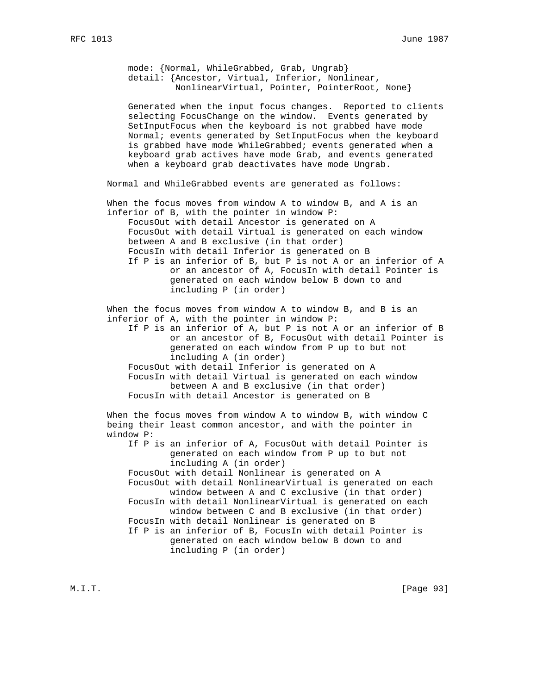mode: {Normal, WhileGrabbed, Grab, Ungrab} detail: {Ancestor, Virtual, Inferior, Nonlinear, NonlinearVirtual, Pointer, PointerRoot, None}

 Generated when the input focus changes. Reported to clients selecting FocusChange on the window. Events generated by SetInputFocus when the keyboard is not grabbed have mode Normal; events generated by SetInputFocus when the keyboard is grabbed have mode WhileGrabbed; events generated when a keyboard grab actives have mode Grab, and events generated when a keyboard grab deactivates have mode Ungrab.

Normal and WhileGrabbed events are generated as follows:

 When the focus moves from window A to window B, and A is an inferior of B, with the pointer in window P: FocusOut with detail Ancestor is generated on A FocusOut with detail Virtual is generated on each window between A and B exclusive (in that order) FocusIn with detail Inferior is generated on B If P is an inferior of B, but P is not A or an inferior of A or an ancestor of A, FocusIn with detail Pointer is generated on each window below B down to and including P (in order)

 When the focus moves from window A to window B, and B is an inferior of A, with the pointer in window P: If P is an inferior of A, but P is not A or an inferior of B or an ancestor of B, FocusOut with detail Pointer is generated on each window from P up to but not

 including A (in order) FocusOut with detail Inferior is generated on A FocusIn with detail Virtual is generated on each window between A and B exclusive (in that order)

FocusIn with detail Ancestor is generated on B

 When the focus moves from window A to window B, with window C being their least common ancestor, and with the pointer in window P:

 If P is an inferior of A, FocusOut with detail Pointer is generated on each window from P up to but not including A (in order)

 FocusOut with detail Nonlinear is generated on A FocusOut with detail NonlinearVirtual is generated on each window between A and C exclusive (in that order)

 FocusIn with detail NonlinearVirtual is generated on each window between C and B exclusive (in that order) FocusIn with detail Nonlinear is generated on B

 If P is an inferior of B, FocusIn with detail Pointer is generated on each window below B down to and including P (in order)

M.I.T. [Page 93]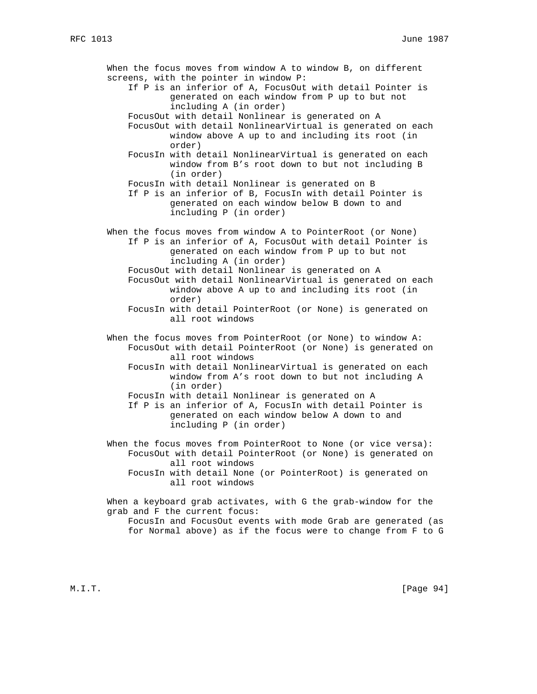When the focus moves from window A to window B, on different screens, with the pointer in window P: If P is an inferior of A, FocusOut with detail Pointer is generated on each window from P up to but not including A (in order) FocusOut with detail Nonlinear is generated on A FocusOut with detail NonlinearVirtual is generated on each window above A up to and including its root (in order) FocusIn with detail NonlinearVirtual is generated on each window from B's root down to but not including B (in order) FocusIn with detail Nonlinear is generated on B If P is an inferior of B, FocusIn with detail Pointer is generated on each window below B down to and including P (in order) When the focus moves from window A to PointerRoot (or None) If P is an inferior of A, FocusOut with detail Pointer is generated on each window from P up to but not including A (in order) FocusOut with detail Nonlinear is generated on A FocusOut with detail NonlinearVirtual is generated on each window above A up to and including its root (in order) FocusIn with detail PointerRoot (or None) is generated on all root windows When the focus moves from PointerRoot (or None) to window A: FocusOut with detail PointerRoot (or None) is generated on all root windows FocusIn with detail NonlinearVirtual is generated on each window from A's root down to but not including A (in order) FocusIn with detail Nonlinear is generated on A If P is an inferior of A, FocusIn with detail Pointer is generated on each window below A down to and including P (in order) When the focus moves from PointerRoot to None (or vice versa): FocusOut with detail PointerRoot (or None) is generated on all root windows FocusIn with detail None (or PointerRoot) is generated on all root windows When a keyboard grab activates, with G the grab-window for the grab and F the current focus:

 FocusIn and FocusOut events with mode Grab are generated (as for Normal above) as if the focus were to change from F to G

M.I.T. [Page 94]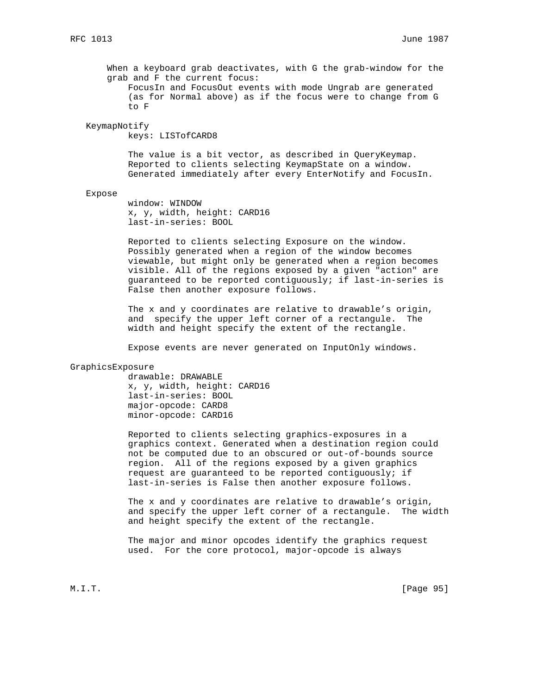When a keyboard grab deactivates, with G the grab-window for the grab and F the current focus:

 FocusIn and FocusOut events with mode Ungrab are generated (as for Normal above) as if the focus were to change from G to F

### KeymapNotify

keys: LISTofCARD8

 The value is a bit vector, as described in QueryKeymap. Reported to clients selecting KeymapState on a window. Generated immediately after every EnterNotify and FocusIn.

### Expose

 window: WINDOW x, y, width, height: CARD16 last-in-series: BOOL

 Reported to clients selecting Exposure on the window. Possibly generated when a region of the window becomes viewable, but might only be generated when a region becomes visible. All of the regions exposed by a given "action" are guaranteed to be reported contiguously; if last-in-series is False then another exposure follows.

 The x and y coordinates are relative to drawable's origin, and specify the upper left corner of a rectangule. The width and height specify the extent of the rectangle.

Expose events are never generated on InputOnly windows.

### GraphicsExposure

 drawable: DRAWABLE x, y, width, height: CARD16 last-in-series: BOOL major-opcode: CARD8 minor-opcode: CARD16

 Reported to clients selecting graphics-exposures in a graphics context. Generated when a destination region could not be computed due to an obscured or out-of-bounds source region. All of the regions exposed by a given graphics request are guaranteed to be reported contiguously; if last-in-series is False then another exposure follows.

 The x and y coordinates are relative to drawable's origin, and specify the upper left corner of a rectangule. The width and height specify the extent of the rectangle.

 The major and minor opcodes identify the graphics request used. For the core protocol, major-opcode is always

M.I.T. [Page 95]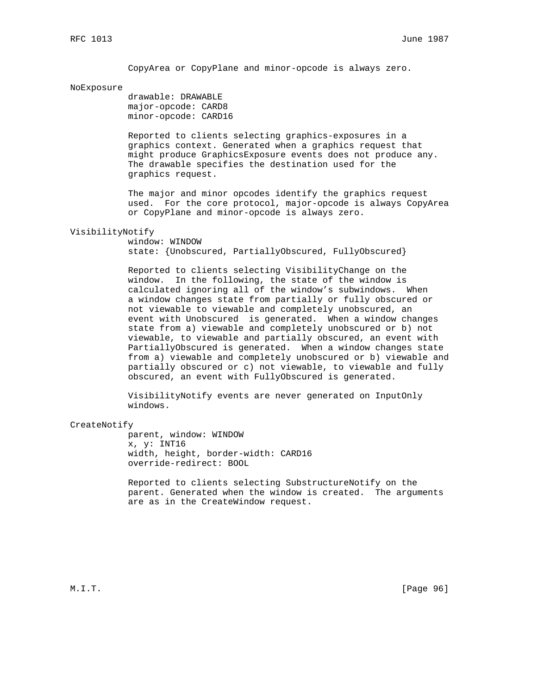CopyArea or CopyPlane and minor-opcode is always zero.

#### NoExposure

 drawable: DRAWABLE major-opcode: CARD8 minor-opcode: CARD16

 Reported to clients selecting graphics-exposures in a graphics context. Generated when a graphics request that might produce GraphicsExposure events does not produce any. The drawable specifies the destination used for the graphics request.

 The major and minor opcodes identify the graphics request used. For the core protocol, major-opcode is always CopyArea or CopyPlane and minor-opcode is always zero.

## VisibilityNotify

 window: WINDOW state: {Unobscured, PartiallyObscured, FullyObscured}

 Reported to clients selecting VisibilityChange on the window. In the following, the state of the window is calculated ignoring all of the window's subwindows. When a window changes state from partially or fully obscured or not viewable to viewable and completely unobscured, an event with Unobscured is generated. When a window changes state from a) viewable and completely unobscured or b) not viewable, to viewable and partially obscured, an event with PartiallyObscured is generated. When a window changes state from a) viewable and completely unobscured or b) viewable and partially obscured or c) not viewable, to viewable and fully obscured, an event with FullyObscured is generated.

 VisibilityNotify events are never generated on InputOnly windows.

### CreateNotify

 parent, window: WINDOW x, y: INT16 width, height, border-width: CARD16 override-redirect: BOOL

 Reported to clients selecting SubstructureNotify on the parent. Generated when the window is created. The arguments are as in the CreateWindow request.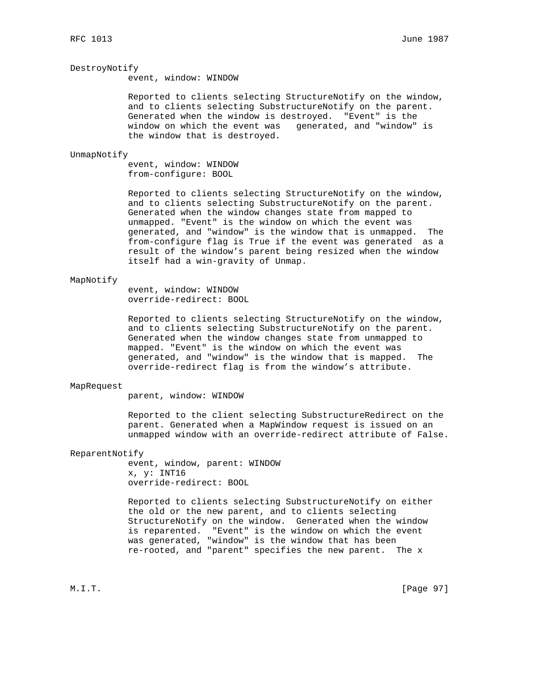# DestroyNotify

event, window: WINDOW

 Reported to clients selecting StructureNotify on the window, and to clients selecting SubstructureNotify on the parent. Generated when the window is destroyed. "Event" is the window on which the event was generated, and "window" is the window that is destroyed.

### UnmapNotify

 event, window: WINDOW from-configure: BOOL

 Reported to clients selecting StructureNotify on the window, and to clients selecting SubstructureNotify on the parent. Generated when the window changes state from mapped to unmapped. "Event" is the window on which the event was generated, and "window" is the window that is unmapped. The from-configure flag is True if the event was generated as a result of the window's parent being resized when the window itself had a win-gravity of Unmap.

# MapNotify

 event, window: WINDOW override-redirect: BOOL

 Reported to clients selecting StructureNotify on the window, and to clients selecting SubstructureNotify on the parent. Generated when the window changes state from unmapped to mapped. "Event" is the window on which the event was generated, and "window" is the window that is mapped. The override-redirect flag is from the window's attribute.

#### MapRequest

parent, window: WINDOW

 Reported to the client selecting SubstructureRedirect on the parent. Generated when a MapWindow request is issued on an unmapped window with an override-redirect attribute of False.

# ReparentNotify

 event, window, parent: WINDOW x, y: INT16 override-redirect: BOOL

 Reported to clients selecting SubstructureNotify on either the old or the new parent, and to clients selecting StructureNotify on the window. Generated when the window is reparented. "Event" is the window on which the event was generated, "window" is the window that has been re-rooted, and "parent" specifies the new parent. The x

M.I.T. [Page 97]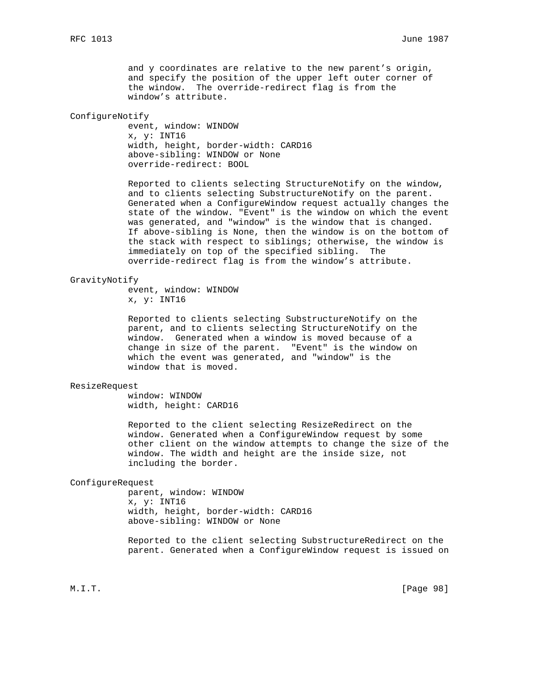and y coordinates are relative to the new parent's origin, and specify the position of the upper left outer corner of the window. The override-redirect flag is from the window's attribute.

ConfigureNotify

 event, window: WINDOW x, y: INT16 width, height, border-width: CARD16 above-sibling: WINDOW or None override-redirect: BOOL

 Reported to clients selecting StructureNotify on the window, and to clients selecting SubstructureNotify on the parent. Generated when a ConfigureWindow request actually changes the state of the window. "Event" is the window on which the event was generated, and "window" is the window that is changed. If above-sibling is None, then the window is on the bottom of the stack with respect to siblings; otherwise, the window is immediately on top of the specified sibling. The override-redirect flag is from the window's attribute.

### GravityNotify

 event, window: WINDOW x, y: INT16

 Reported to clients selecting SubstructureNotify on the parent, and to clients selecting StructureNotify on the window. Generated when a window is moved because of a change in size of the parent. "Event" is the window on which the event was generated, and "window" is the window that is moved.

## ResizeRequest

 window: WINDOW width, height: CARD16

 Reported to the client selecting ResizeRedirect on the window. Generated when a ConfigureWindow request by some other client on the window attempts to change the size of the window. The width and height are the inside size, not including the border.

### ConfigureRequest

 parent, window: WINDOW x, y: INT16 width, height, border-width: CARD16 above-sibling: WINDOW or None

 Reported to the client selecting SubstructureRedirect on the parent. Generated when a ConfigureWindow request is issued on

M.I.T. [Page 98]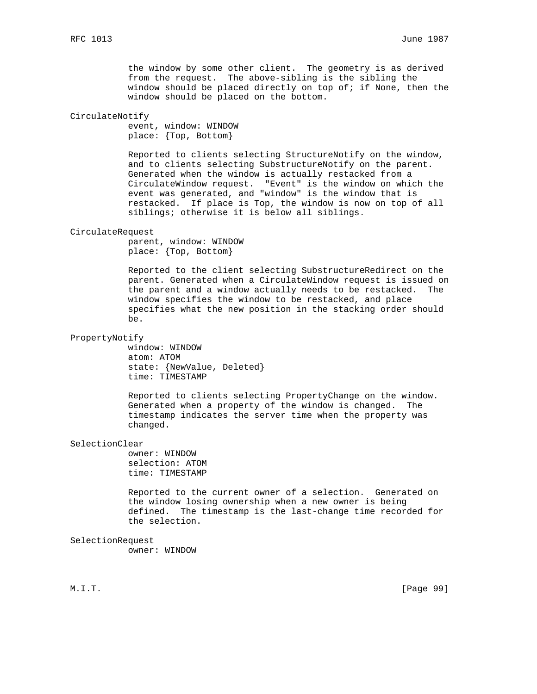the window by some other client. The geometry is as derived from the request. The above-sibling is the sibling the window should be placed directly on top of; if None, then the window should be placed on the bottom.

# CirculateNotify

 event, window: WINDOW place: {Top, Bottom}

 Reported to clients selecting StructureNotify on the window, and to clients selecting SubstructureNotify on the parent. Generated when the window is actually restacked from a CirculateWindow request. "Event" is the window on which the event was generated, and "window" is the window that is restacked. If place is Top, the window is now on top of all siblings; otherwise it is below all siblings.

# CirculateRequest

 parent, window: WINDOW place: {Top, Bottom}

 Reported to the client selecting SubstructureRedirect on the parent. Generated when a CirculateWindow request is issued on the parent and a window actually needs to be restacked. The window specifies the window to be restacked, and place specifies what the new position in the stacking order should be.

## PropertyNotify

 window: WINDOW atom: ATOM state: {NewValue, Deleted} time: TIMESTAMP

 Reported to clients selecting PropertyChange on the window. Generated when a property of the window is changed. The timestamp indicates the server time when the property was changed.

## SelectionClear

 owner: WINDOW selection: ATOM time: TIMESTAMP

 Reported to the current owner of a selection. Generated on the window losing ownership when a new owner is being defined. The timestamp is the last-change time recorded for the selection.

# SelectionRequest

owner: WINDOW

M.I.T. [Page 99]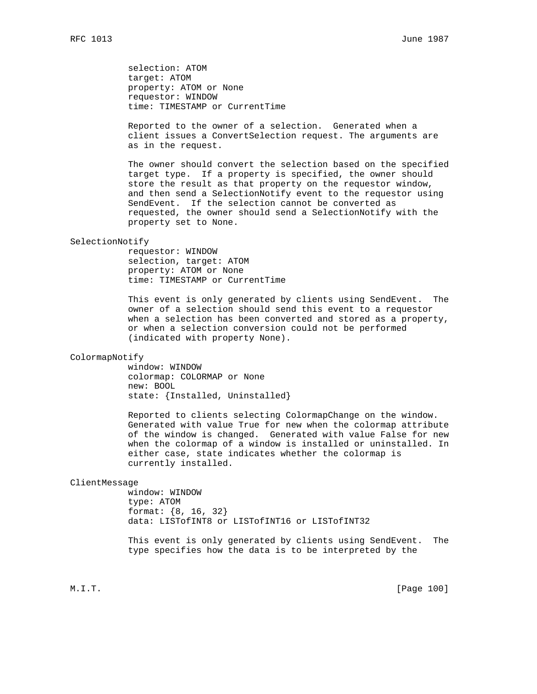selection: ATOM target: ATOM property: ATOM or None requestor: WINDOW time: TIMESTAMP or CurrentTime

 Reported to the owner of a selection. Generated when a client issues a ConvertSelection request. The arguments are as in the request.

 The owner should convert the selection based on the specified target type. If a property is specified, the owner should store the result as that property on the requestor window, and then send a SelectionNotify event to the requestor using SendEvent. If the selection cannot be converted as requested, the owner should send a SelectionNotify with the property set to None.

### SelectionNotify

 requestor: WINDOW selection, target: ATOM property: ATOM or None time: TIMESTAMP or CurrentTime

 This event is only generated by clients using SendEvent. The owner of a selection should send this event to a requestor when a selection has been converted and stored as a property, or when a selection conversion could not be performed (indicated with property None).

### ColormapNotify

 window: WINDOW colormap: COLORMAP or None new: BOOL state: {Installed, Uninstalled}

 Reported to clients selecting ColormapChange on the window. Generated with value True for new when the colormap attribute of the window is changed. Generated with value False for new when the colormap of a window is installed or uninstalled. In either case, state indicates whether the colormap is currently installed.

### ClientMessage

 window: WINDOW type: ATOM format: {8, 16, 32} data: LISTofINT8 or LISTofINT16 or LISTofINT32

 This event is only generated by clients using SendEvent. The type specifies how the data is to be interpreted by the

M.I.T. [Page 100]